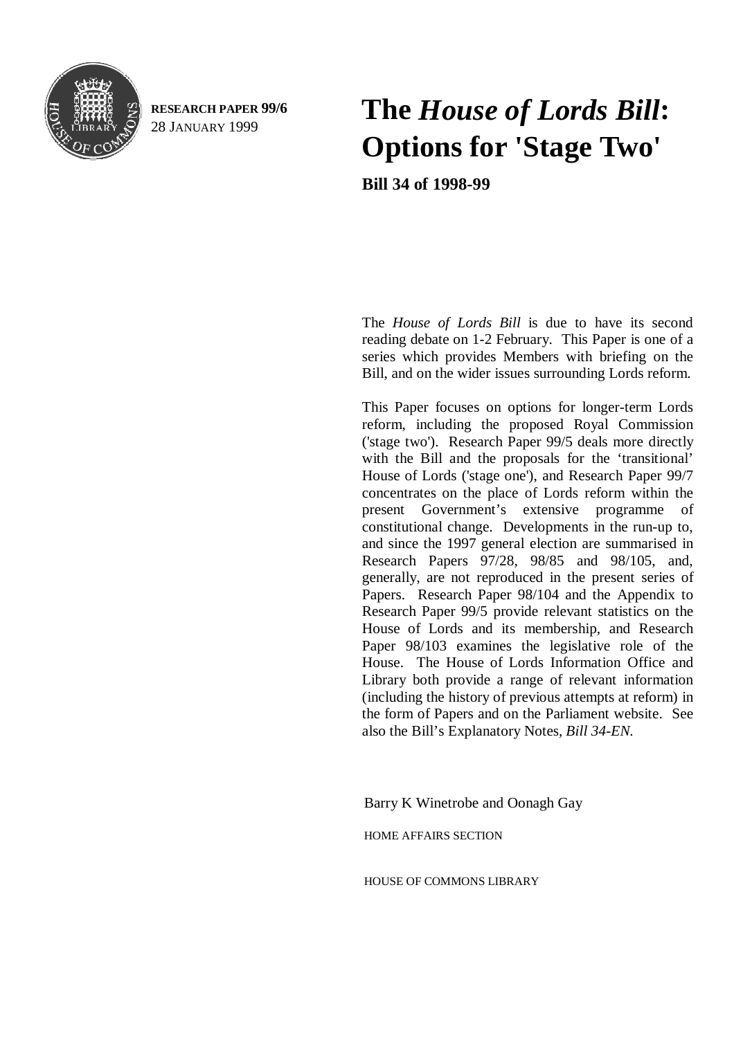

**RESEARCH PAPER 99/6** 28 JANUARY 1999

# **The** *House of Lords Bill***: Options for 'Stage Two'**

**Bill 34 of 1998-99**

The *House of Lords Bill* is due to have its second reading debate on 1-2 February. This Paper is one of a series which provides Members with briefing on the Bill, and on the wider issues surrounding Lords reform.

This Paper focuses on options for longer-term Lords reform, including the proposed Royal Commission ('stage two'). Research Paper 99/5 deals more directly with the Bill and the proposals for the 'transitional' House of Lords ('stage one'), and Research Paper 99/7 concentrates on the place of Lords reform within the present Government's extensive programme of constitutional change. Developments in the run-up to, and since the 1997 general election are summarised in Research Papers 97/28, 98/85 and 98/105, and, generally, are not reproduced in the present series of Papers. Research Paper 98/104 and the Appendix to Research Paper 99/5 provide relevant statistics on the House of Lords and its membership, and Research Paper 98/103 examines the legislative role of the House. The House of Lords Information Office and Library both provide a range of relevant information (including the history of previous attempts at reform) in the form of Papers and on the Parliament website. See also the Bill's Explanatory Notes, *Bill 34-EN*.

Barry K Winetrobe and Oonagh Gay

HOME AFFAIRS SECTION

HOUSE OF COMMONS LIBRARY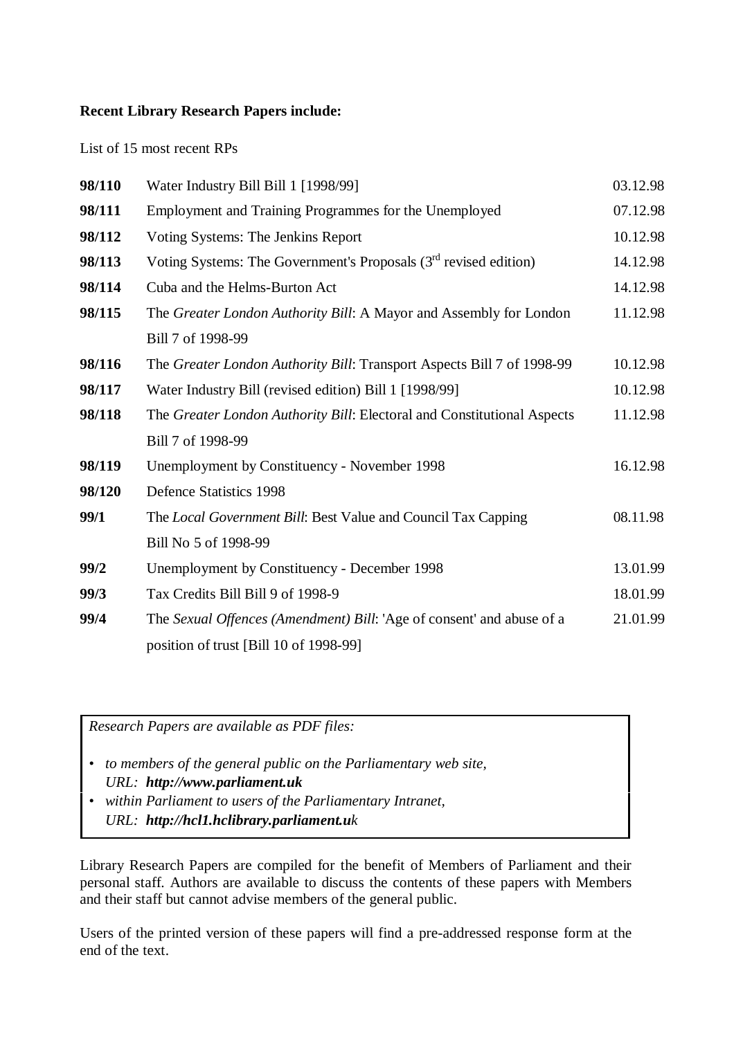#### **Recent Library Research Papers include:**

List of 15 most recent RPs

| 98/110 | Water Industry Bill Bill 1 [1998/99]                                    | 03.12.98 |
|--------|-------------------------------------------------------------------------|----------|
| 98/111 | Employment and Training Programmes for the Unemployed                   | 07.12.98 |
| 98/112 | Voting Systems: The Jenkins Report                                      | 10.12.98 |
| 98/113 | Voting Systems: The Government's Proposals $(3rd$ revised edition)      | 14.12.98 |
| 98/114 | Cuba and the Helms-Burton Act                                           | 14.12.98 |
| 98/115 | The Greater London Authority Bill: A Mayor and Assembly for London      | 11.12.98 |
|        | Bill 7 of 1998-99                                                       |          |
| 98/116 | The Greater London Authority Bill: Transport Aspects Bill 7 of 1998-99  | 10.12.98 |
| 98/117 | Water Industry Bill (revised edition) Bill 1 [1998/99]                  | 10.12.98 |
| 98/118 | The Greater London Authority Bill: Electoral and Constitutional Aspects | 11.12.98 |
|        | Bill 7 of 1998-99                                                       |          |
| 98/119 | Unemployment by Constituency - November 1998                            | 16.12.98 |
| 98/120 | <b>Defence Statistics 1998</b>                                          |          |
| 99/1   | The Local Government Bill: Best Value and Council Tax Capping           | 08.11.98 |
|        | Bill No 5 of 1998-99                                                    |          |
| 99/2   | Unemployment by Constituency - December 1998                            | 13.01.99 |
| 99/3   | Tax Credits Bill Bill 9 of 1998-9                                       | 18.01.99 |
| 99/4   | The Sexual Offences (Amendment) Bill: 'Age of consent' and abuse of a   | 21.01.99 |
|        | position of trust [Bill 10 of 1998-99]                                  |          |

*Research Papers are available as PDF files:*

- *to members of the general public on the Parliamentary web site, URL: http://www.parliament.uk*
- *within Parliament to users of the Parliamentary Intranet, URL: http://hcl1.hclibrary.parliament.uk*

Library Research Papers are compiled for the benefit of Members of Parliament and their personal staff. Authors are available to discuss the contents of these papers with Members and their staff but cannot advise members of the general public.

Users of the printed version of these papers will find a pre-addressed response form at the end of the text.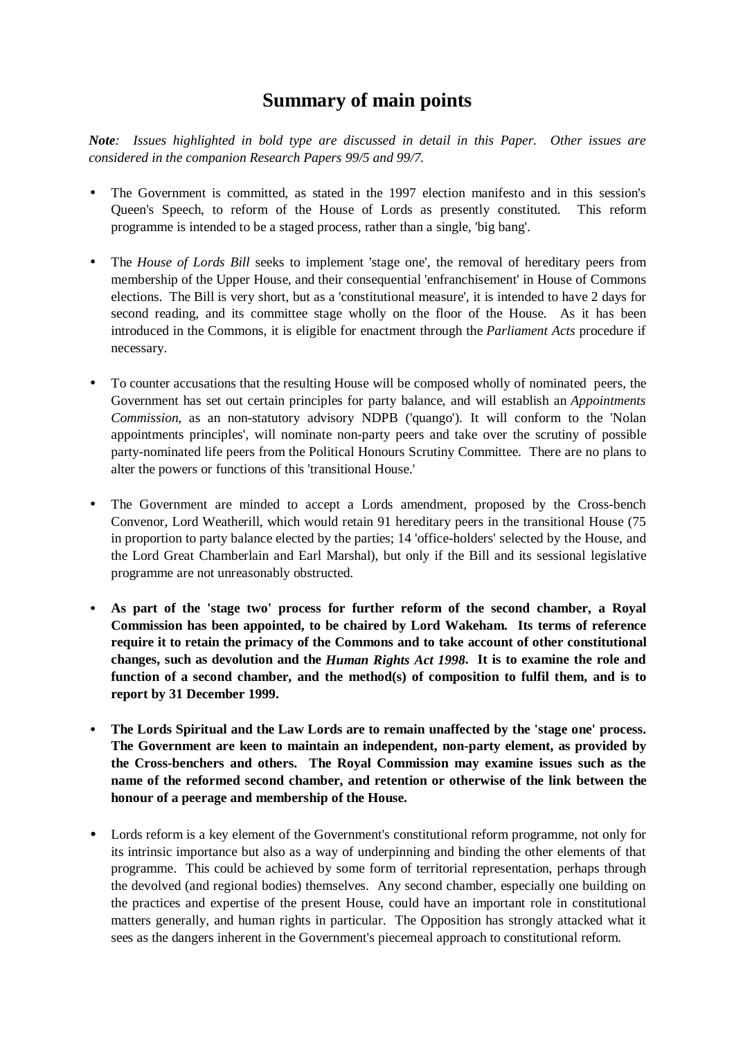# **Summary of main points**

*Note: Issues highlighted in bold type are discussed in detail in this Paper. Other issues are considered in the companion Research Papers 99/5 and 99/7.*

- The Government is committed, as stated in the 1997 election manifesto and in this session's Queen's Speech, to reform of the House of Lords as presently constituted. This reform programme is intended to be a staged process, rather than a single, 'big bang'.
- The *House of Lords Bill* seeks to implement 'stage one', the removal of hereditary peers from membership of the Upper House, and their consequential 'enfranchisement' in House of Commons elections. The Bill is very short, but as a 'constitutional measure', it is intended to have 2 days for second reading, and its committee stage wholly on the floor of the House. As it has been introduced in the Commons, it is eligible for enactment through the *Parliament Acts* procedure if necessary.
- To counter accusations that the resulting House will be composed wholly of nominated peers, the Government has set out certain principles for party balance, and will establish an *Appointments Commission*, as an non-statutory advisory NDPB ('quango'). It will conform to the 'Nolan appointments principles', will nominate non-party peers and take over the scrutiny of possible party-nominated life peers from the Political Honours Scrutiny Committee. There are no plans to alter the powers or functions of this 'transitional House.'
- The Government are minded to accept a Lords amendment, proposed by the Cross-bench Convenor, Lord Weatherill, which would retain 91 hereditary peers in the transitional House (75 in proportion to party balance elected by the parties; 14 'office-holders' selected by the House, and the Lord Great Chamberlain and Earl Marshal), but only if the Bill and its sessional legislative programme are not unreasonably obstructed.
- **As part of the 'stage two' process for further reform of the second chamber, a Royal Commission has been appointed, to be chaired by Lord Wakeham. Its terms of reference require it to retain the primacy of the Commons and to take account of other constitutional changes, such as devolution and the** *Human Rights Act 1998***. It is to examine the role and function of a second chamber, and the method(s) of composition to fulfil them, and is to report by 31 December 1999.**
- **The Lords Spiritual and the Law Lords are to remain unaffected by the 'stage one' process. The Government are keen to maintain an independent, non-party element, as provided by the Cross-benchers and others. The Royal Commission may examine issues such as the name of the reformed second chamber, and retention or otherwise of the link between the honour of a peerage and membership of the House.**
- Lords reform is a key element of the Government's constitutional reform programme, not only for its intrinsic importance but also as a way of underpinning and binding the other elements of that programme. This could be achieved by some form of territorial representation, perhaps through the devolved (and regional bodies) themselves. Any second chamber, especially one building on the practices and expertise of the present House, could have an important role in constitutional matters generally, and human rights in particular. The Opposition has strongly attacked what it sees as the dangers inherent in the Government's piecemeal approach to constitutional reform.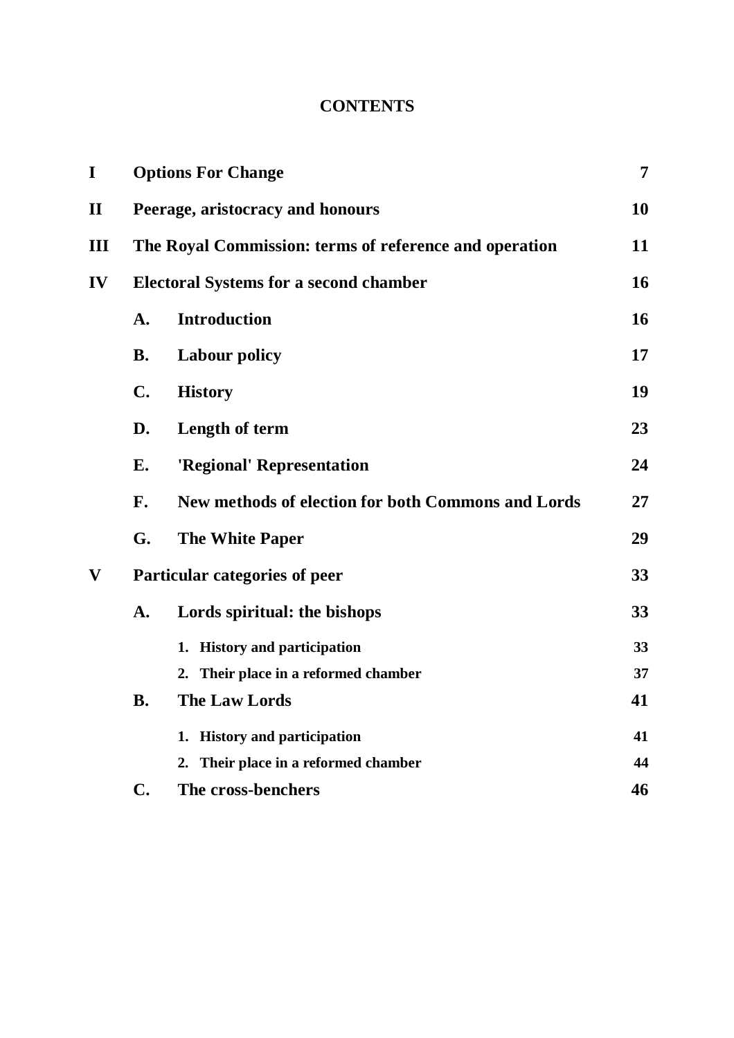# **CONTENTS**

| I            | <b>Options For Change</b>                     |                                                        |    |
|--------------|-----------------------------------------------|--------------------------------------------------------|----|
| $\mathbf{I}$ | Peerage, aristocracy and honours              |                                                        |    |
| Ш            |                                               | The Royal Commission: terms of reference and operation | 11 |
| IV           | <b>Electoral Systems for a second chamber</b> |                                                        | 16 |
|              | $\mathbf{A}$ .                                | <b>Introduction</b>                                    | 16 |
|              | <b>B.</b>                                     | <b>Labour policy</b>                                   | 17 |
|              | $\mathbf{C}$ .                                | <b>History</b>                                         | 19 |
|              | D.                                            | Length of term                                         | 23 |
|              | E.                                            | 'Regional' Representation                              | 24 |
|              | F.                                            | New methods of election for both Commons and Lords     | 27 |
|              | G.                                            | <b>The White Paper</b>                                 | 29 |
| $\bf V$      | Particular categories of peer                 |                                                        | 33 |
|              | A.                                            | Lords spiritual: the bishops                           | 33 |
|              |                                               | 1. History and participation                           | 33 |
|              |                                               | 2. Their place in a reformed chamber                   | 37 |
|              | <b>B.</b>                                     | <b>The Law Lords</b>                                   | 41 |
|              |                                               | 1. History and participation                           | 41 |
|              |                                               | 2. Their place in a reformed chamber                   | 44 |
|              | $\mathbf{C}$ .                                | The cross-benchers                                     | 46 |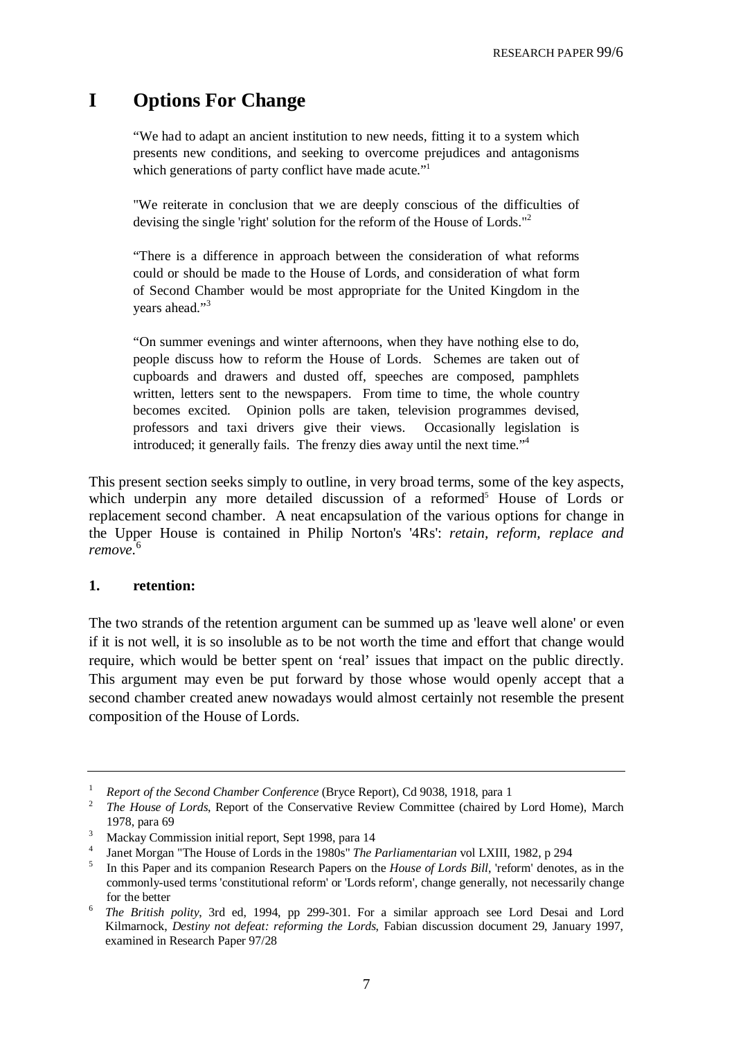# **I Options For Change**

"We had to adapt an ancient institution to new needs, fitting it to a system which presents new conditions, and seeking to overcome prejudices and antagonisms which generations of party conflict have made acute."<sup>1</sup>

"We reiterate in conclusion that we are deeply conscious of the difficulties of devising the single 'right' solution for the reform of the House of Lords."2

"There is a difference in approach between the consideration of what reforms could or should be made to the House of Lords, and consideration of what form of Second Chamber would be most appropriate for the United Kingdom in the years ahead."<sup>3</sup>

"On summer evenings and winter afternoons, when they have nothing else to do, people discuss how to reform the House of Lords. Schemes are taken out of cupboards and drawers and dusted off, speeches are composed, pamphlets written, letters sent to the newspapers. From time to time, the whole country becomes excited. Opinion polls are taken, television programmes devised, professors and taxi drivers give their views. Occasionally legislation is introduced; it generally fails. The frenzy dies away until the next time."4

This present section seeks simply to outline, in very broad terms, some of the key aspects, which underpin any more detailed discussion of a reformed<sup>5</sup> House of Lords or replacement second chamber. A neat encapsulation of the various options for change in the Upper House is contained in Philip Norton's '4Rs': *retain, reform, replace and remove*. 6

#### **1. retention:**

The two strands of the retention argument can be summed up as 'leave well alone' or even if it is not well, it is so insoluble as to be not worth the time and effort that change would require, which would be better spent on 'real' issues that impact on the public directly. This argument may even be put forward by those whose would openly accept that a second chamber created anew nowadays would almost certainly not resemble the present composition of the House of Lords.

<sup>&</sup>lt;sup>1</sup> *Report of the Second Chamber Conference* (Bryce Report), Cd 9038, 1918, para 1<br><sup>2</sup> The House of Lards, Penort of the Conservative Review Committee (chaired by

<sup>2</sup> *The House of Lords*, Report of the Conservative Review Committee (chaired by Lord Home), March 1978, para 69

<sup>&</sup>lt;sup>3</sup> Mackay Commission initial report, Sept 1998, para 14

<sup>4</sup> Janet Morgan "The House of Lords in the 1980s" *The Parliamentarian* vol LXIII, 1982, p 294

<sup>5</sup> In this Paper and its companion Research Papers on the *House of Lords Bill*, 'reform' denotes, as in the commonly-used terms 'constitutional reform' or 'Lords reform', change generally, not necessarily change for the better

<sup>6</sup> *The British polity*, 3rd ed, 1994, pp 299-301. For a similar approach see Lord Desai and Lord Kilmarnock, *Destiny not defeat: reforming the Lords*, Fabian discussion document 29, January 1997, examined in Research Paper 97/28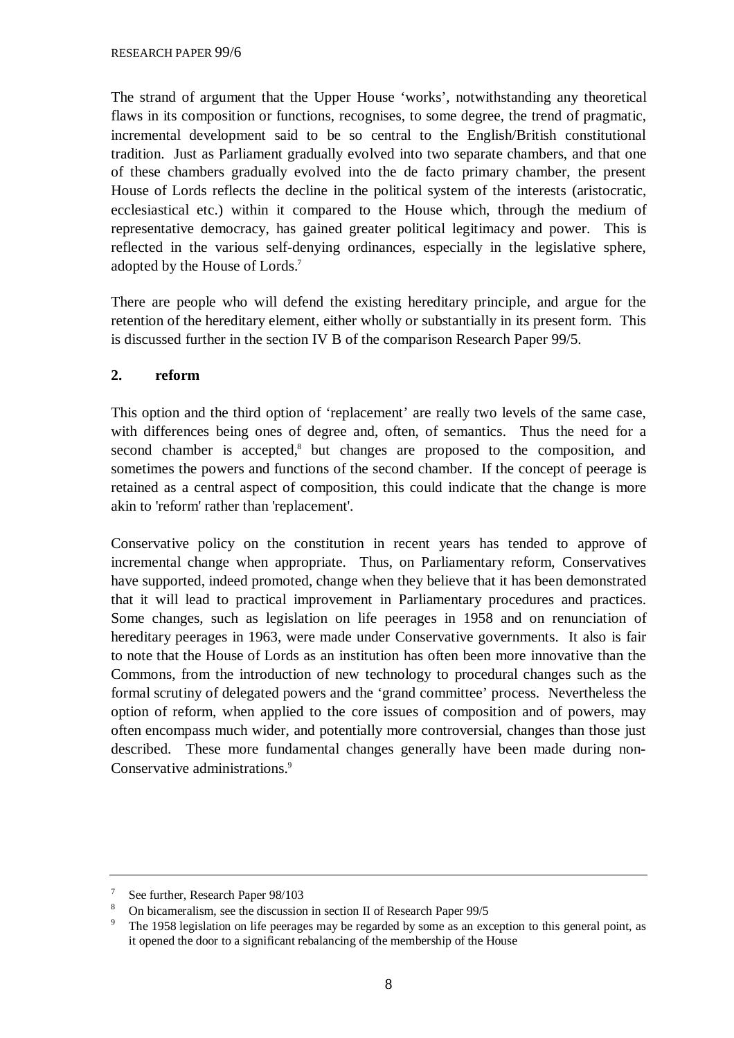The strand of argument that the Upper House 'works', notwithstanding any theoretical flaws in its composition or functions, recognises, to some degree, the trend of pragmatic, incremental development said to be so central to the English/British constitutional tradition. Just as Parliament gradually evolved into two separate chambers, and that one of these chambers gradually evolved into the de facto primary chamber, the present House of Lords reflects the decline in the political system of the interests (aristocratic, ecclesiastical etc.) within it compared to the House which, through the medium of representative democracy, has gained greater political legitimacy and power. This is reflected in the various self-denying ordinances, especially in the legislative sphere, adopted by the House of Lords.7

There are people who will defend the existing hereditary principle, and argue for the retention of the hereditary element, either wholly or substantially in its present form. This is discussed further in the section IV B of the comparison Research Paper 99/5.

### **2. reform**

This option and the third option of 'replacement' are really two levels of the same case, with differences being ones of degree and, often, of semantics. Thus the need for a second chamber is accepted,<sup>8</sup> but changes are proposed to the composition, and sometimes the powers and functions of the second chamber. If the concept of peerage is retained as a central aspect of composition, this could indicate that the change is more akin to 'reform' rather than 'replacement'.

Conservative policy on the constitution in recent years has tended to approve of incremental change when appropriate. Thus, on Parliamentary reform, Conservatives have supported, indeed promoted, change when they believe that it has been demonstrated that it will lead to practical improvement in Parliamentary procedures and practices. Some changes, such as legislation on life peerages in 1958 and on renunciation of hereditary peerages in 1963, were made under Conservative governments. It also is fair to note that the House of Lords as an institution has often been more innovative than the Commons, from the introduction of new technology to procedural changes such as the formal scrutiny of delegated powers and the 'grand committee' process. Nevertheless the option of reform, when applied to the core issues of composition and of powers, may often encompass much wider, and potentially more controversial, changes than those just described. These more fundamental changes generally have been made during non-Conservative administrations.<sup>9</sup>

<sup>7</sup> See further, Research Paper 98/103

<sup>8</sup> On bicameralism, see the discussion in section II of Research Paper 99/5

<sup>9</sup> The 1958 legislation on life peerages may be regarded by some as an exception to this general point, as it opened the door to a significant rebalancing of the membership of the House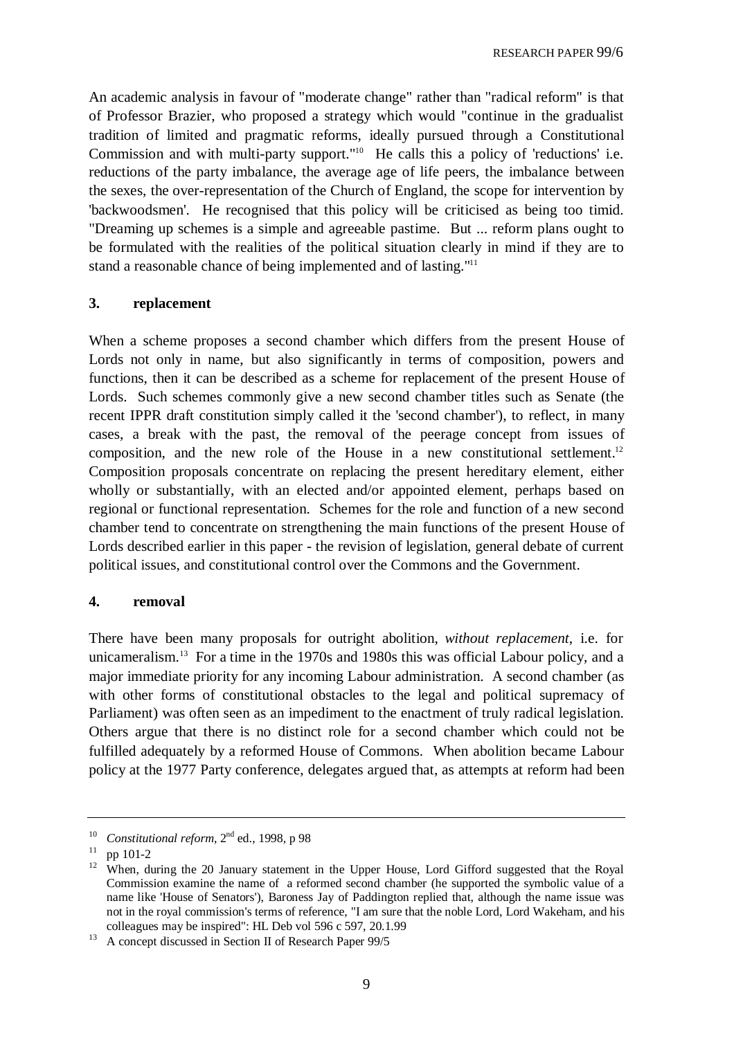An academic analysis in favour of "moderate change" rather than "radical reform" is that of Professor Brazier, who proposed a strategy which would "continue in the gradualist tradition of limited and pragmatic reforms, ideally pursued through a Constitutional Commission and with multi-party support."10 He calls this a policy of 'reductions' i.e. reductions of the party imbalance, the average age of life peers, the imbalance between the sexes, the over-representation of the Church of England, the scope for intervention by 'backwoodsmen'. He recognised that this policy will be criticised as being too timid. "Dreaming up schemes is a simple and agreeable pastime. But ... reform plans ought to be formulated with the realities of the political situation clearly in mind if they are to stand a reasonable chance of being implemented and of lasting."<sup>11</sup>

#### **3. replacement**

When a scheme proposes a second chamber which differs from the present House of Lords not only in name, but also significantly in terms of composition, powers and functions, then it can be described as a scheme for replacement of the present House of Lords. Such schemes commonly give a new second chamber titles such as Senate (the recent IPPR draft constitution simply called it the 'second chamber'), to reflect, in many cases, a break with the past, the removal of the peerage concept from issues of composition, and the new role of the House in a new constitutional settlement.<sup>12</sup> Composition proposals concentrate on replacing the present hereditary element, either wholly or substantially, with an elected and/or appointed element, perhaps based on regional or functional representation. Schemes for the role and function of a new second chamber tend to concentrate on strengthening the main functions of the present House of Lords described earlier in this paper - the revision of legislation, general debate of current political issues, and constitutional control over the Commons and the Government.

#### **4. removal**

There have been many proposals for outright abolition, *without replacement*, i.e. for unicameralism.13 For a time in the 1970s and 1980s this was official Labour policy, and a major immediate priority for any incoming Labour administration. A second chamber (as with other forms of constitutional obstacles to the legal and political supremacy of Parliament) was often seen as an impediment to the enactment of truly radical legislation. Others argue that there is no distinct role for a second chamber which could not be fulfilled adequately by a reformed House of Commons. When abolition became Labour policy at the 1977 Party conference, delegates argued that, as attempts at reform had been

<sup>&</sup>lt;sup>10</sup> *Constitutional reform*,  $2<sup>nd</sup>$  ed., 1998, p 98

 $11$  pp 101-2

<sup>&</sup>lt;sup>12</sup> When, during the 20 January statement in the Upper House, Lord Gifford suggested that the Royal Commission examine the name of a reformed second chamber (he supported the symbolic value of a name like 'House of Senators'), Baroness Jay of Paddington replied that, although the name issue was not in the royal commission's terms of reference, "I am sure that the noble Lord, Lord Wakeham, and his colleagues may be inspired": HL Deb vol 596 c 597, 20.1.99

<sup>&</sup>lt;sup>13</sup> A concept discussed in Section II of Research Paper 99/5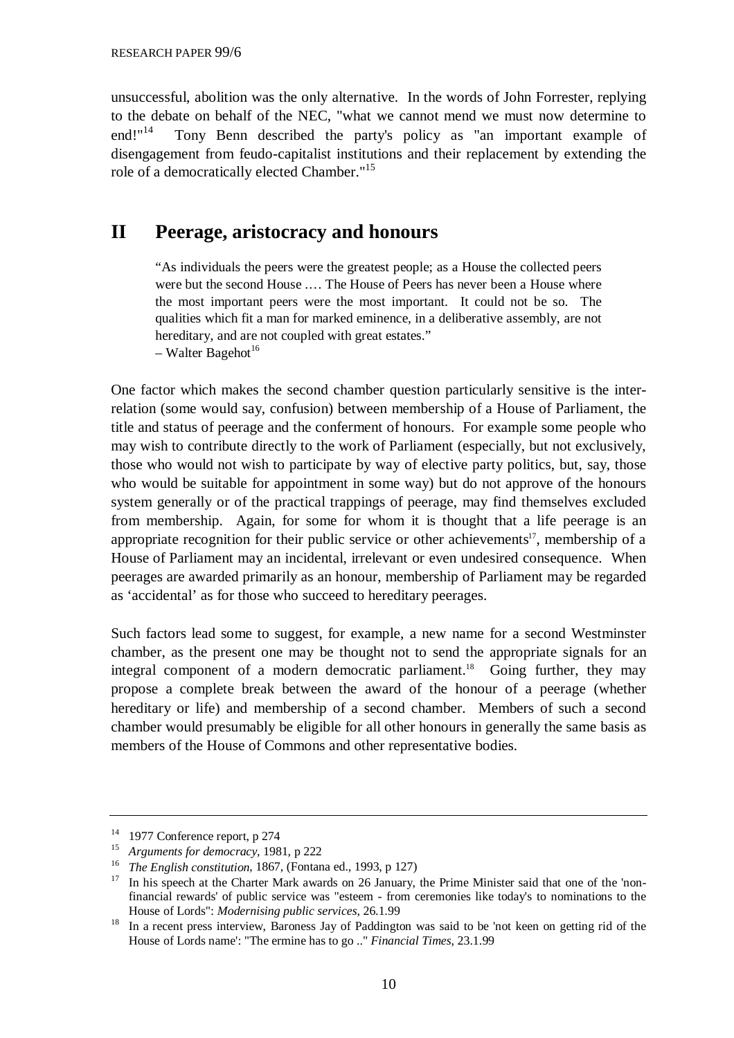unsuccessful, abolition was the only alternative. In the words of John Forrester, replying to the debate on behalf of the NEC, "what we cannot mend we must now determine to end!"<sup>14</sup> Tony Benn described the party's policy as "an important example of disengagement from feudo-capitalist institutions and their replacement by extending the role of a democratically elected Chamber."15

# **II Peerage, aristocracy and honours**

"As individuals the peers were the greatest people; as a House the collected peers were but the second House .… The House of Peers has never been a House where the most important peers were the most important. It could not be so. The qualities which fit a man for marked eminence, in a deliberative assembly, are not hereditary, and are not coupled with great estates." – Walter Bagehot $^{16}$ 

One factor which makes the second chamber question particularly sensitive is the interrelation (some would say, confusion) between membership of a House of Parliament, the title and status of peerage and the conferment of honours. For example some people who may wish to contribute directly to the work of Parliament (especially, but not exclusively, those who would not wish to participate by way of elective party politics, but, say, those who would be suitable for appointment in some way) but do not approve of the honours system generally or of the practical trappings of peerage, may find themselves excluded from membership. Again, for some for whom it is thought that a life peerage is an appropriate recognition for their public service or other achievements<sup>17</sup>, membership of a House of Parliament may an incidental, irrelevant or even undesired consequence. When peerages are awarded primarily as an honour, membership of Parliament may be regarded as 'accidental' as for those who succeed to hereditary peerages.

Such factors lead some to suggest, for example, a new name for a second Westminster chamber, as the present one may be thought not to send the appropriate signals for an integral component of a modern democratic parliament.<sup>18</sup> Going further, they may propose a complete break between the award of the honour of a peerage (whether hereditary or life) and membership of a second chamber. Members of such a second chamber would presumably be eligible for all other honours in generally the same basis as members of the House of Commons and other representative bodies.

<sup>14</sup> 1977 Conference report, p 274

<sup>15</sup> *Arguments for democracy*, 1981, p 222

<sup>16</sup> *The English constitution*, 1867, (Fontana ed., 1993, p 127)

<sup>&</sup>lt;sup>17</sup> In his speech at the Charter Mark awards on 26 January, the Prime Minister said that one of the 'nonfinancial rewards' of public service was "esteem - from ceremonies like today's to nominations to the House of Lords": *Modernising public services*, 26.1.99

<sup>&</sup>lt;sup>18</sup> In a recent press interview, Baroness Jay of Paddington was said to be 'not keen on getting rid of the House of Lords name': "The ermine has to go .." *Financial Times*, 23.1.99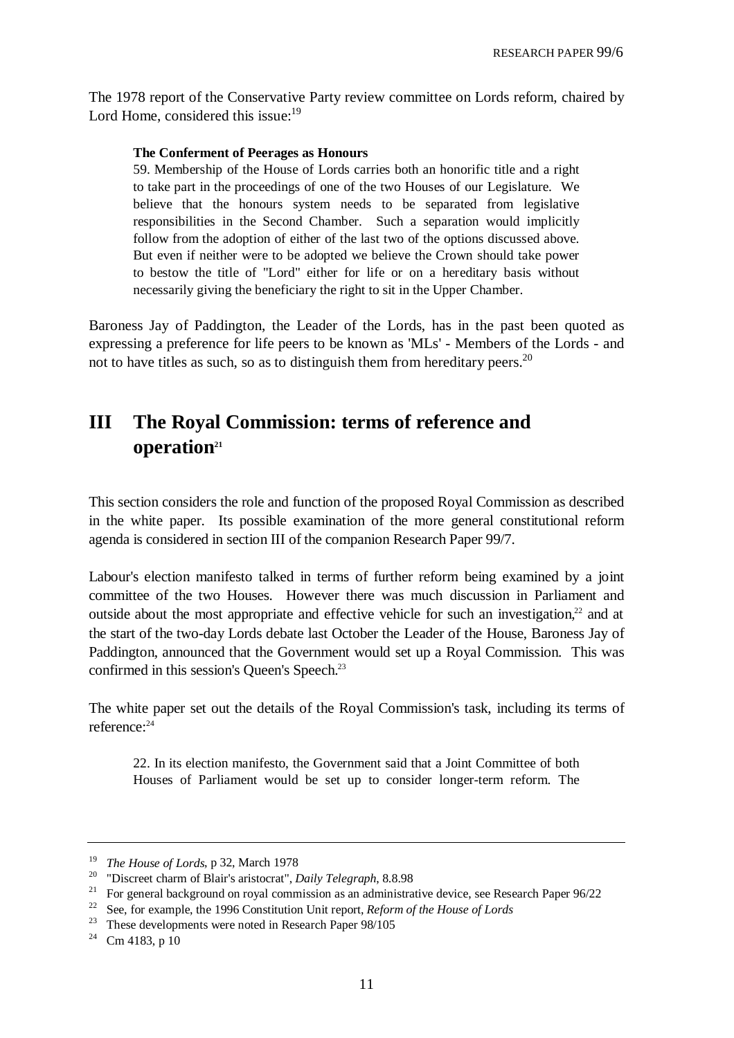The 1978 report of the Conservative Party review committee on Lords reform, chaired by Lord Home, considered this issue: $19$ 

#### **The Conferment of Peerages as Honours**

59. Membership of the House of Lords carries both an honorific title and a right to take part in the proceedings of one of the two Houses of our Legislature. We believe that the honours system needs to be separated from legislative responsibilities in the Second Chamber. Such a separation would implicitly follow from the adoption of either of the last two of the options discussed above. But even if neither were to be adopted we believe the Crown should take power to bestow the title of "Lord" either for life or on a hereditary basis without necessarily giving the beneficiary the right to sit in the Upper Chamber.

Baroness Jay of Paddington, the Leader of the Lords, has in the past been quoted as expressing a preference for life peers to be known as 'MLs' - Members of the Lords - and not to have titles as such, so as to distinguish them from hereditary peers.<sup>20</sup>

# **III The Royal Commission: terms of reference and operation21**

This section considers the role and function of the proposed Royal Commission as described in the white paper. Its possible examination of the more general constitutional reform agenda is considered in section III of the companion Research Paper 99/7.

Labour's election manifesto talked in terms of further reform being examined by a joint committee of the two Houses. However there was much discussion in Parliament and outside about the most appropriate and effective vehicle for such an investigation, $2<sup>2</sup>$  and at the start of the two-day Lords debate last October the Leader of the House, Baroness Jay of Paddington, announced that the Government would set up a Royal Commission. This was confirmed in this session's Queen's Speech.<sup>23</sup>

The white paper set out the details of the Royal Commission's task, including its terms of reference:24

22. In its election manifesto, the Government said that a Joint Committee of both Houses of Parliament would be set up to consider longer-term reform. The

<sup>19</sup> *The House of Lords*, p 32, March 1978

<sup>&</sup>lt;sup>20</sup> "Discreet charm of Blair's aristocrat", *Daily Telegraph*, 8.8.98<sup>21</sup> For general background on royal commission as an administrative

<sup>&</sup>lt;sup>21</sup> For general background on royal commission as an administrative device, see Research Paper 96/22<br><sup>22</sup> See for example the 1996 Constitution Unit report. *Reform of the House of Lords* 

<sup>22</sup> See, for example, the 1996 Constitution Unit report, *Reform of the House of Lords*

<sup>23</sup> These developments were noted in Research Paper 98/105

<sup>&</sup>lt;sup>24</sup> Cm 4183, p 10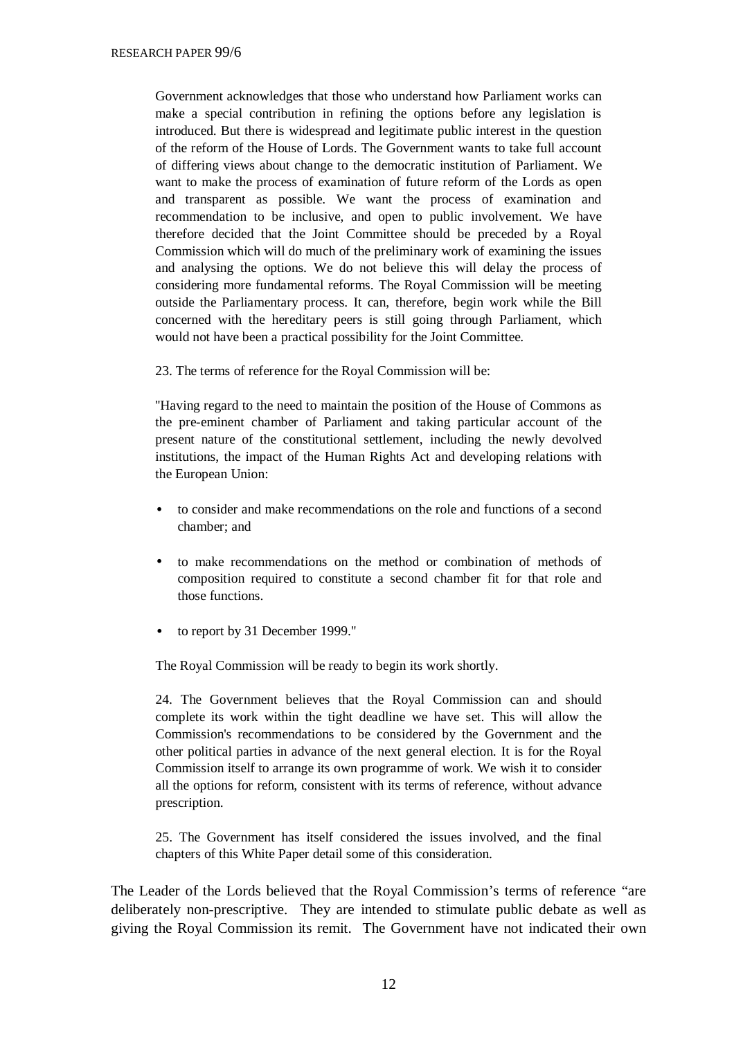Government acknowledges that those who understand how Parliament works can make a special contribution in refining the options before any legislation is introduced. But there is widespread and legitimate public interest in the question of the reform of the House of Lords. The Government wants to take full account of differing views about change to the democratic institution of Parliament. We want to make the process of examination of future reform of the Lords as open and transparent as possible. We want the process of examination and recommendation to be inclusive, and open to public involvement. We have therefore decided that the Joint Committee should be preceded by a Royal Commission which will do much of the preliminary work of examining the issues and analysing the options. We do not believe this will delay the process of considering more fundamental reforms. The Royal Commission will be meeting outside the Parliamentary process. It can, therefore, begin work while the Bill concerned with the hereditary peers is still going through Parliament, which would not have been a practical possibility for the Joint Committee.

23. The terms of reference for the Royal Commission will be:

''Having regard to the need to maintain the position of the House of Commons as the pre-eminent chamber of Parliament and taking particular account of the present nature of the constitutional settlement, including the newly devolved institutions, the impact of the Human Rights Act and developing relations with the European Union:

- to consider and make recommendations on the role and functions of a second chamber; and
- to make recommendations on the method or combination of methods of composition required to constitute a second chamber fit for that role and those functions.
- to report by 31 December 1999."

The Royal Commission will be ready to begin its work shortly.

24. The Government believes that the Royal Commission can and should complete its work within the tight deadline we have set. This will allow the Commission's recommendations to be considered by the Government and the other political parties in advance of the next general election. It is for the Royal Commission itself to arrange its own programme of work. We wish it to consider all the options for reform, consistent with its terms of reference, without advance prescription.

25. The Government has itself considered the issues involved, and the final chapters of this White Paper detail some of this consideration.

The Leader of the Lords believed that the Royal Commission's terms of reference "are deliberately non-prescriptive. They are intended to stimulate public debate as well as giving the Royal Commission its remit. The Government have not indicated their own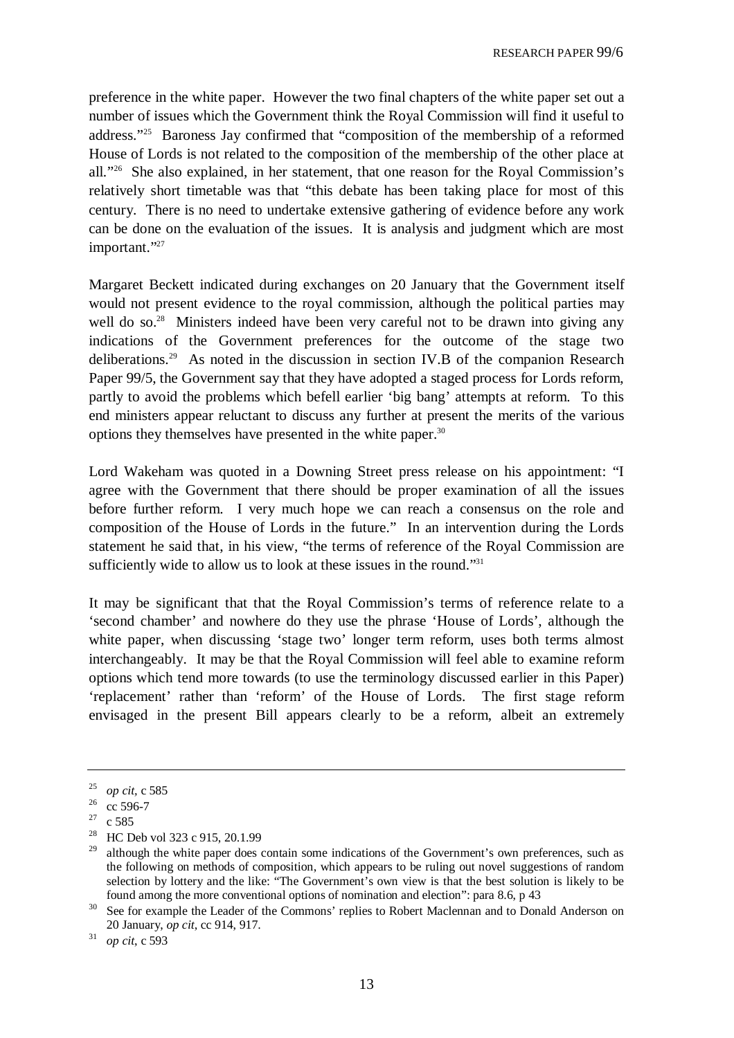preference in the white paper. However the two final chapters of the white paper set out a number of issues which the Government think the Royal Commission will find it useful to address."25 Baroness Jay confirmed that "composition of the membership of a reformed House of Lords is not related to the composition of the membership of the other place at all."26 She also explained, in her statement, that one reason for the Royal Commission's relatively short timetable was that "this debate has been taking place for most of this century. There is no need to undertake extensive gathering of evidence before any work can be done on the evaluation of the issues. It is analysis and judgment which are most important."27

Margaret Beckett indicated during exchanges on 20 January that the Government itself would not present evidence to the royal commission, although the political parties may well do so.<sup>28</sup> Ministers indeed have been very careful not to be drawn into giving any indications of the Government preferences for the outcome of the stage two deliberations.29 As noted in the discussion in section IV.B of the companion Research Paper 99/5, the Government say that they have adopted a staged process for Lords reform, partly to avoid the problems which befell earlier 'big bang' attempts at reform. To this end ministers appear reluctant to discuss any further at present the merits of the various options they themselves have presented in the white paper.30

Lord Wakeham was quoted in a Downing Street press release on his appointment: "I agree with the Government that there should be proper examination of all the issues before further reform. I very much hope we can reach a consensus on the role and composition of the House of Lords in the future." In an intervention during the Lords statement he said that, in his view, "the terms of reference of the Royal Commission are sufficiently wide to allow us to look at these issues in the round."<sup>31</sup>

It may be significant that that the Royal Commission's terms of reference relate to a 'second chamber' and nowhere do they use the phrase 'House of Lords', although the white paper, when discussing 'stage two' longer term reform, uses both terms almost interchangeably. It may be that the Royal Commission will feel able to examine reform options which tend more towards (to use the terminology discussed earlier in this Paper) 'replacement' rather than 'reform' of the House of Lords. The first stage reform envisaged in the present Bill appears clearly to be a reform, albeit an extremely

<sup>25</sup> *op cit,* c 585

 $26 \text{ cc} 596-7$ 

 $27$  c 585

<sup>&</sup>lt;sup>28</sup> HC Deb vol 323 c 915, 20.1.99<sup>29</sup> although the white paper does

although the white paper does contain some indications of the Government's own preferences, such as the following on methods of composition, which appears to be ruling out novel suggestions of random selection by lottery and the like: "The Government's own view is that the best solution is likely to be found among the more conventional options of nomination and election": para 8.6, p 43

See for example the Leader of the Commons' replies to Robert Maclennan and to Donald Anderson on 20 January, *op cit*, cc 914, 917.

<sup>31</sup> *op cit*, c 593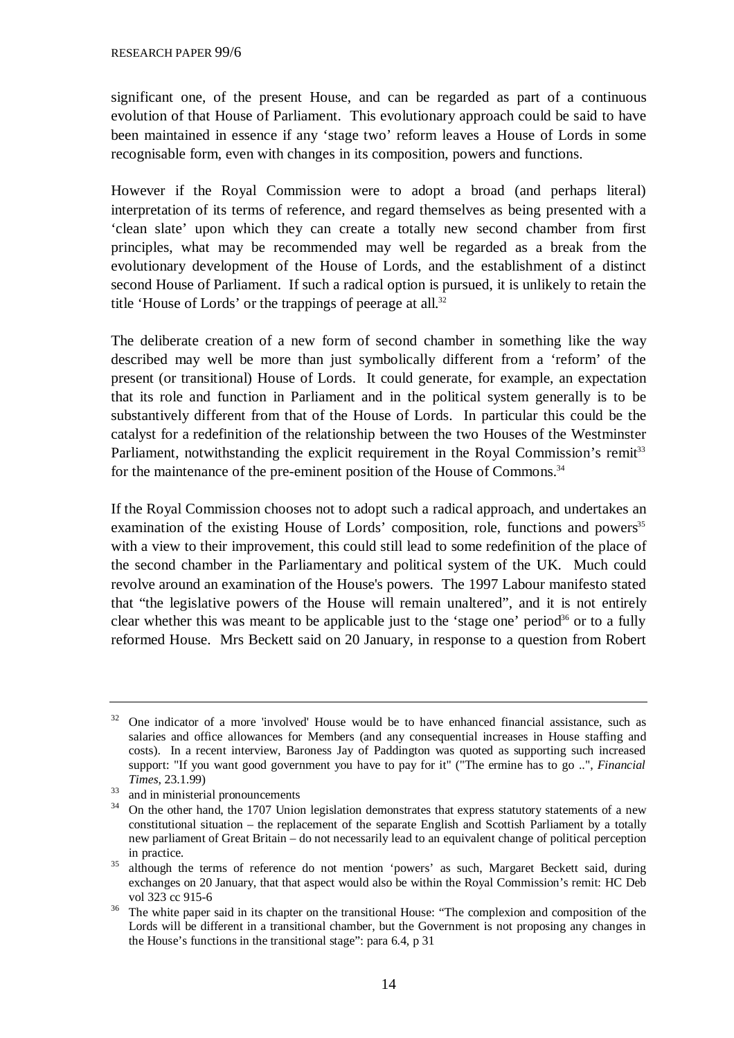significant one, of the present House, and can be regarded as part of a continuous evolution of that House of Parliament. This evolutionary approach could be said to have been maintained in essence if any 'stage two' reform leaves a House of Lords in some recognisable form, even with changes in its composition, powers and functions.

However if the Royal Commission were to adopt a broad (and perhaps literal) interpretation of its terms of reference, and regard themselves as being presented with a 'clean slate' upon which they can create a totally new second chamber from first principles, what may be recommended may well be regarded as a break from the evolutionary development of the House of Lords, and the establishment of a distinct second House of Parliament. If such a radical option is pursued, it is unlikely to retain the title 'House of Lords' or the trappings of peerage at all.<sup>32</sup>

The deliberate creation of a new form of second chamber in something like the way described may well be more than just symbolically different from a 'reform' of the present (or transitional) House of Lords. It could generate, for example, an expectation that its role and function in Parliament and in the political system generally is to be substantively different from that of the House of Lords. In particular this could be the catalyst for a redefinition of the relationship between the two Houses of the Westminster Parliament, notwithstanding the explicit requirement in the Royal Commission's remit<sup>33</sup> for the maintenance of the pre-eminent position of the House of Commons.<sup>34</sup>

If the Royal Commission chooses not to adopt such a radical approach, and undertakes an examination of the existing House of Lords' composition, role, functions and powers $35$ with a view to their improvement, this could still lead to some redefinition of the place of the second chamber in the Parliamentary and political system of the UK. Much could revolve around an examination of the House's powers. The 1997 Labour manifesto stated that "the legislative powers of the House will remain unaltered", and it is not entirely clear whether this was meant to be applicable just to the 'stage one' period<sup>36</sup> or to a fully reformed House. Mrs Beckett said on 20 January, in response to a question from Robert

<sup>&</sup>lt;sup>32</sup> One indicator of a more 'involved' House would be to have enhanced financial assistance, such as salaries and office allowances for Members (and any consequential increases in House staffing and costs). In a recent interview, Baroness Jay of Paddington was quoted as supporting such increased support: "If you want good government you have to pay for it" ("The ermine has to go ..", *Financial Times*, 23.1.99)

<sup>&</sup>lt;sup>33</sup> and in ministerial pronouncements

<sup>&</sup>lt;sup>34</sup> On the other hand, the 1707 Union legislation demonstrates that express statutory statements of a new constitutional situation – the replacement of the separate English and Scottish Parliament by a totally new parliament of Great Britain – do not necessarily lead to an equivalent change of political perception in practice.

<sup>&</sup>lt;sup>35</sup> although the terms of reference do not mention 'powers' as such, Margaret Beckett said, during exchanges on 20 January, that that aspect would also be within the Royal Commission's remit: HC Deb vol 323 cc 915-6

<sup>&</sup>lt;sup>36</sup> The white paper said in its chapter on the transitional House: "The complexion and composition of the Lords will be different in a transitional chamber, but the Government is not proposing any changes in the House's functions in the transitional stage": para 6.4, p 31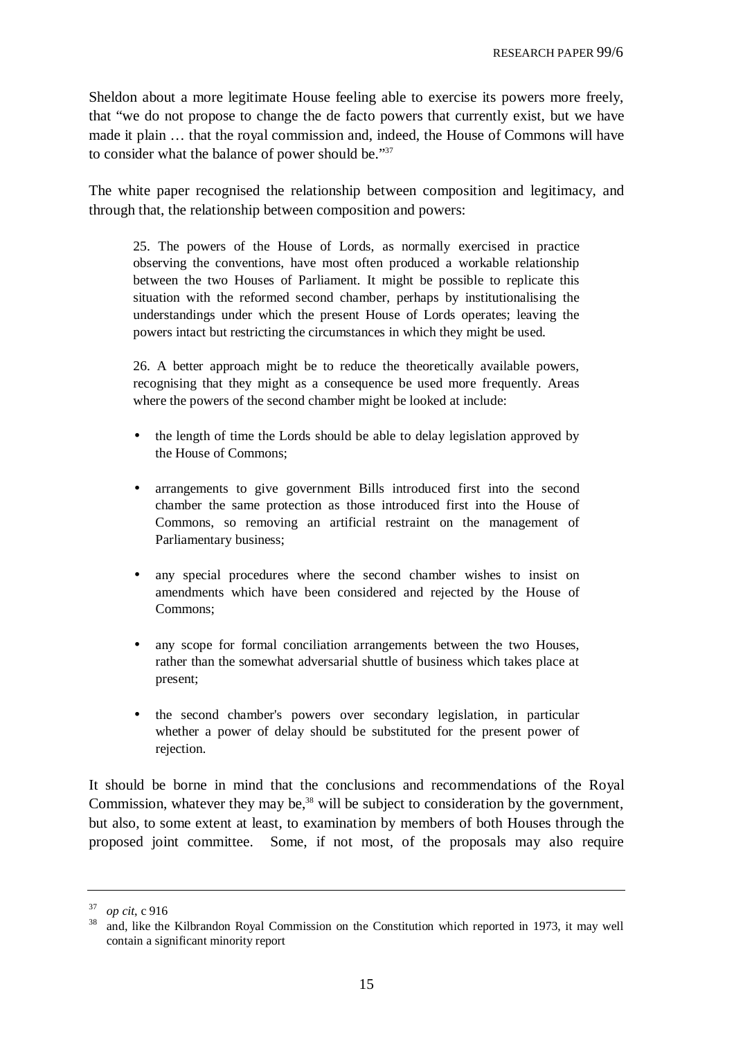Sheldon about a more legitimate House feeling able to exercise its powers more freely, that "we do not propose to change the de facto powers that currently exist, but we have made it plain … that the royal commission and, indeed, the House of Commons will have to consider what the balance of power should be."37

The white paper recognised the relationship between composition and legitimacy, and through that, the relationship between composition and powers:

25. The powers of the House of Lords, as normally exercised in practice observing the conventions, have most often produced a workable relationship between the two Houses of Parliament. It might be possible to replicate this situation with the reformed second chamber, perhaps by institutionalising the understandings under which the present House of Lords operates; leaving the powers intact but restricting the circumstances in which they might be used.

26. A better approach might be to reduce the theoretically available powers, recognising that they might as a consequence be used more frequently. Areas where the powers of the second chamber might be looked at include:

- the length of time the Lords should be able to delay legislation approved by the House of Commons;
- arrangements to give government Bills introduced first into the second chamber the same protection as those introduced first into the House of Commons, so removing an artificial restraint on the management of Parliamentary business;
- any special procedures where the second chamber wishes to insist on amendments which have been considered and rejected by the House of Commons;
- any scope for formal conciliation arrangements between the two Houses, rather than the somewhat adversarial shuttle of business which takes place at present;
- the second chamber's powers over secondary legislation, in particular whether a power of delay should be substituted for the present power of rejection.

It should be borne in mind that the conclusions and recommendations of the Royal Commission, whatever they may be, $38$  will be subject to consideration by the government, but also, to some extent at least, to examination by members of both Houses through the proposed joint committee. Some, if not most, of the proposals may also require

<sup>37</sup> *op cit*, c 916

<sup>&</sup>lt;sup>38</sup> and, like the Kilbrandon Royal Commission on the Constitution which reported in 1973, it may well contain a significant minority report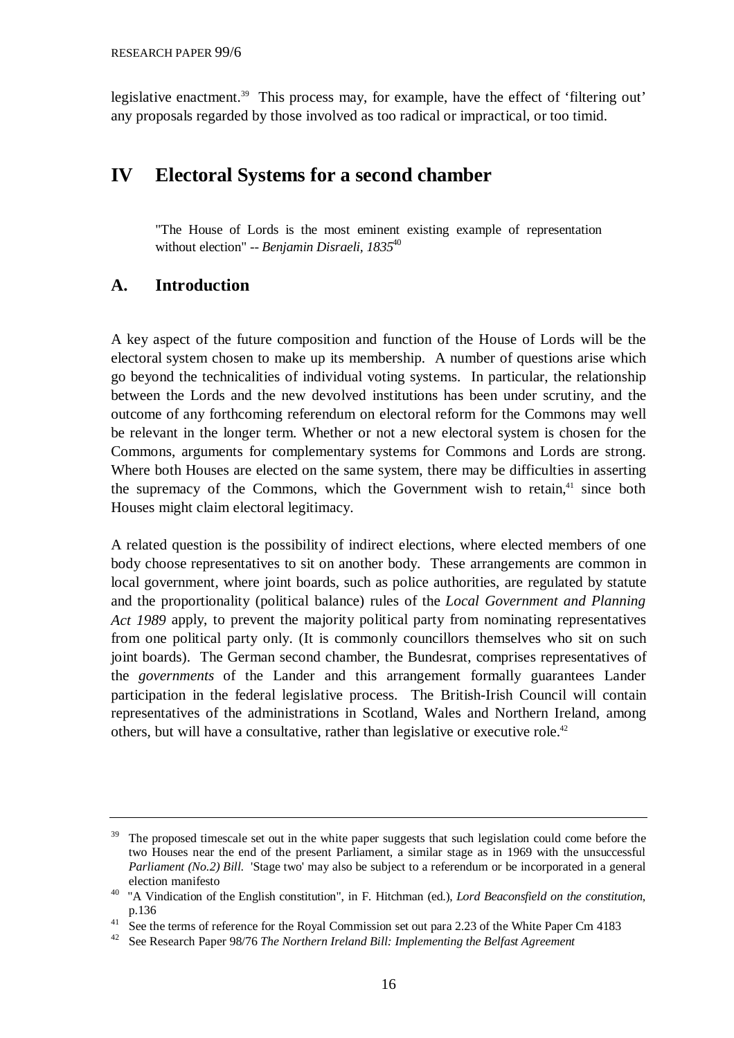legislative enactment.<sup>39</sup> This process may, for example, have the effect of 'filtering out' any proposals regarded by those involved as too radical or impractical, or too timid.

# **IV Electoral Systems for a second chamber**

"The House of Lords is the most eminent existing example of representation without election" -- *Benjamin Disraeli, 1835*<sup>40</sup>

# **A. Introduction**

A key aspect of the future composition and function of the House of Lords will be the electoral system chosen to make up its membership. A number of questions arise which go beyond the technicalities of individual voting systems. In particular, the relationship between the Lords and the new devolved institutions has been under scrutiny, and the outcome of any forthcoming referendum on electoral reform for the Commons may well be relevant in the longer term. Whether or not a new electoral system is chosen for the Commons, arguments for complementary systems for Commons and Lords are strong. Where both Houses are elected on the same system, there may be difficulties in asserting the supremacy of the Commons, which the Government wish to retain, $41$  since both Houses might claim electoral legitimacy.

A related question is the possibility of indirect elections, where elected members of one body choose representatives to sit on another body. These arrangements are common in local government, where joint boards, such as police authorities, are regulated by statute and the proportionality (political balance) rules of the *Local Government and Planning Act 1989* apply, to prevent the majority political party from nominating representatives from one political party only. (It is commonly councillors themselves who sit on such joint boards). The German second chamber, the Bundesrat, comprises representatives of the *governments* of the Lander and this arrangement formally guarantees Lander participation in the federal legislative process. The British-Irish Council will contain representatives of the administrations in Scotland, Wales and Northern Ireland, among others, but will have a consultative, rather than legislative or executive role.<sup>42</sup>

<sup>&</sup>lt;sup>39</sup> The proposed timescale set out in the white paper suggests that such legislation could come before the two Houses near the end of the present Parliament, a similar stage as in 1969 with the unsuccessful *Parliament (No.2) Bill.* 'Stage two' may also be subject to a referendum or be incorporated in a general election manifesto

<sup>40</sup> "A Vindication of the English constitution", in F. Hitchman (ed.), *Lord Beaconsfield on the constitution*, p.136

<sup>&</sup>lt;sup>41</sup> See the terms of reference for the Royal Commission set out para 2.23 of the White Paper Cm 4183

<sup>42</sup> See Research Paper 98/76 *The Northern Ireland Bill: Implementing the Belfast Agreement*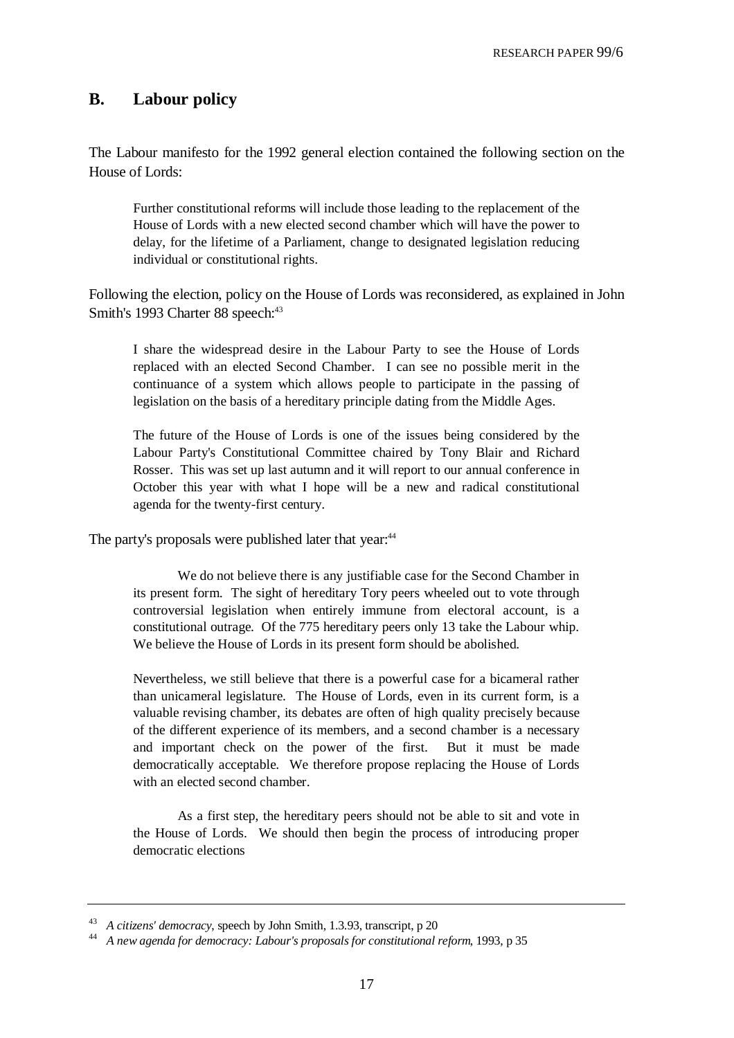### **B. Labour policy**

The Labour manifesto for the 1992 general election contained the following section on the House of Lords:

Further constitutional reforms will include those leading to the replacement of the House of Lords with a new elected second chamber which will have the power to delay, for the lifetime of a Parliament, change to designated legislation reducing individual or constitutional rights.

Following the election, policy on the House of Lords was reconsidered, as explained in John Smith's 1993 Charter 88 speech:<sup>43</sup>

I share the widespread desire in the Labour Party to see the House of Lords replaced with an elected Second Chamber. I can see no possible merit in the continuance of a system which allows people to participate in the passing of legislation on the basis of a hereditary principle dating from the Middle Ages.

The future of the House of Lords is one of the issues being considered by the Labour Party's Constitutional Committee chaired by Tony Blair and Richard Rosser. This was set up last autumn and it will report to our annual conference in October this year with what I hope will be a new and radical constitutional agenda for the twenty-first century.

The party's proposals were published later that year:<sup>44</sup>

We do not believe there is any justifiable case for the Second Chamber in its present form. The sight of hereditary Tory peers wheeled out to vote through controversial legislation when entirely immune from electoral account, is a constitutional outrage. Of the 775 hereditary peers only 13 take the Labour whip. We believe the House of Lords in its present form should be abolished.

Nevertheless, we still believe that there is a powerful case for a bicameral rather than unicameral legislature. The House of Lords, even in its current form, is a valuable revising chamber, its debates are often of high quality precisely because of the different experience of its members, and a second chamber is a necessary and important check on the power of the first. But it must be made democratically acceptable. We therefore propose replacing the House of Lords with an elected second chamber.

As a first step, the hereditary peers should not be able to sit and vote in the House of Lords. We should then begin the process of introducing proper democratic elections

<sup>43</sup> *A citizens' democracy*, speech by John Smith, 1.3.93, transcript, p 20

<sup>44</sup> *A new agenda for democracy: Labour's proposals for constitutional reform*, 1993, p 35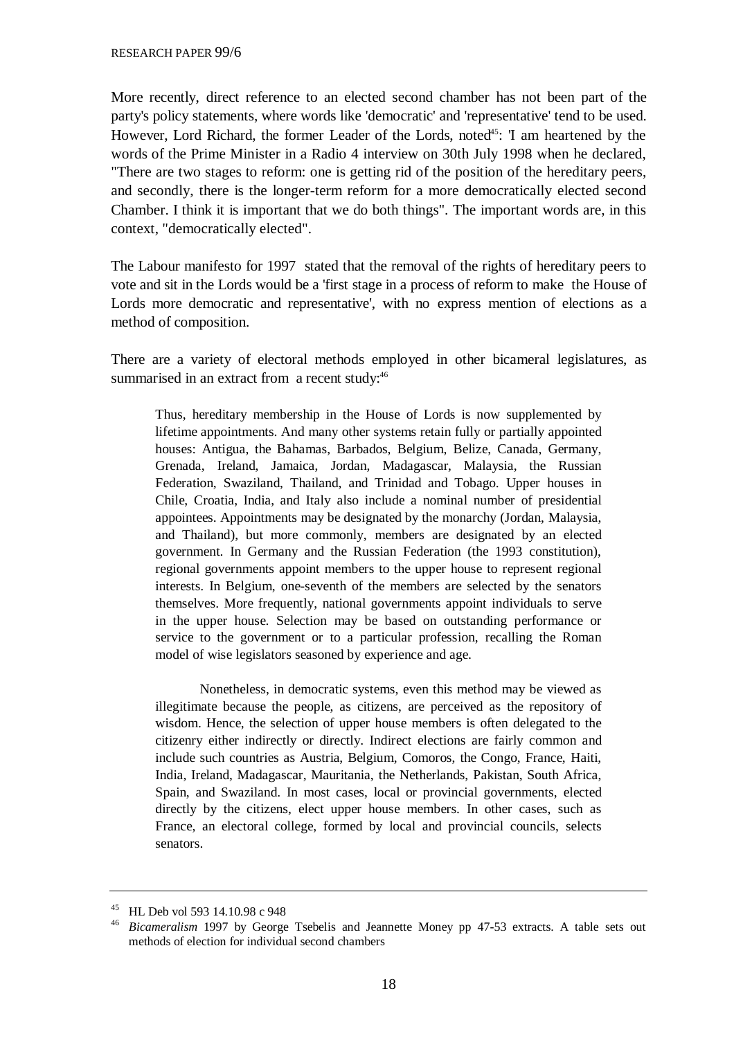More recently, direct reference to an elected second chamber has not been part of the party's policy statements, where words like 'democratic' and 'representative' tend to be used. However, Lord Richard, the former Leader of the Lords, noted<sup>45</sup>: T am heartened by the words of the Prime Minister in a Radio 4 interview on 30th July 1998 when he declared, "There are two stages to reform: one is getting rid of the position of the hereditary peers, and secondly, there is the longer-term reform for a more democratically elected second Chamber. I think it is important that we do both things". The important words are, in this context, "democratically elected".

The Labour manifesto for 1997 stated that the removal of the rights of hereditary peers to vote and sit in the Lords would be a 'first stage in a process of reform to make the House of Lords more democratic and representative', with no express mention of elections as a method of composition.

There are a variety of electoral methods employed in other bicameral legislatures, as summarised in an extract from a recent study:<sup>46</sup>

Thus, hereditary membership in the House of Lords is now supplemented by lifetime appointments. And many other systems retain fully or partially appointed houses: Antigua, the Bahamas, Barbados, Belgium, Belize, Canada, Germany, Grenada, Ireland, Jamaica, Jordan, Madagascar, Malaysia, the Russian Federation, Swaziland, Thailand, and Trinidad and Tobago. Upper houses in Chile, Croatia, India, and Italy also include a nominal number of presidential appointees. Appointments may be designated by the monarchy (Jordan, Malaysia, and Thailand), but more commonly, members are designated by an elected government. In Germany and the Russian Federation (the 1993 constitution), regional governments appoint members to the upper house to represent regional interests. In Belgium, one-seventh of the members are selected by the senators themselves. More frequently, national governments appoint individuals to serve in the upper house. Selection may be based on outstanding performance or service to the government or to a particular profession, recalling the Roman model of wise legislators seasoned by experience and age.

Nonetheless, in democratic systems, even this method may be viewed as illegitimate because the people, as citizens, are perceived as the repository of wisdom. Hence, the selection of upper house members is often delegated to the citizenry either indirectly or directly. Indirect elections are fairly common and include such countries as Austria, Belgium, Comoros, the Congo, France, Haiti, India, Ireland, Madagascar, Mauritania, the Netherlands, Pakistan, South Africa, Spain, and Swaziland. In most cases, local or provincial governments, elected directly by the citizens, elect upper house members. In other cases, such as France, an electoral college, formed by local and provincial councils, selects senators.

HL Deb vol 593 14.10.98 c 948

<sup>46</sup> *Bicameralism* 1997 by George Tsebelis and Jeannette Money pp 47-53 extracts. A table sets out methods of election for individual second chambers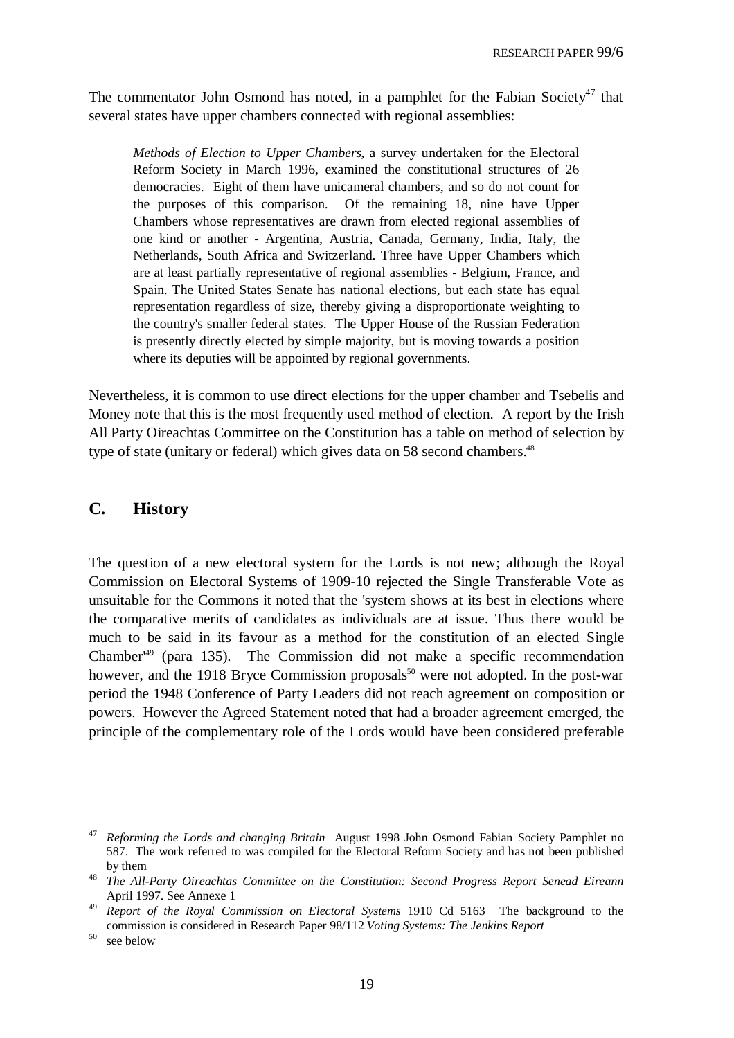The commentator John Osmond has noted, in a pamphlet for the Fabian Society<sup>47</sup> that several states have upper chambers connected with regional assemblies:

*Methods of Election to Upper Chambers*, a survey undertaken for the Electoral Reform Society in March 1996, examined the constitutional structures of 26 democracies. Eight of them have unicameral chambers, and so do not count for the purposes of this comparison. Of the remaining 18, nine have Upper Chambers whose representatives are drawn from elected regional assemblies of one kind or another - Argentina, Austria, Canada, Germany, India, Italy, the Netherlands, South Africa and Switzerland. Three have Upper Chambers which are at least partially representative of regional assemblies - Belgium, France, and Spain. The United States Senate has national elections, but each state has equal representation regardless of size, thereby giving a disproportionate weighting to the country's smaller federal states. The Upper House of the Russian Federation is presently directly elected by simple majority, but is moving towards a position where its deputies will be appointed by regional governments.

Nevertheless, it is common to use direct elections for the upper chamber and Tsebelis and Money note that this is the most frequently used method of election. A report by the Irish All Party Oireachtas Committee on the Constitution has a table on method of selection by type of state (unitary or federal) which gives data on 58 second chambers.<sup>48</sup>

#### **C. History**

The question of a new electoral system for the Lords is not new; although the Royal Commission on Electoral Systems of 1909-10 rejected the Single Transferable Vote as unsuitable for the Commons it noted that the 'system shows at its best in elections where the comparative merits of candidates as individuals are at issue. Thus there would be much to be said in its favour as a method for the constitution of an elected Single Chamber'49 (para 135). The Commission did not make a specific recommendation however, and the 1918 Bryce Commission proposals<sup>50</sup> were not adopted. In the post-war period the 1948 Conference of Party Leaders did not reach agreement on composition or powers. However the Agreed Statement noted that had a broader agreement emerged, the principle of the complementary role of the Lords would have been considered preferable

<sup>47</sup> *Reforming the Lords and changing Britain* August 1998 John Osmond Fabian Society Pamphlet no 587. The work referred to was compiled for the Electoral Reform Society and has not been published by them

<sup>48</sup> *The All-Party Oireachtas Committee on the Constitution: Second Progress Report Senead Eireann* April 1997. See Annexe 1

<sup>49</sup> *Report of the Royal Commission on Electoral Systems* 1910 Cd 5163 The background to the commission is considered in Research Paper 98/112 *Voting Systems: The Jenkins Report*

<sup>50</sup> see below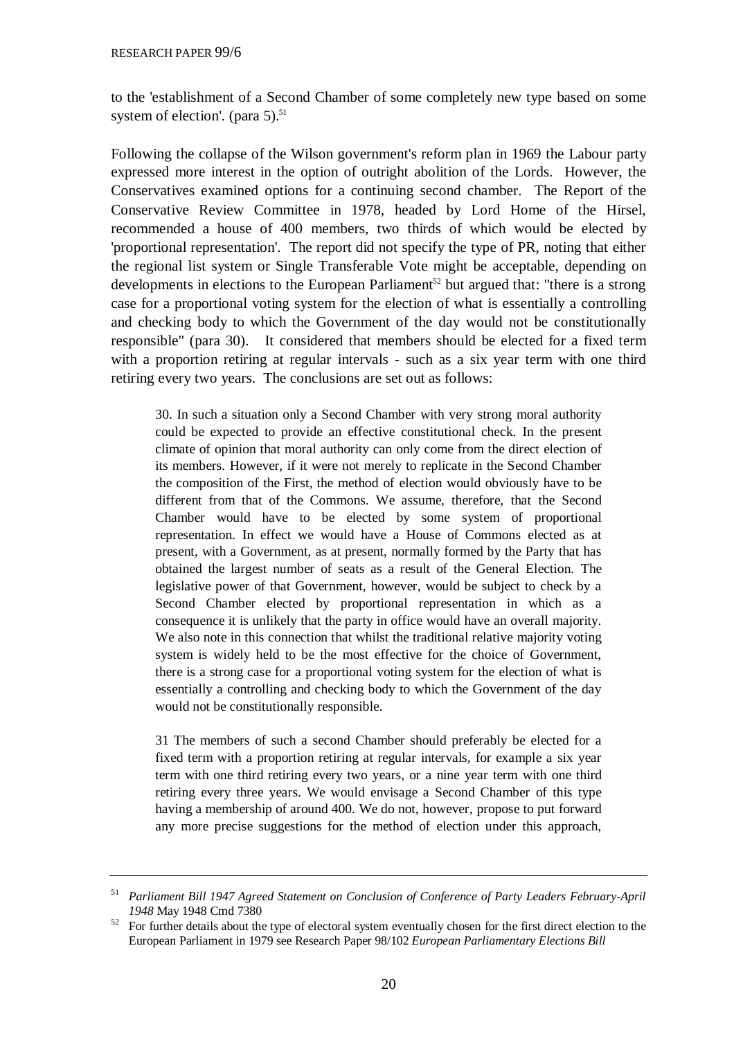to the 'establishment of a Second Chamber of some completely new type based on some system of election'. (para  $5$ ).<sup>51</sup>

Following the collapse of the Wilson government's reform plan in 1969 the Labour party expressed more interest in the option of outright abolition of the Lords. However, the Conservatives examined options for a continuing second chamber. The Report of the Conservative Review Committee in 1978, headed by Lord Home of the Hirsel, recommended a house of 400 members, two thirds of which would be elected by 'proportional representation'. The report did not specify the type of PR, noting that either the regional list system or Single Transferable Vote might be acceptable, depending on developments in elections to the European Parliament<sup>52</sup> but argued that: "there is a strong case for a proportional voting system for the election of what is essentially a controlling and checking body to which the Government of the day would not be constitutionally responsible" (para 30). It considered that members should be elected for a fixed term with a proportion retiring at regular intervals - such as a six year term with one third retiring every two years. The conclusions are set out as follows:

30. In such a situation only a Second Chamber with very strong moral authority could be expected to provide an effective constitutional check. In the present climate of opinion that moral authority can only come from the direct election of its members. However, if it were not merely to replicate in the Second Chamber the composition of the First, the method of election would obviously have to be different from that of the Commons. We assume, therefore, that the Second Chamber would have to be elected by some system of proportional representation. In effect we would have a House of Commons elected as at present, with a Government, as at present, normally formed by the Party that has obtained the largest number of seats as a result of the General Election. The legislative power of that Government, however, would be subject to check by a Second Chamber elected by proportional representation in which as a consequence it is unlikely that the party in office would have an overall majority. We also note in this connection that whilst the traditional relative majority voting system is widely held to be the most effective for the choice of Government, there is a strong case for a proportional voting system for the election of what is essentially a controlling and checking body to which the Government of the day would not be constitutionally responsible.

31 The members of such a second Chamber should preferably be elected for a fixed term with a proportion retiring at regular intervals, for example a six year term with one third retiring every two years, or a nine year term with one third retiring every three years. We would envisage a Second Chamber of this type having a membership of around 400. We do not, however, propose to put forward any more precise suggestions for the method of election under this approach,

<sup>51</sup> *Parliament Bill 1947 Agreed Statement on Conclusion of Conference of Party Leaders February-April 1948* May 1948 Cmd 7380

<sup>&</sup>lt;sup>52</sup> For further details about the type of electoral system eventually chosen for the first direct election to the European Parliament in 1979 see Research Paper 98/102 *European Parliamentary Elections Bill*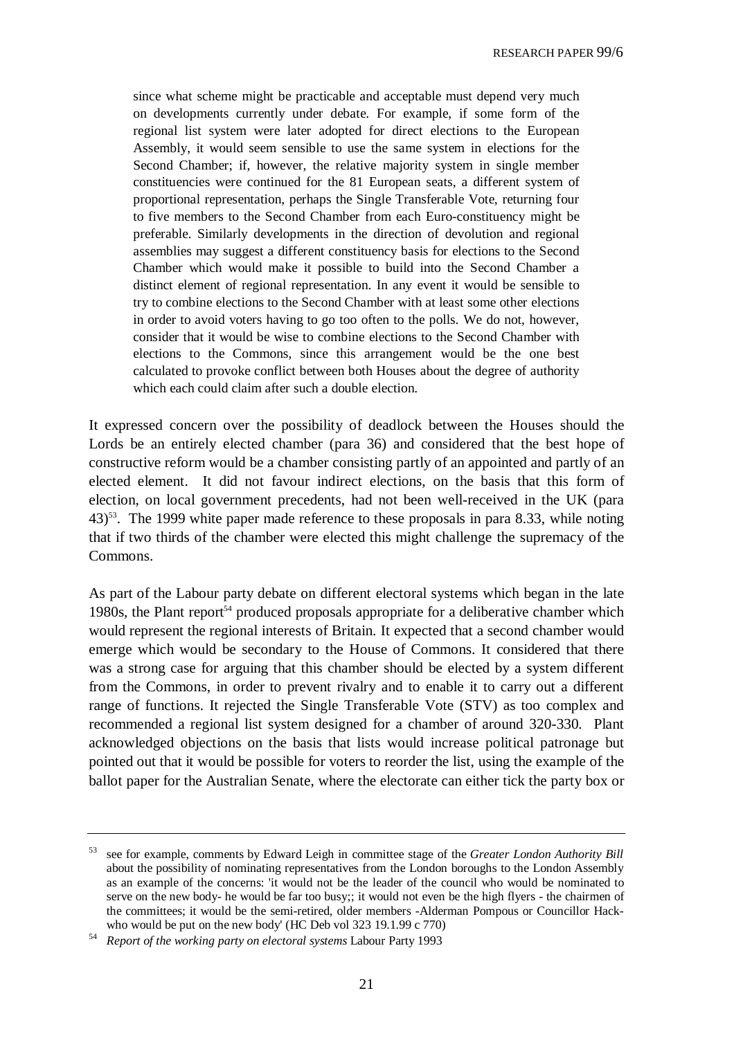since what scheme might be practicable and acceptable must depend very much on developments currently under debate. For example, if some form of the regional list system were later adopted for direct elections to the European Assembly, it would seem sensible to use the same system in elections for the Second Chamber; if, however, the relative majority system in single member constituencies were continued for the 81 European seats, a different system of proportional representation, perhaps the Single Transferable Vote, returning four to five members to the Second Chamber from each Euro-constituency might be preferable. Similarly developments in the direction of devolution and regional assemblies may suggest a different constituency basis for elections to the Second Chamber which would make it possible to build into the Second Chamber a distinct element of regional representation. In any event it would be sensible to try to combine elections to the Second Chamber with at least some other elections in order to avoid voters having to go too often to the polls. We do not, however, consider that it would be wise to combine elections to the Second Chamber with elections to the Commons, since this arrangement would be the one best calculated to provoke conflict between both Houses about the degree of authority which each could claim after such a double election.

It expressed concern over the possibility of deadlock between the Houses should the Lords be an entirely elected chamber (para 36) and considered that the best hope of constructive reform would be a chamber consisting partly of an appointed and partly of an elected element. It did not favour indirect elections, on the basis that this form of election, on local government precedents, had not been well-received in the UK (para 43)53. The 1999 white paper made reference to these proposals in para 8.33, while noting that if two thirds of the chamber were elected this might challenge the supremacy of the Commons.

As part of the Labour party debate on different electoral systems which began in the late 1980s, the Plant report<sup>54</sup> produced proposals appropriate for a deliberative chamber which would represent the regional interests of Britain. It expected that a second chamber would emerge which would be secondary to the House of Commons. It considered that there was a strong case for arguing that this chamber should be elected by a system different from the Commons, in order to prevent rivalry and to enable it to carry out a different range of functions. It rejected the Single Transferable Vote (STV) as too complex and recommended a regional list system designed for a chamber of around 320-330. Plant acknowledged objections on the basis that lists would increase political patronage but pointed out that it would be possible for voters to reorder the list, using the example of the ballot paper for the Australian Senate, where the electorate can either tick the party box or

<sup>53</sup> see for example, comments by Edward Leigh in committee stage of the *Greater London Authority Bill* about the possibility of nominating representatives from the London boroughs to the London Assembly as an example of the concerns: 'it would not be the leader of the council who would be nominated to serve on the new body- he would be far too busy;; it would not even be the high flyers - the chairmen of the committees; it would be the semi-retired, older members -Alderman Pompous or Councillor Hackwho would be put on the new body' (HC Deb vol 323 19.1.99 c 770)

<sup>54</sup> *Report of the working party on electoral systems* Labour Party 1993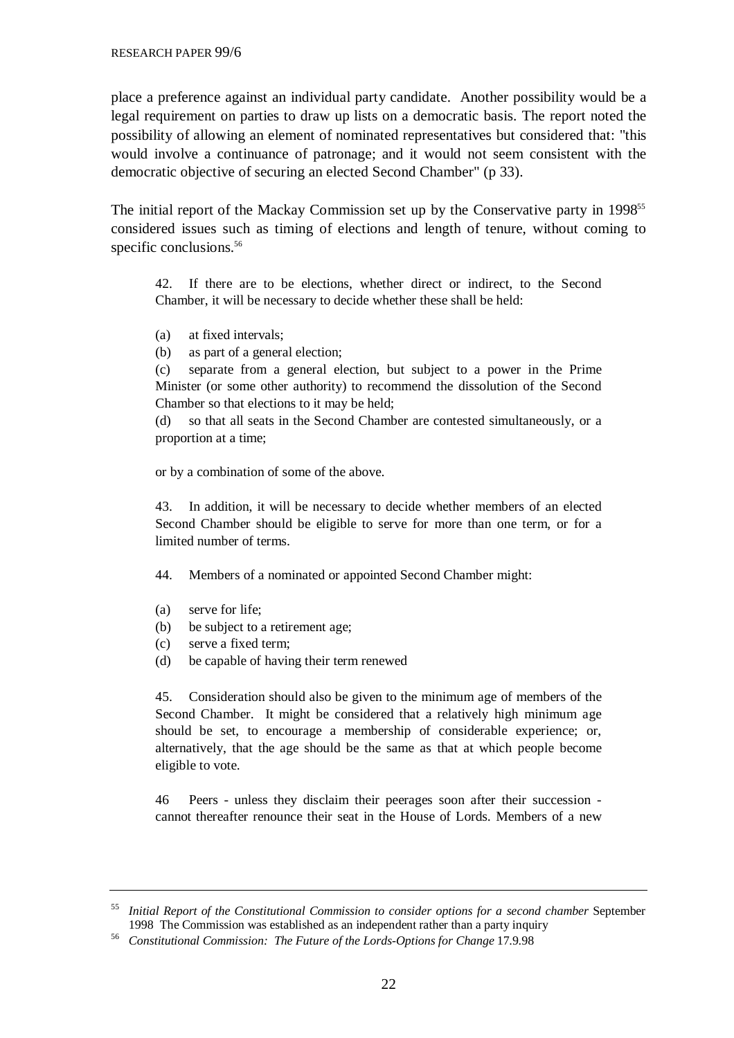place a preference against an individual party candidate. Another possibility would be a legal requirement on parties to draw up lists on a democratic basis. The report noted the possibility of allowing an element of nominated representatives but considered that: "this would involve a continuance of patronage; and it would not seem consistent with the democratic objective of securing an elected Second Chamber" (p 33).

The initial report of the Mackay Commission set up by the Conservative party in 1998<sup>55</sup> considered issues such as timing of elections and length of tenure, without coming to specific conclusions.<sup>56</sup>

42. If there are to be elections, whether direct or indirect, to the Second Chamber, it will be necessary to decide whether these shall be held:

- (a) at fixed intervals;
- (b) as part of a general election;

(c) separate from a general election, but subject to a power in the Prime Minister (or some other authority) to recommend the dissolution of the Second Chamber so that elections to it may be held;

(d) so that all seats in the Second Chamber are contested simultaneously, or a proportion at a time;

or by a combination of some of the above.

43. In addition, it will be necessary to decide whether members of an elected Second Chamber should be eligible to serve for more than one term, or for a limited number of terms.

44. Members of a nominated or appointed Second Chamber might:

- (a) serve for life;
- (b) be subject to a retirement age;
- (c) serve a fixed term;
- (d) be capable of having their term renewed

45. Consideration should also be given to the minimum age of members of the Second Chamber. It might be considered that a relatively high minimum age should be set, to encourage a membership of considerable experience; or, alternatively, that the age should be the same as that at which people become eligible to vote.

46 Peers - unless they disclaim their peerages soon after their succession cannot thereafter renounce their seat in the House of Lords. Members of a new

<sup>55</sup> *Initial Report of the Constitutional Commission to consider options for a second chamber* September 1998 The Commission was established as an independent rather than a party inquiry

<sup>56</sup> *Constitutional Commission: The Future of the Lords-Options for Change* 17.9.98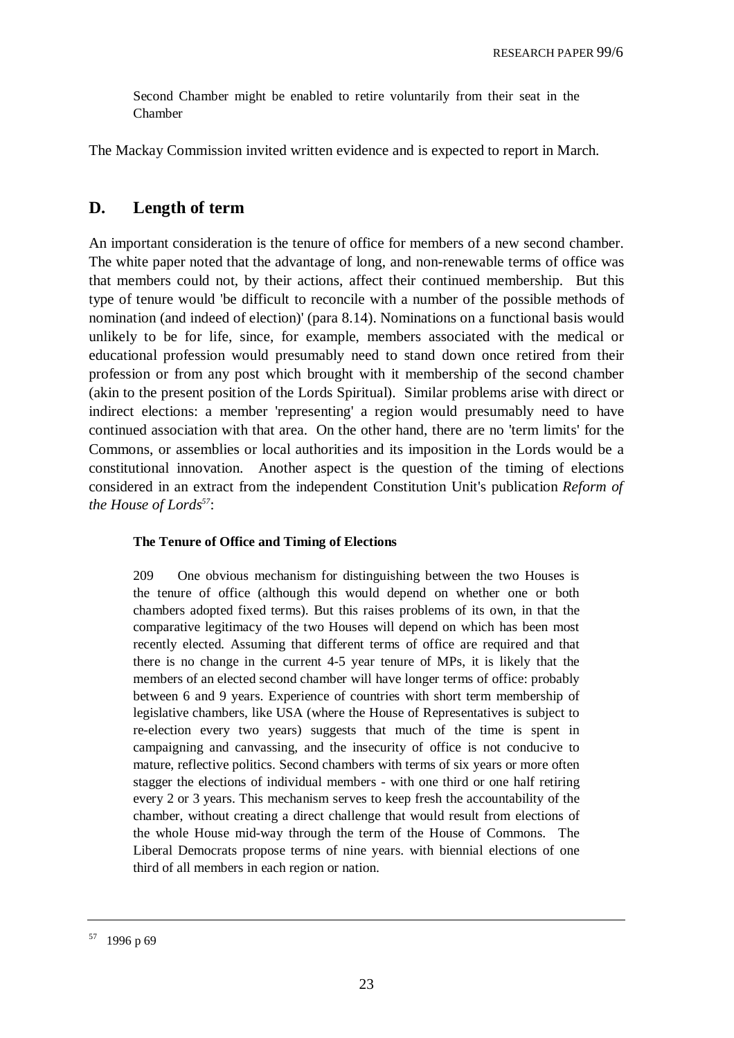Second Chamber might be enabled to retire voluntarily from their seat in the Chamber

The Mackay Commission invited written evidence and is expected to report in March.

### **D. Length of term**

An important consideration is the tenure of office for members of a new second chamber. The white paper noted that the advantage of long, and non-renewable terms of office was that members could not, by their actions, affect their continued membership. But this type of tenure would 'be difficult to reconcile with a number of the possible methods of nomination (and indeed of election)' (para 8.14). Nominations on a functional basis would unlikely to be for life, since, for example, members associated with the medical or educational profession would presumably need to stand down once retired from their profession or from any post which brought with it membership of the second chamber (akin to the present position of the Lords Spiritual). Similar problems arise with direct or indirect elections: a member 'representing' a region would presumably need to have continued association with that area. On the other hand, there are no 'term limits' for the Commons, or assemblies or local authorities and its imposition in the Lords would be a constitutional innovation. Another aspect is the question of the timing of elections considered in an extract from the independent Constitution Unit's publication *Reform of the House of Lords57*:

#### **The Tenure of Office and Timing of Elections**

209 One obvious mechanism for distinguishing between the two Houses is the tenure of office (although this would depend on whether one or both chambers adopted fixed terms). But this raises problems of its own, in that the comparative legitimacy of the two Houses will depend on which has been most recently elected. Assuming that different terms of office are required and that there is no change in the current 4-5 year tenure of MPs, it is likely that the members of an elected second chamber will have longer terms of office: probably between 6 and 9 years. Experience of countries with short term membership of legislative chambers, like USA (where the House of Representatives is subject to re-election every two years) suggests that much of the time is spent in campaigning and canvassing, and the insecurity of office is not conducive to mature, reflective politics. Second chambers with terms of six years or more often stagger the elections of individual members - with one third or one half retiring every 2 or 3 years. This mechanism serves to keep fresh the accountability of the chamber, without creating a direct challenge that would result from elections of the whole House mid-way through the term of the House of Commons. The Liberal Democrats propose terms of nine years. with biennial elections of one third of all members in each region or nation.

<sup>57 1996</sup> p 69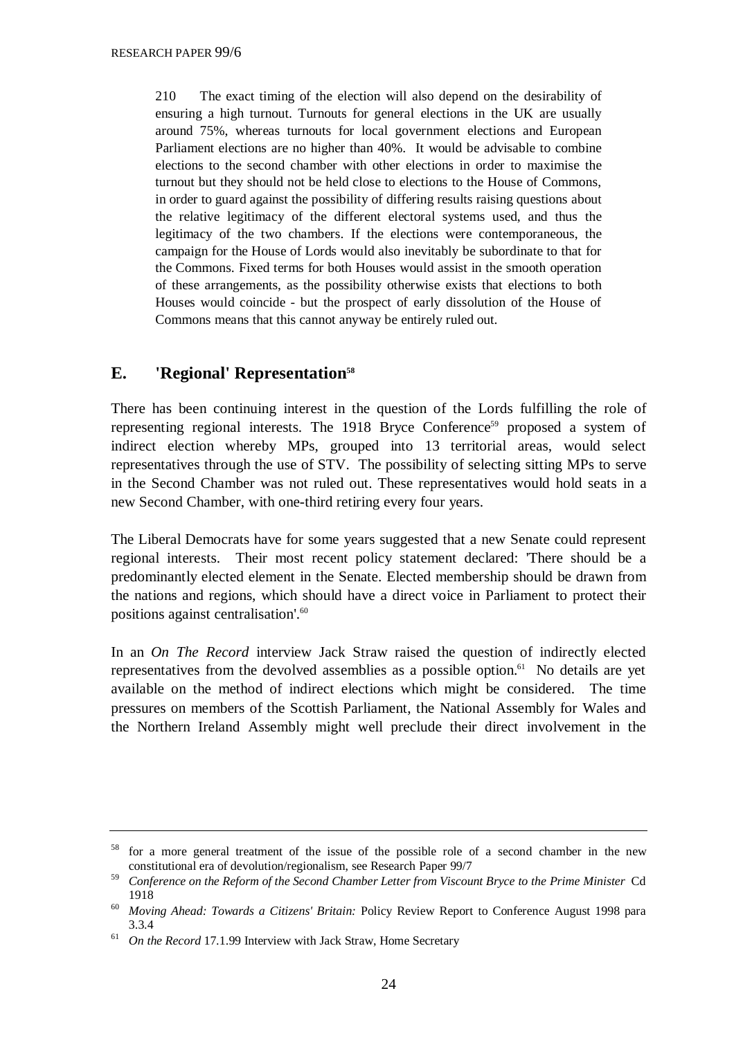210 The exact timing of the election will also depend on the desirability of ensuring a high turnout. Turnouts for general elections in the UK are usually around 75%, whereas turnouts for local government elections and European Parliament elections are no higher than 40%. It would be advisable to combine elections to the second chamber with other elections in order to maximise the turnout but they should not be held close to elections to the House of Commons, in order to guard against the possibility of differing results raising questions about the relative legitimacy of the different electoral systems used, and thus the legitimacy of the two chambers. If the elections were contemporaneous, the campaign for the House of Lords would also inevitably be subordinate to that for the Commons. Fixed terms for both Houses would assist in the smooth operation of these arrangements, as the possibility otherwise exists that elections to both Houses would coincide - but the prospect of early dissolution of the House of Commons means that this cannot anyway be entirely ruled out.

# **E. 'Regional' Representation**<sup>58</sup>

There has been continuing interest in the question of the Lords fulfilling the role of representing regional interests. The 1918 Bryce Conference<sup>59</sup> proposed a system of indirect election whereby MPs, grouped into 13 territorial areas, would select representatives through the use of STV. The possibility of selecting sitting MPs to serve in the Second Chamber was not ruled out. These representatives would hold seats in a new Second Chamber, with one-third retiring every four years.

The Liberal Democrats have for some years suggested that a new Senate could represent regional interests. Their most recent policy statement declared: 'There should be a predominantly elected element in the Senate. Elected membership should be drawn from the nations and regions, which should have a direct voice in Parliament to protect their positions against centralisation'.60

In an *On The Record* interview Jack Straw raised the question of indirectly elected representatives from the devolved assemblies as a possible option.<sup>61</sup> No details are yet available on the method of indirect elections which might be considered. The time pressures on members of the Scottish Parliament, the National Assembly for Wales and the Northern Ireland Assembly might well preclude their direct involvement in the

<sup>58</sup> for a more general treatment of the issue of the possible role of a second chamber in the new constitutional era of devolution/regionalism, see Research Paper 99/7

<sup>59</sup> *Conference on the Reform of the Second Chamber Letter from Viscount Bryce to the Prime Minister* Cd 1918

<sup>60</sup> *Moving Ahead: Towards a Citizens' Britain:* Policy Review Report to Conference August 1998 para 3.3.4

<sup>61</sup> *On the Record* 17.1.99 Interview with Jack Straw, Home Secretary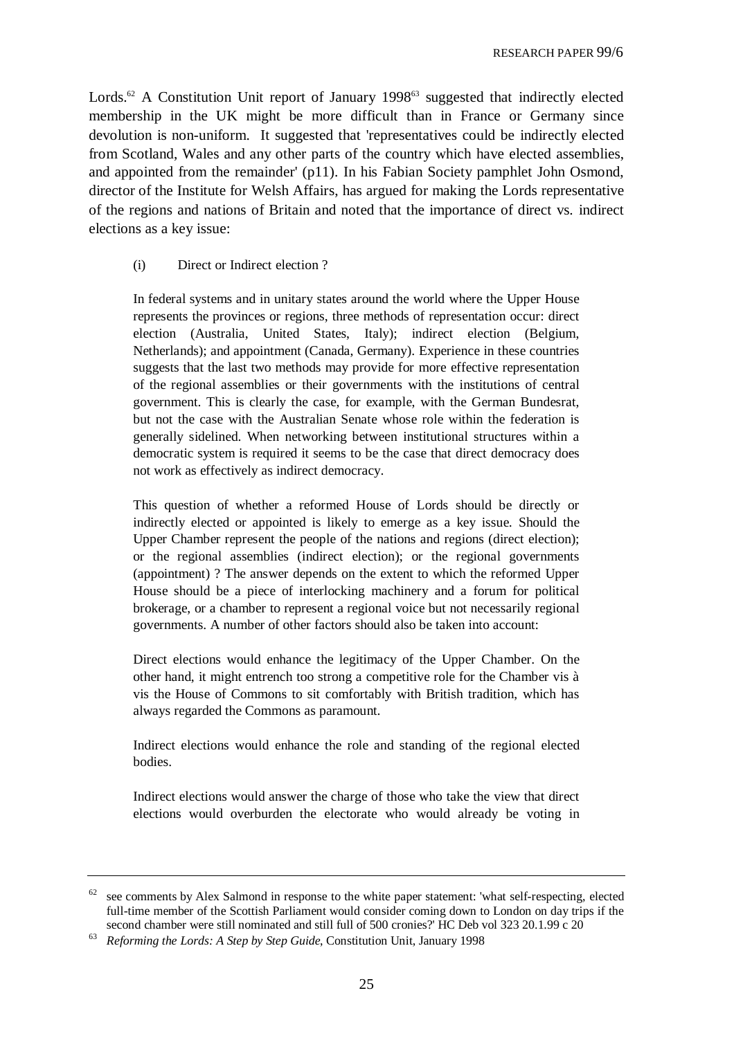Lords.<sup>62</sup> A Constitution Unit report of January 1998<sup>63</sup> suggested that indirectly elected membership in the UK might be more difficult than in France or Germany since devolution is non-uniform. It suggested that 'representatives could be indirectly elected from Scotland, Wales and any other parts of the country which have elected assemblies, and appointed from the remainder' (p11). In his Fabian Society pamphlet John Osmond, director of the Institute for Welsh Affairs, has argued for making the Lords representative of the regions and nations of Britain and noted that the importance of direct vs. indirect elections as a key issue:

#### (i) Direct or Indirect election ?

In federal systems and in unitary states around the world where the Upper House represents the provinces or regions, three methods of representation occur: direct election (Australia, United States, Italy); indirect election (Belgium, Netherlands); and appointment (Canada, Germany). Experience in these countries suggests that the last two methods may provide for more effective representation of the regional assemblies or their governments with the institutions of central government. This is clearly the case, for example, with the German Bundesrat, but not the case with the Australian Senate whose role within the federation is generally sidelined. When networking between institutional structures within a democratic system is required it seems to be the case that direct democracy does not work as effectively as indirect democracy.

This question of whether a reformed House of Lords should be directly or indirectly elected or appointed is likely to emerge as a key issue. Should the Upper Chamber represent the people of the nations and regions (direct election); or the regional assemblies (indirect election); or the regional governments (appointment) ? The answer depends on the extent to which the reformed Upper House should be a piece of interlocking machinery and a forum for political brokerage, or a chamber to represent a regional voice but not necessarily regional governments. A number of other factors should also be taken into account:

Direct elections would enhance the legitimacy of the Upper Chamber. On the other hand, it might entrench too strong a competitive role for the Chamber vis à vis the House of Commons to sit comfortably with British tradition, which has always regarded the Commons as paramount.

Indirect elections would enhance the role and standing of the regional elected bodies.

Indirect elections would answer the charge of those who take the view that direct elections would overburden the electorate who would already be voting in

see comments by Alex Salmond in response to the white paper statement: 'what self-respecting, elected full-time member of the Scottish Parliament would consider coming down to London on day trips if the second chamber were still nominated and still full of 500 cronies?' HC Deb vol 323 20.1.99 c 20

<sup>63</sup> *Reforming the Lords: A Step by Step Guide*, Constitution Unit, January 1998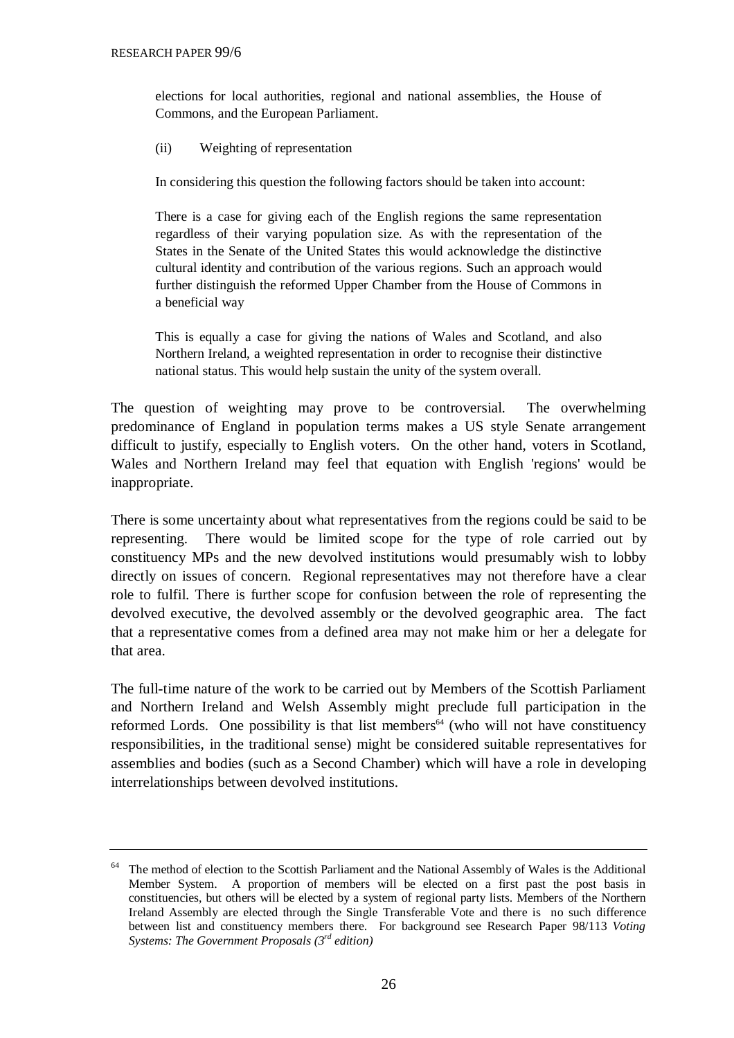elections for local authorities, regional and national assemblies, the House of Commons, and the European Parliament.

(ii) Weighting of representation

In considering this question the following factors should be taken into account:

There is a case for giving each of the English regions the same representation regardless of their varying population size. As with the representation of the States in the Senate of the United States this would acknowledge the distinctive cultural identity and contribution of the various regions. Such an approach would further distinguish the reformed Upper Chamber from the House of Commons in a beneficial way

This is equally a case for giving the nations of Wales and Scotland, and also Northern Ireland, a weighted representation in order to recognise their distinctive national status. This would help sustain the unity of the system overall.

The question of weighting may prove to be controversial. The overwhelming predominance of England in population terms makes a US style Senate arrangement difficult to justify, especially to English voters. On the other hand, voters in Scotland, Wales and Northern Ireland may feel that equation with English 'regions' would be inappropriate.

There is some uncertainty about what representatives from the regions could be said to be representing. There would be limited scope for the type of role carried out by constituency MPs and the new devolved institutions would presumably wish to lobby directly on issues of concern. Regional representatives may not therefore have a clear role to fulfil. There is further scope for confusion between the role of representing the devolved executive, the devolved assembly or the devolved geographic area. The fact that a representative comes from a defined area may not make him or her a delegate for that area.

The full-time nature of the work to be carried out by Members of the Scottish Parliament and Northern Ireland and Welsh Assembly might preclude full participation in the reformed Lords. One possibility is that list members<sup> $64$ </sup> (who will not have constituency responsibilities, in the traditional sense) might be considered suitable representatives for assemblies and bodies (such as a Second Chamber) which will have a role in developing interrelationships between devolved institutions.

<sup>&</sup>lt;sup>64</sup> The method of election to the Scottish Parliament and the National Assembly of Wales is the Additional Member System. A proportion of members will be elected on a first past the post basis in constituencies, but others will be elected by a system of regional party lists. Members of the Northern Ireland Assembly are elected through the Single Transferable Vote and there is no such difference between list and constituency members there. For background see Research Paper 98/113 *Voting Systems: The Government Proposals (3rd edition)*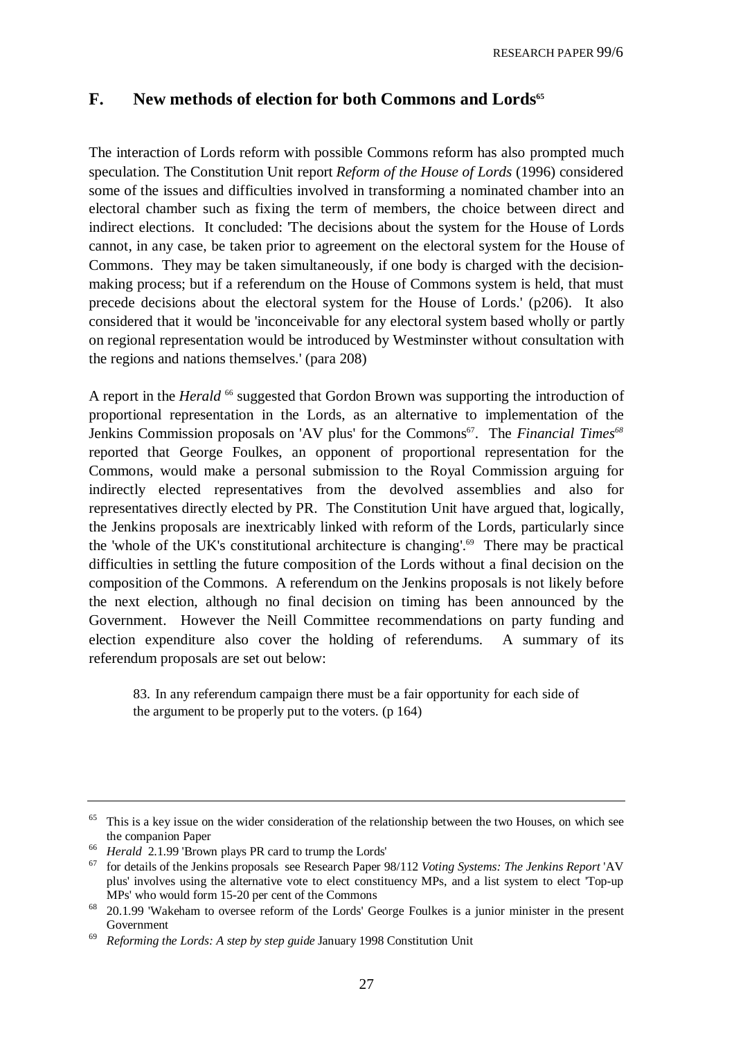### **F.** New methods of election for both Commons and Lords<sup>65</sup>

The interaction of Lords reform with possible Commons reform has also prompted much speculation. The Constitution Unit report *Reform of the House of Lords* (1996) considered some of the issues and difficulties involved in transforming a nominated chamber into an electoral chamber such as fixing the term of members, the choice between direct and indirect elections. It concluded: 'The decisions about the system for the House of Lords cannot, in any case, be taken prior to agreement on the electoral system for the House of Commons. They may be taken simultaneously, if one body is charged with the decisionmaking process; but if a referendum on the House of Commons system is held, that must precede decisions about the electoral system for the House of Lords.' (p206). It also considered that it would be 'inconceivable for any electoral system based wholly or partly on regional representation would be introduced by Westminster without consultation with the regions and nations themselves.' (para 208)

A report in the *Herald* <sup>66</sup> suggested that Gordon Brown was supporting the introduction of proportional representation in the Lords, as an alternative to implementation of the Jenkins Commission proposals on 'AV plus' for the Commons<sup>67</sup>. The *Financial Times*<sup>68</sup> reported that George Foulkes, an opponent of proportional representation for the Commons, would make a personal submission to the Royal Commission arguing for indirectly elected representatives from the devolved assemblies and also for representatives directly elected by PR. The Constitution Unit have argued that, logically, the Jenkins proposals are inextricably linked with reform of the Lords, particularly since the 'whole of the UK's constitutional architecture is changing'.69 There may be practical difficulties in settling the future composition of the Lords without a final decision on the composition of the Commons. A referendum on the Jenkins proposals is not likely before the next election, although no final decision on timing has been announced by the Government. However the Neill Committee recommendations on party funding and election expenditure also cover the holding of referendums. A summary of its referendum proposals are set out below:

83. In any referendum campaign there must be a fair opportunity for each side of the argument to be properly put to the voters. (p 164)

<sup>&</sup>lt;sup>65</sup> This is a key issue on the wider consideration of the relationship between the two Houses, on which see the companion Paper

<sup>66</sup> *Herald* 2.1.99 'Brown plays PR card to trump the Lords'

<sup>67</sup> for details of the Jenkins proposals see Research Paper 98/112 *Voting Systems: The Jenkins Report* 'AV plus' involves using the alternative vote to elect constituency MPs, and a list system to elect 'Top-up MPs' who would form 15-20 per cent of the Commons

<sup>&</sup>lt;sup>68</sup> 20.1.99 'Wakeham to oversee reform of the Lords' George Foulkes is a junior minister in the present Government

<sup>69</sup> *Reforming the Lords: A step by step guide* January 1998 Constitution Unit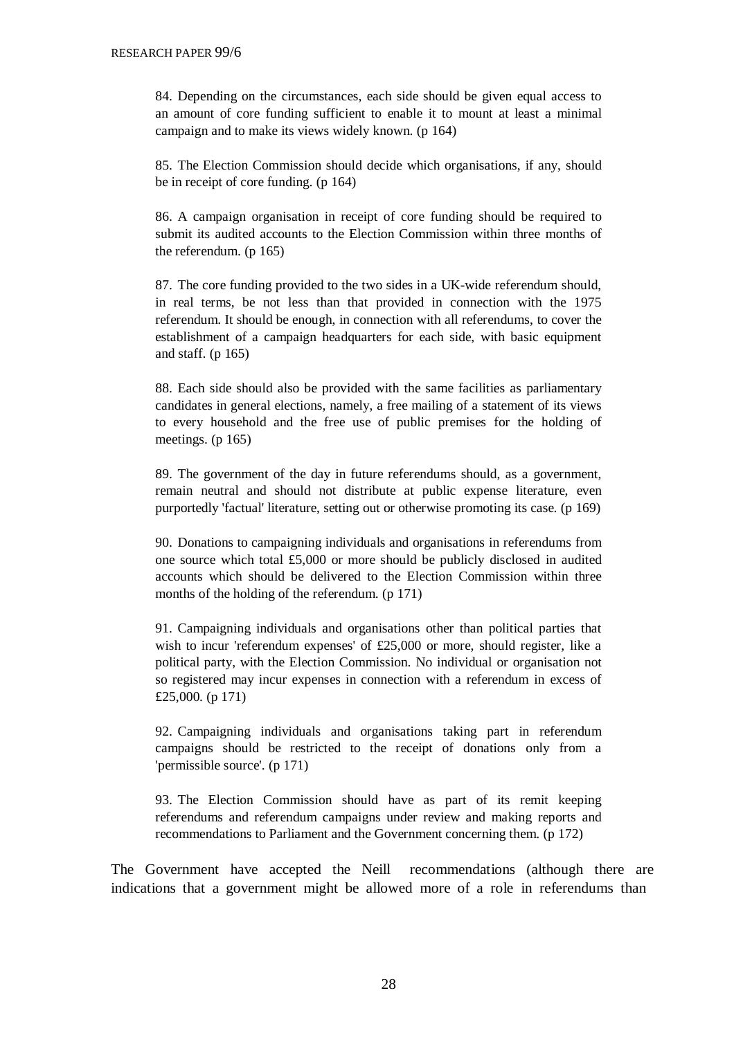84. Depending on the circumstances, each side should be given equal access to an amount of core funding sufficient to enable it to mount at least a minimal campaign and to make its views widely known. (p 164)

85. The Election Commission should decide which organisations, if any, should be in receipt of core funding. (p 164)

86. A campaign organisation in receipt of core funding should be required to submit its audited accounts to the Election Commission within three months of the referendum. (p 165)

87. The core funding provided to the two sides in a UK-wide referendum should, in real terms, be not less than that provided in connection with the 1975 referendum. It should be enough, in connection with all referendums, to cover the establishment of a campaign headquarters for each side, with basic equipment and staff.  $(p 165)$ 

88. Each side should also be provided with the same facilities as parliamentary candidates in general elections, namely, a free mailing of a statement of its views to every household and the free use of public premises for the holding of meetings. (p 165)

89. The government of the day in future referendums should, as a government, remain neutral and should not distribute at public expense literature, even purportedly 'factual' literature, setting out or otherwise promoting its case. (p 169)

90. Donations to campaigning individuals and organisations in referendums from one source which total £5,000 or more should be publicly disclosed in audited accounts which should be delivered to the Election Commission within three months of the holding of the referendum. (p 171)

91. Campaigning individuals and organisations other than political parties that wish to incur 'referendum expenses' of £25,000 or more, should register, like a political party, with the Election Commission. No individual or organisation not so registered may incur expenses in connection with a referendum in excess of £25,000. (p 171)

92. Campaigning individuals and organisations taking part in referendum campaigns should be restricted to the receipt of donations only from a 'permissible source'. (p 171)

93. The Election Commission should have as part of its remit keeping referendums and referendum campaigns under review and making reports and recommendations to Parliament and the Government concerning them. (p 172)

The Government have accepted the Neill recommendations (although there are indications that a government might be allowed more of a role in referendums than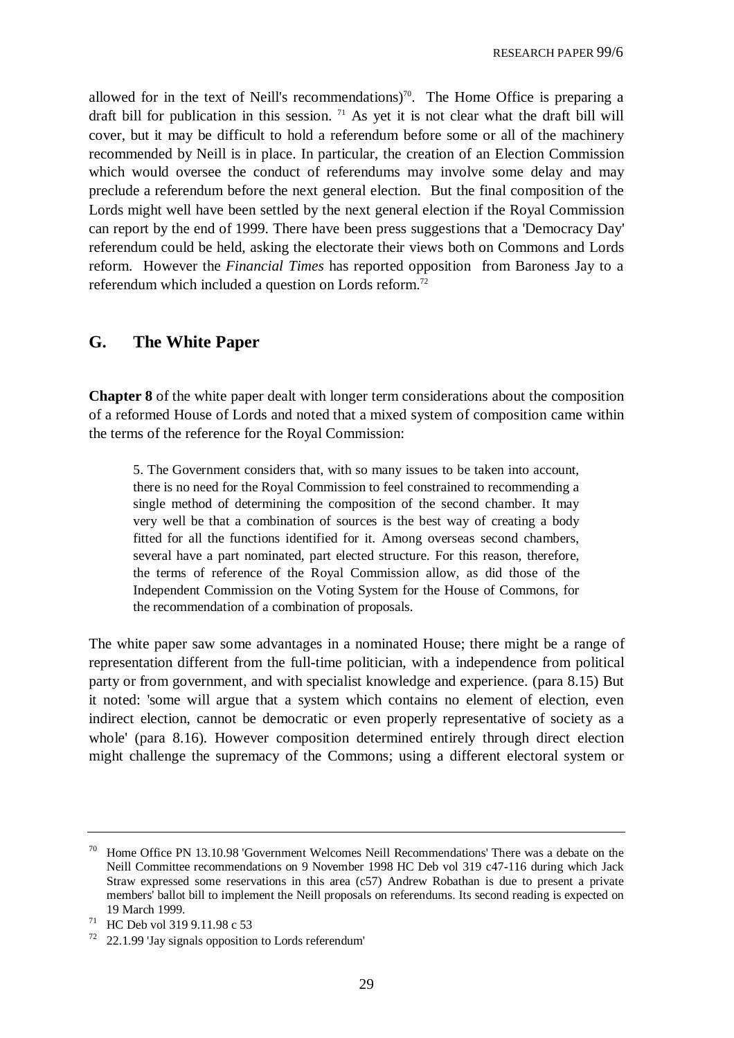allowed for in the text of Neill's recommendations)<sup>70</sup>. The Home Office is preparing a draft bill for publication in this session.  $\frac{71}{1}$  As yet it is not clear what the draft bill will cover, but it may be difficult to hold a referendum before some or all of the machinery recommended by Neill is in place. In particular, the creation of an Election Commission which would oversee the conduct of referendums may involve some delay and may preclude a referendum before the next general election. But the final composition of the Lords might well have been settled by the next general election if the Royal Commission can report by the end of 1999. There have been press suggestions that a 'Democracy Day' referendum could be held, asking the electorate their views both on Commons and Lords reform. However the *Financial Times* has reported opposition from Baroness Jay to a referendum which included a question on Lords reform.72

#### **G. The White Paper**

**Chapter 8** of the white paper dealt with longer term considerations about the composition of a reformed House of Lords and noted that a mixed system of composition came within the terms of the reference for the Royal Commission:

5. The Government considers that, with so many issues to be taken into account, there is no need for the Royal Commission to feel constrained to recommending a single method of determining the composition of the second chamber. It may very well be that a combination of sources is the best way of creating a body fitted for all the functions identified for it. Among overseas second chambers, several have a part nominated, part elected structure. For this reason, therefore, the terms of reference of the Royal Commission allow, as did those of the Independent Commission on the Voting System for the House of Commons, for the recommendation of a combination of proposals.

The white paper saw some advantages in a nominated House; there might be a range of representation different from the full-time politician, with a independence from political party or from government, and with specialist knowledge and experience. (para 8.15) But it noted: 'some will argue that a system which contains no element of election, even indirect election, cannot be democratic or even properly representative of society as a whole' (para 8.16). However composition determined entirely through direct election might challenge the supremacy of the Commons; using a different electoral system or

<sup>70</sup> Home Office PN 13.10.98 'Government Welcomes Neill Recommendations' There was a debate on the Neill Committee recommendations on 9 November 1998 HC Deb vol 319 c47-116 during which Jack Straw expressed some reservations in this area (c57) Andrew Robathan is due to present a private members' ballot bill to implement the Neill proposals on referendums. Its second reading is expected on 19 March 1999.

<sup>71</sup> HC Deb vol 319 9.11.98 c 53

<sup>72</sup> 22.1.99 'Jay signals opposition to Lords referendum'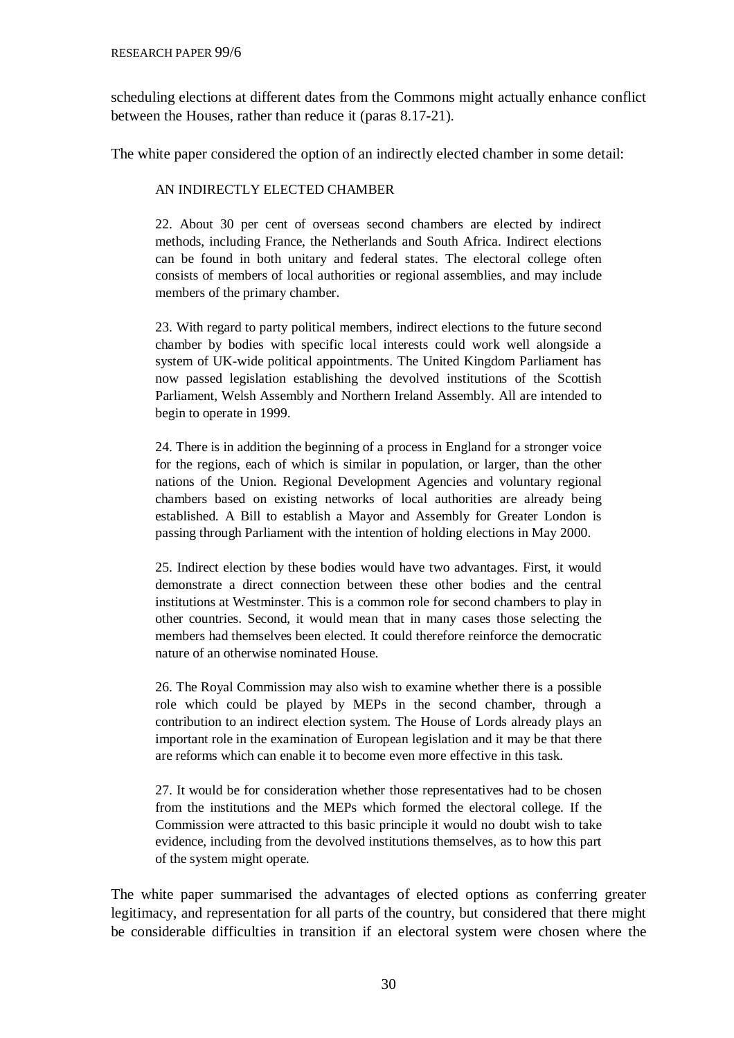scheduling elections at different dates from the Commons might actually enhance conflict between the Houses, rather than reduce it (paras 8.17-21).

The white paper considered the option of an indirectly elected chamber in some detail:

#### AN INDIRECTLY ELECTED CHAMBER

22. About 30 per cent of overseas second chambers are elected by indirect methods, including France, the Netherlands and South Africa. Indirect elections can be found in both unitary and federal states. The electoral college often consists of members of local authorities or regional assemblies, and may include members of the primary chamber.

23. With regard to party political members, indirect elections to the future second chamber by bodies with specific local interests could work well alongside a system of UK-wide political appointments. The United Kingdom Parliament has now passed legislation establishing the devolved institutions of the Scottish Parliament, Welsh Assembly and Northern Ireland Assembly. All are intended to begin to operate in 1999.

24. There is in addition the beginning of a process in England for a stronger voice for the regions, each of which is similar in population, or larger, than the other nations of the Union. Regional Development Agencies and voluntary regional chambers based on existing networks of local authorities are already being established. A Bill to establish a Mayor and Assembly for Greater London is passing through Parliament with the intention of holding elections in May 2000.

25. Indirect election by these bodies would have two advantages. First, it would demonstrate a direct connection between these other bodies and the central institutions at Westminster. This is a common role for second chambers to play in other countries. Second, it would mean that in many cases those selecting the members had themselves been elected. It could therefore reinforce the democratic nature of an otherwise nominated House.

26. The Royal Commission may also wish to examine whether there is a possible role which could be played by MEPs in the second chamber, through a contribution to an indirect election system. The House of Lords already plays an important role in the examination of European legislation and it may be that there are reforms which can enable it to become even more effective in this task.

27. It would be for consideration whether those representatives had to be chosen from the institutions and the MEPs which formed the electoral college. If the Commission were attracted to this basic principle it would no doubt wish to take evidence, including from the devolved institutions themselves, as to how this part of the system might operate.

The white paper summarised the advantages of elected options as conferring greater legitimacy, and representation for all parts of the country, but considered that there might be considerable difficulties in transition if an electoral system were chosen where the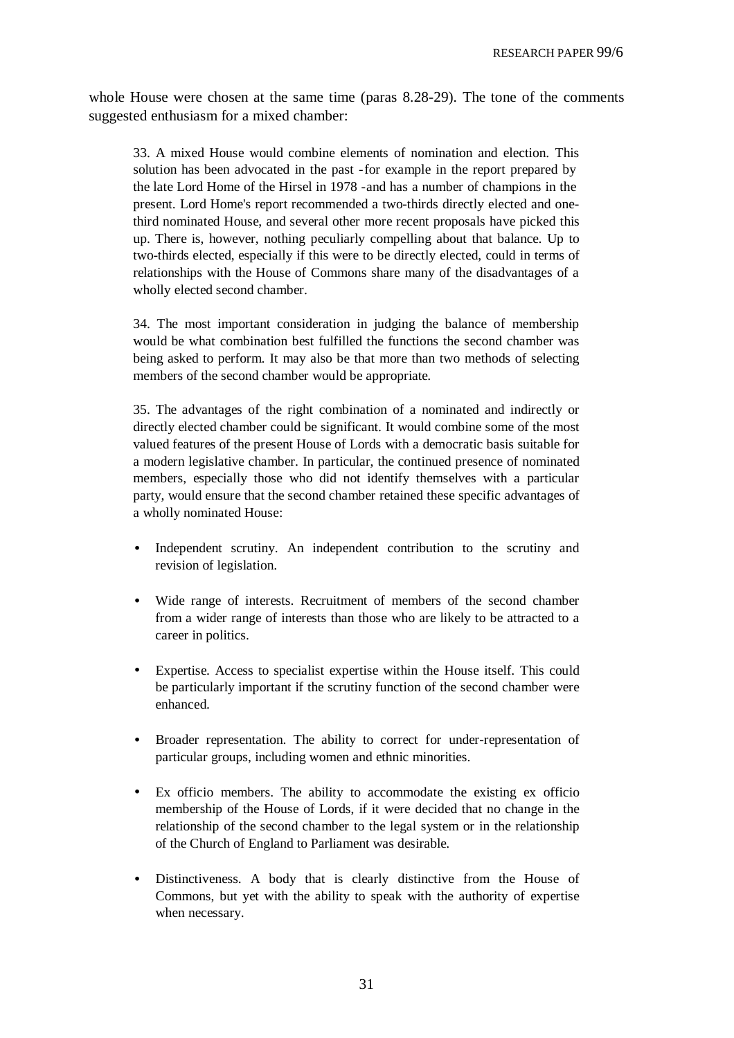whole House were chosen at the same time (paras 8.28-29). The tone of the comments suggested enthusiasm for a mixed chamber:

33. A mixed House would combine elements of nomination and election. This solution has been advocated in the past - for example in the report prepared by the late Lord Home of the Hirsel in 1978 - and has a number of champions in the present. Lord Home's report recommended a two-thirds directly elected and onethird nominated House, and several other more recent proposals have picked this up. There is, however, nothing peculiarly compelling about that balance. Up to two-thirds elected, especially if this were to be directly elected, could in terms of relationships with the House of Commons share many of the disadvantages of a wholly elected second chamber.

34. The most important consideration in judging the balance of membership would be what combination best fulfilled the functions the second chamber was being asked to perform. It may also be that more than two methods of selecting members of the second chamber would be appropriate.

35. The advantages of the right combination of a nominated and indirectly or directly elected chamber could be significant. It would combine some of the most valued features of the present House of Lords with a democratic basis suitable for a modern legislative chamber. In particular, the continued presence of nominated members, especially those who did not identify themselves with a particular party, would ensure that the second chamber retained these specific advantages of a wholly nominated House:

- Independent scrutiny. An independent contribution to the scrutiny and revision of legislation.
- Wide range of interests. Recruitment of members of the second chamber from a wider range of interests than those who are likely to be attracted to a career in politics.
- Expertise. Access to specialist expertise within the House itself. This could be particularly important if the scrutiny function of the second chamber were enhanced.
- Broader representation. The ability to correct for under-representation of particular groups, including women and ethnic minorities.
- Ex officio members. The ability to accommodate the existing ex officio membership of the House of Lords, if it were decided that no change in the relationship of the second chamber to the legal system or in the relationship of the Church of England to Parliament was desirable.
- Distinctiveness. A body that is clearly distinctive from the House of Commons, but yet with the ability to speak with the authority of expertise when necessary.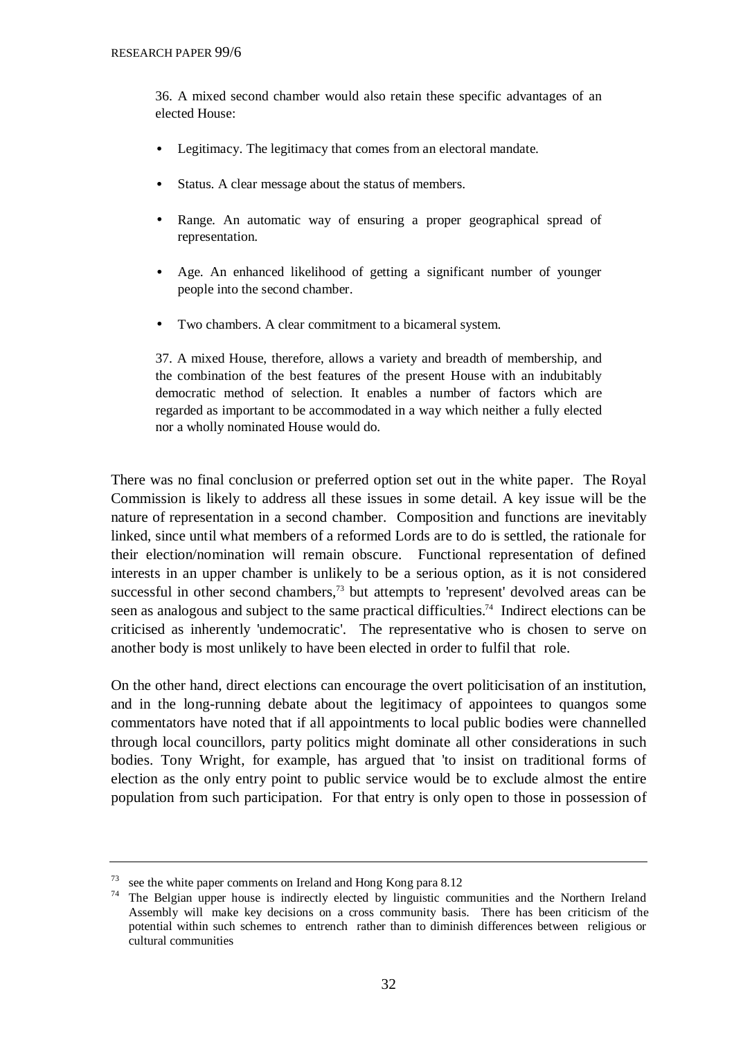36. A mixed second chamber would also retain these specific advantages of an elected House:

- Legitimacy. The legitimacy that comes from an electoral mandate.
- Status. A clear message about the status of members.
- Range. An automatic way of ensuring a proper geographical spread of representation.
- Age. An enhanced likelihood of getting a significant number of younger people into the second chamber.
- Two chambers. A clear commitment to a bicameral system.

37. A mixed House, therefore, allows a variety and breadth of membership, and the combination of the best features of the present House with an indubitably democratic method of selection. It enables a number of factors which are regarded as important to be accommodated in a way which neither a fully elected nor a wholly nominated House would do.

There was no final conclusion or preferred option set out in the white paper. The Royal Commission is likely to address all these issues in some detail. A key issue will be the nature of representation in a second chamber. Composition and functions are inevitably linked, since until what members of a reformed Lords are to do is settled, the rationale for their election/nomination will remain obscure. Functional representation of defined interests in an upper chamber is unlikely to be a serious option, as it is not considered successful in other second chambers,<sup>73</sup> but attempts to 'represent' devolved areas can be seen as analogous and subject to the same practical difficulties.<sup>74</sup> Indirect elections can be criticised as inherently 'undemocratic'. The representative who is chosen to serve on another body is most unlikely to have been elected in order to fulfil that role.

On the other hand, direct elections can encourage the overt politicisation of an institution, and in the long-running debate about the legitimacy of appointees to quangos some commentators have noted that if all appointments to local public bodies were channelled through local councillors, party politics might dominate all other considerations in such bodies. Tony Wright, for example, has argued that 'to insist on traditional forms of election as the only entry point to public service would be to exclude almost the entire population from such participation. For that entry is only open to those in possession of

 $73$  see the white paper comments on Ireland and Hong Kong para 8.12

<sup>&</sup>lt;sup>74</sup> The Belgian upper house is indirectly elected by linguistic communities and the Northern Ireland Assembly will make key decisions on a cross community basis. There has been criticism of the potential within such schemes to entrench rather than to diminish differences between religious or cultural communities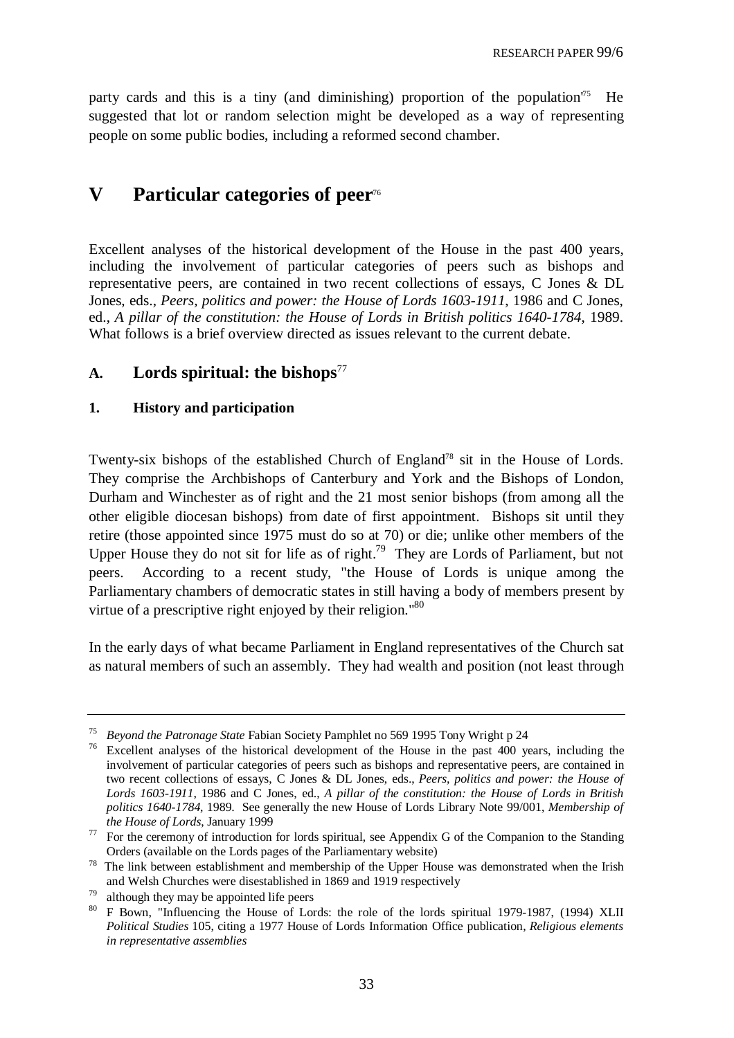party cards and this is a tiny (and diminishing) proportion of the population<sup> $75$ </sup> He suggested that lot or random selection might be developed as a way of representing people on some public bodies, including a reformed second chamber.

# **V Particular categories of peer**<sup>76</sup>

Excellent analyses of the historical development of the House in the past 400 years, including the involvement of particular categories of peers such as bishops and representative peers, are contained in two recent collections of essays, C Jones & DL Jones, eds., *Peers, politics and power: the House of Lords 1603-1911*, 1986 and C Jones, ed., *A pillar of the constitution: the House of Lords in British politics 1640-1784*, 1989. What follows is a brief overview directed as issues relevant to the current debate.

# **A. Lords spiritual: the bishops**<sup>77</sup>

### **1. History and participation**

Twenty-six bishops of the established Church of England<sup>78</sup> sit in the House of Lords. They comprise the Archbishops of Canterbury and York and the Bishops of London, Durham and Winchester as of right and the 21 most senior bishops (from among all the other eligible diocesan bishops) from date of first appointment. Bishops sit until they retire (those appointed since 1975 must do so at 70) or die; unlike other members of the Upper House they do not sit for life as of right.<sup>79</sup> They are Lords of Parliament, but not peers. According to a recent study, "the House of Lords is unique among the Parliamentary chambers of democratic states in still having a body of members present by virtue of a prescriptive right enjoyed by their religion."80

In the early days of what became Parliament in England representatives of the Church sat as natural members of such an assembly. They had wealth and position (not least through

<sup>75</sup> *Beyond the Patronage State* Fabian Society Pamphlet no 569 1995 Tony Wright p 24

<sup>&</sup>lt;sup>76</sup> Excellent analyses of the historical development of the House in the past 400 years, including the involvement of particular categories of peers such as bishops and representative peers, are contained in two recent collections of essays, C Jones & DL Jones, eds., *Peers, politics and power: the House of Lords 1603-1911*, 1986 and C Jones, ed., *A pillar of the constitution: the House of Lords in British politics 1640-1784*, 1989. See generally the new House of Lords Library Note 99/001, *Membership of the House of Lords*, January 1999

<sup>&</sup>lt;sup>77</sup> For the ceremony of introduction for lords spiritual, see Appendix G of the Companion to the Standing Orders (available on the Lords pages of the Parliamentary website)

 $78$  The link between establishment and membership of the Upper House was demonstrated when the Irish and Welsh Churches were disestablished in 1869 and 1919 respectively

 $79$  although they may be appointed life peers

<sup>&</sup>lt;sup>80</sup> F Bown, "Influencing the House of Lords: the role of the lords spiritual 1979-1987, (1994) XLII *Political Studies* 105, citing a 1977 House of Lords Information Office publication, *Religious elements in representative assemblies*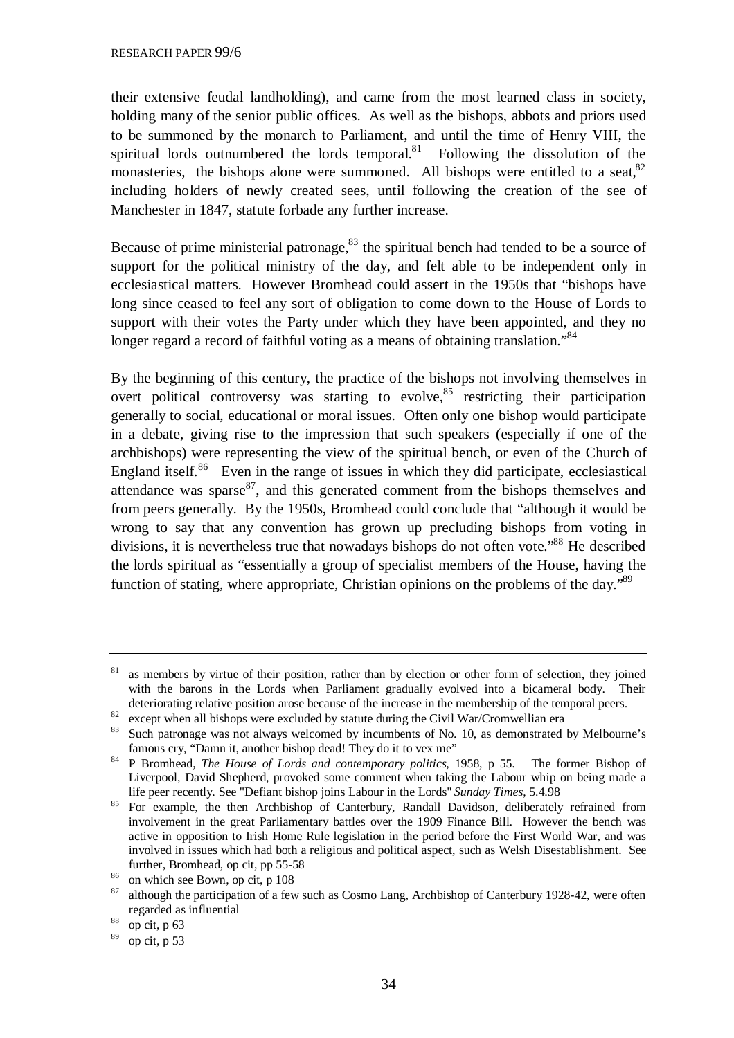their extensive feudal landholding), and came from the most learned class in society, holding many of the senior public offices. As well as the bishops, abbots and priors used to be summoned by the monarch to Parliament, and until the time of Henry VIII, the spiritual lords outnumbered the lords temporal. $81$  Following the dissolution of the monasteries, the bishops alone were summoned. All bishops were entitled to a seat,  $82$ including holders of newly created sees, until following the creation of the see of Manchester in 1847, statute forbade any further increase.

Because of prime ministerial patronage, $83$  the spiritual bench had tended to be a source of support for the political ministry of the day, and felt able to be independent only in ecclesiastical matters. However Bromhead could assert in the 1950s that "bishops have long since ceased to feel any sort of obligation to come down to the House of Lords to support with their votes the Party under which they have been appointed, and they no longer regard a record of faithful voting as a means of obtaining translation."<sup>84</sup>

By the beginning of this century, the practice of the bishops not involving themselves in overt political controversy was starting to evolve, $85$  restricting their participation generally to social, educational or moral issues. Often only one bishop would participate in a debate, giving rise to the impression that such speakers (especially if one of the archbishops) were representing the view of the spiritual bench, or even of the Church of England itself.<sup>86</sup> Even in the range of issues in which they did participate, ecclesiastical attendance was sparse  $87$ , and this generated comment from the bishops themselves and from peers generally. By the 1950s, Bromhead could conclude that "although it would be wrong to say that any convention has grown up precluding bishops from voting in divisions, it is nevertheless true that nowadays bishops do not often vote."<sup>88</sup> He described the lords spiritual as "essentially a group of specialist members of the House, having the function of stating, where appropriate, Christian opinions on the problems of the day.<sup>89</sup>

as members by virtue of their position, rather than by election or other form of selection, they joined with the barons in the Lords when Parliament gradually evolved into a bicameral body. Their deteriorating relative position arose because of the increase in the membership of the temporal peers.

<sup>&</sup>lt;sup>82</sup> except when all bishops were excluded by statute during the Civil War/Cromwellian era

<sup>&</sup>lt;sup>83</sup> Such patronage was not always welcomed by incumbents of No. 10, as demonstrated by Melbourne's famous cry, "Damn it, another bishop dead! They do it to vex me"

<sup>84</sup> P Bromhead, *The House of Lords and contemporary politics*, 1958, p 55. The former Bishop of Liverpool, David Shepherd, provoked some comment when taking the Labour whip on being made a life peer recently. See "Defiant bishop joins Labour in the Lords" *Sunday Times*, 5.4.98

<sup>&</sup>lt;sup>85</sup> For example, the then Archbishop of Canterbury, Randall Davidson, deliberately refrained from involvement in the great Parliamentary battles over the 1909 Finance Bill. However the bench was active in opposition to Irish Home Rule legislation in the period before the First World War, and was involved in issues which had both a religious and political aspect, such as Welsh Disestablishment. See further, Bromhead, op cit, pp 55-58

 $\frac{86}{87}$  on which see Bown, op cit, p 108

although the participation of a few such as Cosmo Lang, Archbishop of Canterbury 1928-42, were often regarded as influential

 $\frac{88}{89}$  op cit, p 63

<sup>89</sup> op cit, p 53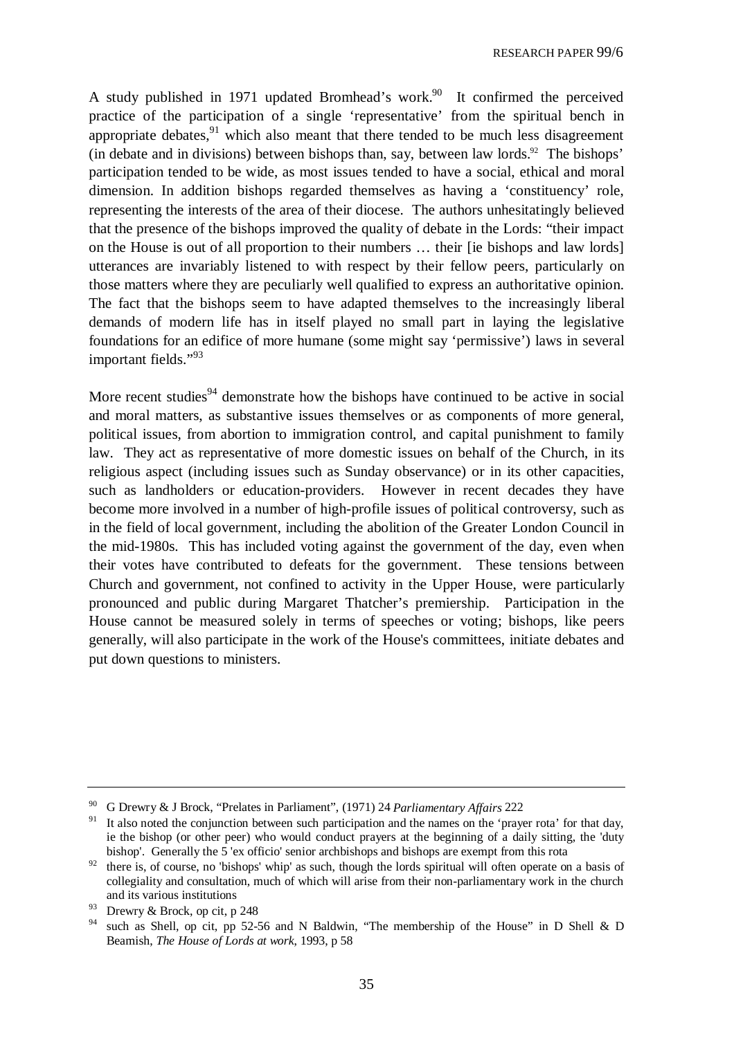A study published in 1971 updated Bromhead's work.<sup>90</sup> It confirmed the perceived practice of the participation of a single 'representative' from the spiritual bench in appropriate debates,  $91$  which also meant that there tended to be much less disagreement (in debate and in divisions) between bishops than, say, between law lords.<sup>92</sup> The bishops' participation tended to be wide, as most issues tended to have a social, ethical and moral dimension. In addition bishops regarded themselves as having a 'constituency' role, representing the interests of the area of their diocese. The authors unhesitatingly believed that the presence of the bishops improved the quality of debate in the Lords: "their impact on the House is out of all proportion to their numbers … their [ie bishops and law lords] utterances are invariably listened to with respect by their fellow peers, particularly on those matters where they are peculiarly well qualified to express an authoritative opinion. The fact that the bishops seem to have adapted themselves to the increasingly liberal demands of modern life has in itself played no small part in laying the legislative foundations for an edifice of more humane (some might say 'permissive') laws in several important fields."<sup>93</sup>

More recent studies<sup>94</sup> demonstrate how the bishops have continued to be active in social and moral matters, as substantive issues themselves or as components of more general, political issues, from abortion to immigration control, and capital punishment to family law. They act as representative of more domestic issues on behalf of the Church, in its religious aspect (including issues such as Sunday observance) or in its other capacities, such as landholders or education-providers. However in recent decades they have become more involved in a number of high-profile issues of political controversy, such as in the field of local government, including the abolition of the Greater London Council in the mid-1980s. This has included voting against the government of the day, even when their votes have contributed to defeats for the government. These tensions between Church and government, not confined to activity in the Upper House, were particularly pronounced and public during Margaret Thatcher's premiership. Participation in the House cannot be measured solely in terms of speeches or voting; bishops, like peers generally, will also participate in the work of the House's committees, initiate debates and put down questions to ministers.

<sup>90</sup> G Drewry & J Brock, "Prelates in Parliament", (1971) 24 *Parliamentary Affairs* 222

It also noted the conjunction between such participation and the names on the 'prayer rota' for that day, ie the bishop (or other peer) who would conduct prayers at the beginning of a daily sitting, the 'duty bishop'. Generally the 5 'ex officio' senior archbishops and bishops are exempt from this rota

<sup>&</sup>lt;sup>92</sup> there is, of course, no 'bishops' whip' as such, though the lords spiritual will often operate on a basis of collegiality and consultation, much of which will arise from their non-parliamentary work in the church and its various institutions

<sup>93</sup> Drewry & Brock, op cit, p 248

such as Shell, op cit, pp 52-56 and N Baldwin, "The membership of the House" in D Shell & D Beamish, *The House of Lords at work*, 1993, p 58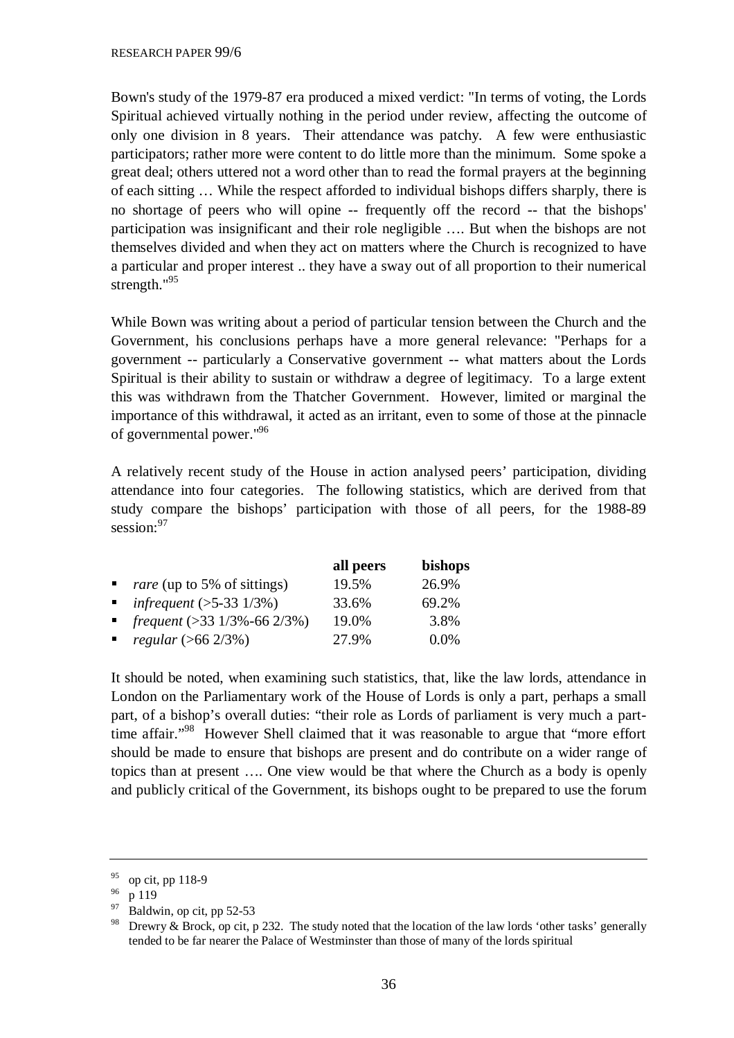Bown's study of the 1979-87 era produced a mixed verdict: "In terms of voting, the Lords Spiritual achieved virtually nothing in the period under review, affecting the outcome of only one division in 8 years. Their attendance was patchy. A few were enthusiastic participators; rather more were content to do little more than the minimum. Some spoke a great deal; others uttered not a word other than to read the formal prayers at the beginning of each sitting … While the respect afforded to individual bishops differs sharply, there is no shortage of peers who will opine -- frequently off the record -- that the bishops' participation was insignificant and their role negligible …. But when the bishops are not themselves divided and when they act on matters where the Church is recognized to have a particular and proper interest .. they have a sway out of all proportion to their numerical strength."95

While Bown was writing about a period of particular tension between the Church and the Government, his conclusions perhaps have a more general relevance: "Perhaps for a government -- particularly a Conservative government -- what matters about the Lords Spiritual is their ability to sustain or withdraw a degree of legitimacy. To a large extent this was withdrawn from the Thatcher Government. However, limited or marginal the importance of this withdrawal, it acted as an irritant, even to some of those at the pinnacle of governmental power."96

A relatively recent study of the House in action analysed peers' participation, dividing attendance into four categories. The following statistics, which are derived from that study compare the bishops' participation with those of all peers, for the 1988-89 session<sup>.97</sup>

|                |                                      | all peers | bishops |
|----------------|--------------------------------------|-----------|---------|
|                | • <i>rare</i> (up to 5% of sittings) | 19.5%     | 26.9%   |
|                | <i>infrequent</i> ( $>5-33$ 1/3%)    | 33.6%     | 69.2%   |
|                | • <i>frequent</i> (>33 1/3%-66 2/3%) | 19.0%     | 3.8%    |
| $\blacksquare$ | regular $(>66\frac{2}{3\%})$         | 27.9%     | 0.0%    |

It should be noted, when examining such statistics, that, like the law lords, attendance in London on the Parliamentary work of the House of Lords is only a part, perhaps a small part, of a bishop's overall duties: "their role as Lords of parliament is very much a parttime affair."<sup>98</sup> However Shell claimed that it was reasonable to argue that "more effort should be made to ensure that bishops are present and do contribute on a wider range of topics than at present …. One view would be that where the Church as a body is openly and publicly critical of the Government, its bishops ought to be prepared to use the forum

 $^{95}_{96}$  op cit, pp 118-9

 $\frac{96}{97}$  p 119

Baldwin, op cit, pp 52-53

Drewry & Brock, op cit, p 232. The study noted that the location of the law lords 'other tasks' generally tended to be far nearer the Palace of Westminster than those of many of the lords spiritual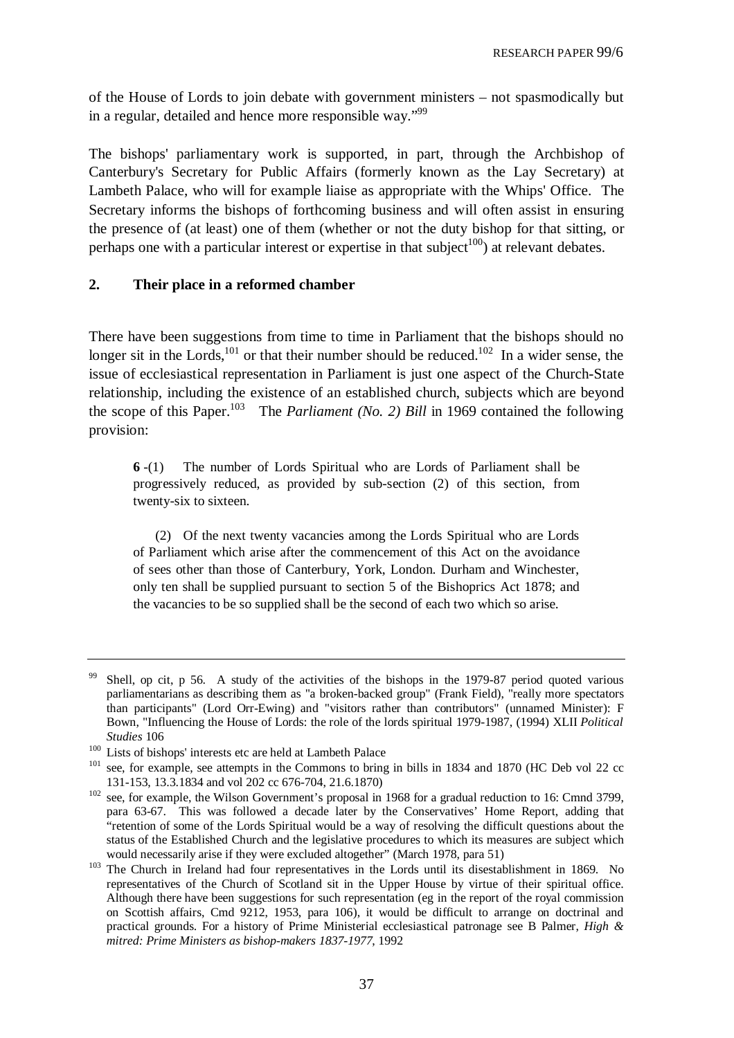of the House of Lords to join debate with government ministers – not spasmodically but in a regular, detailed and hence more responsible way."<sup>99</sup>

The bishops' parliamentary work is supported, in part, through the Archbishop of Canterbury's Secretary for Public Affairs (formerly known as the Lay Secretary) at Lambeth Palace, who will for example liaise as appropriate with the Whips' Office. The Secretary informs the bishops of forthcoming business and will often assist in ensuring the presence of (at least) one of them (whether or not the duty bishop for that sitting, or perhaps one with a particular interest or expertise in that subject<sup>100</sup>) at relevant debates.

#### **2. Their place in a reformed chamber**

There have been suggestions from time to time in Parliament that the bishops should no longer sit in the Lords,<sup>101</sup> or that their number should be reduced.<sup>102</sup> In a wider sense, the issue of ecclesiastical representation in Parliament is just one aspect of the Church-State relationship, including the existence of an established church, subjects which are beyond the scope of this Paper.103 The *Parliament (No. 2) Bill* in 1969 contained the following provision:

**6** -(1) The number of Lords Spiritual who are Lords of Parliament shall be progressively reduced, as provided by sub-section (2) of this section, from twenty-six to sixteen.

(2) Of the next twenty vacancies among the Lords Spiritual who are Lords of Parliament which arise after the commencement of this Act on the avoidance of sees other than those of Canterbury, York, London. Durham and Winchester, only ten shall be supplied pursuant to section 5 of the Bishoprics Act 1878; and the vacancies to be so supplied shall be the second of each two which so arise.

Shell, op cit, p 56. A study of the activities of the bishops in the 1979-87 period quoted various parliamentarians as describing them as "a broken-backed group" (Frank Field), "really more spectators than participants" (Lord Orr-Ewing) and "visitors rather than contributors" (unnamed Minister): F Bown, "Influencing the House of Lords: the role of the lords spiritual 1979-1987, (1994) XLII *Political Studies* 106

<sup>&</sup>lt;sup>100</sup> Lists of bishops' interests etc are held at Lambeth Palace

<sup>&</sup>lt;sup>101</sup> see, for example, see attempts in the Commons to bring in bills in 1834 and 1870 (HC Deb vol 22 cc 131-153, 13.3.1834 and vol 202 cc 676-704, 21.6.1870)

<sup>&</sup>lt;sup>102</sup> see, for example, the Wilson Government's proposal in 1968 for a gradual reduction to 16: Cmnd 3799, para 63-67. This was followed a decade later by the Conservatives' Home Report, adding that "retention of some of the Lords Spiritual would be a way of resolving the difficult questions about the status of the Established Church and the legislative procedures to which its measures are subject which would necessarily arise if they were excluded altogether" (March 1978, para 51)

<sup>&</sup>lt;sup>103</sup> The Church in Ireland had four representatives in the Lords until its disestablishment in 1869. No representatives of the Church of Scotland sit in the Upper House by virtue of their spiritual office. Although there have been suggestions for such representation (eg in the report of the royal commission on Scottish affairs, Cmd 9212, 1953, para 106), it would be difficult to arrange on doctrinal and practical grounds. For a history of Prime Ministerial ecclesiastical patronage see B Palmer, *High & mitred: Prime Ministers as bishop-makers 1837-1977*, 1992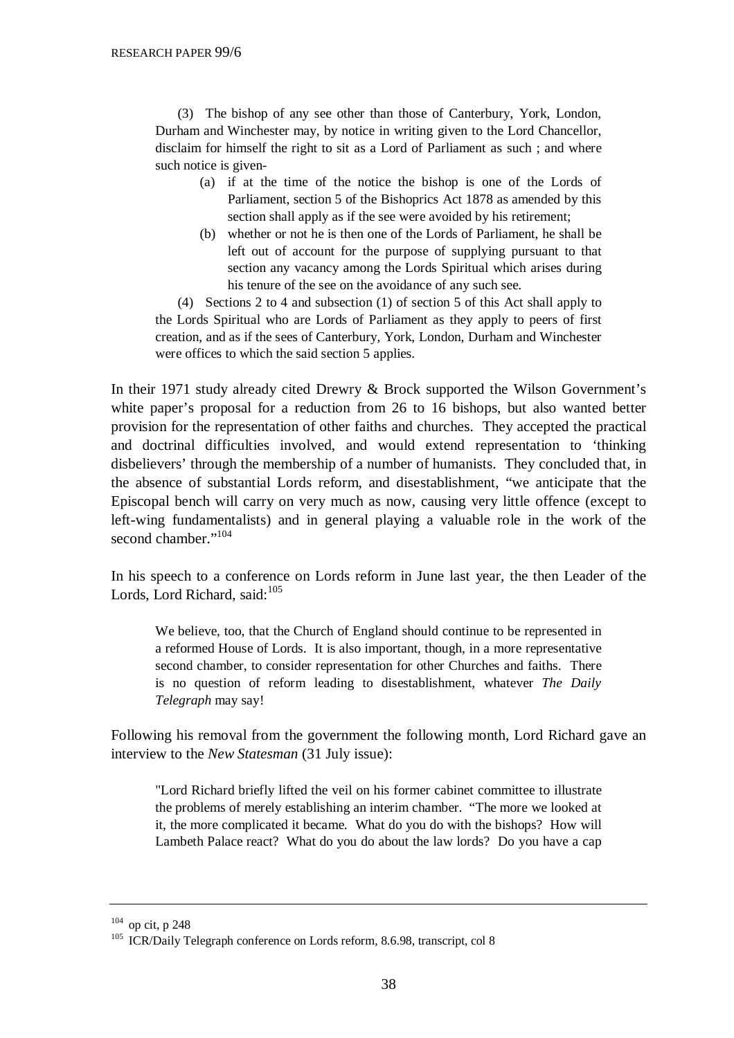(3) The bishop of any see other than those of Canterbury, York, London, Durham and Winchester may, by notice in writing given to the Lord Chancellor, disclaim for himself the right to sit as a Lord of Parliament as such ; and where such notice is given-

- (a) if at the time of the notice the bishop is one of the Lords of Parliament, section 5 of the Bishoprics Act 1878 as amended by this section shall apply as if the see were avoided by his retirement;
- (b) whether or not he is then one of the Lords of Parliament, he shall be left out of account for the purpose of supplying pursuant to that section any vacancy among the Lords Spiritual which arises during his tenure of the see on the avoidance of any such see.

(4) Sections 2 to 4 and subsection (1) of section 5 of this Act shall apply to the Lords Spiritual who are Lords of Parliament as they apply to peers of first creation, and as if the sees of Canterbury, York, London, Durham and Winchester were offices to which the said section 5 applies.

In their 1971 study already cited Drewry & Brock supported the Wilson Government's white paper's proposal for a reduction from 26 to 16 bishops, but also wanted better provision for the representation of other faiths and churches. They accepted the practical and doctrinal difficulties involved, and would extend representation to 'thinking disbelievers' through the membership of a number of humanists. They concluded that, in the absence of substantial Lords reform, and disestablishment, "we anticipate that the Episcopal bench will carry on very much as now, causing very little offence (except to left-wing fundamentalists) and in general playing a valuable role in the work of the second chamber."<sup>104</sup>

In his speech to a conference on Lords reform in June last year, the then Leader of the Lords, Lord Richard, said: $105$ 

We believe, too, that the Church of England should continue to be represented in a reformed House of Lords. It is also important, though, in a more representative second chamber, to consider representation for other Churches and faiths. There is no question of reform leading to disestablishment, whatever *The Daily Telegraph* may say!

Following his removal from the government the following month, Lord Richard gave an interview to the *New Statesman* (31 July issue):

"Lord Richard briefly lifted the veil on his former cabinet committee to illustrate the problems of merely establishing an interim chamber. "The more we looked at it, the more complicated it became. What do you do with the bishops? How will Lambeth Palace react? What do you do about the law lords? Do you have a cap

 $104$  op cit, p 248

<sup>&</sup>lt;sup>105</sup> ICR/Daily Telegraph conference on Lords reform, 8.6.98, transcript, col 8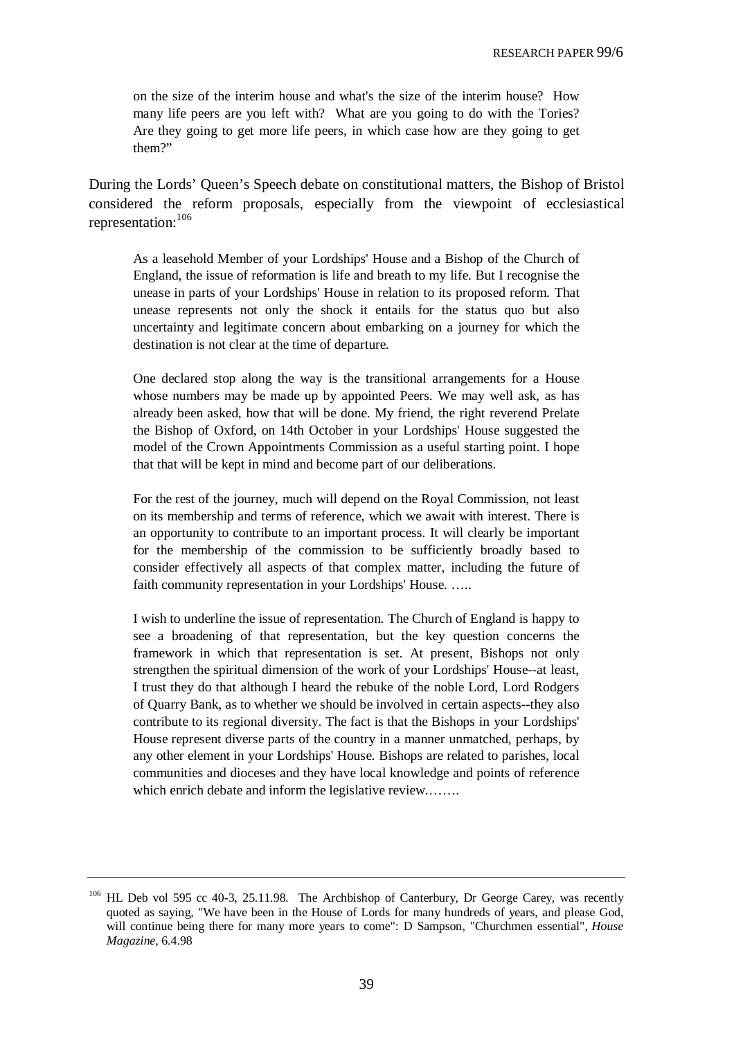on the size of the interim house and what's the size of the interim house? How many life peers are you left with? What are you going to do with the Tories? Are they going to get more life peers, in which case how are they going to get them?"

During the Lords' Queen's Speech debate on constitutional matters, the Bishop of Bristol considered the reform proposals, especially from the viewpoint of ecclesiastical representation:<sup>106</sup>

As a leasehold Member of your Lordships' House and a Bishop of the Church of England, the issue of reformation is life and breath to my life. But I recognise the unease in parts of your Lordships' House in relation to its proposed reform. That unease represents not only the shock it entails for the status quo but also uncertainty and legitimate concern about embarking on a journey for which the destination is not clear at the time of departure.

One declared stop along the way is the transitional arrangements for a House whose numbers may be made up by appointed Peers. We may well ask, as has already been asked, how that will be done. My friend, the right reverend Prelate the Bishop of Oxford, on 14th October in your Lordships' House suggested the model of the Crown Appointments Commission as a useful starting point. I hope that that will be kept in mind and become part of our deliberations.

For the rest of the journey, much will depend on the Royal Commission, not least on its membership and terms of reference, which we await with interest. There is an opportunity to contribute to an important process. It will clearly be important for the membership of the commission to be sufficiently broadly based to consider effectively all aspects of that complex matter, including the future of faith community representation in your Lordships' House. …..

I wish to underline the issue of representation. The Church of England is happy to see a broadening of that representation, but the key question concerns the framework in which that representation is set. At present, Bishops not only strengthen the spiritual dimension of the work of your Lordships' House--at least, I trust they do that although I heard the rebuke of the noble Lord, Lord Rodgers of Quarry Bank, as to whether we should be involved in certain aspects--they also contribute to its regional diversity. The fact is that the Bishops in your Lordships' House represent diverse parts of the country in a manner unmatched, perhaps, by any other element in your Lordships' House. Bishops are related to parishes, local communities and dioceses and they have local knowledge and points of reference which enrich debate and inform the legislative review.......

<sup>&</sup>lt;sup>106</sup> HL Deb vol 595 cc 40-3, 25.11.98. The Archbishop of Canterbury, Dr George Carey, was recently quoted as saying, "We have been in the House of Lords for many hundreds of years, and please God, will continue being there for many more years to come": D Sampson, "Churchmen essential", *House Magazine*, 6.4.98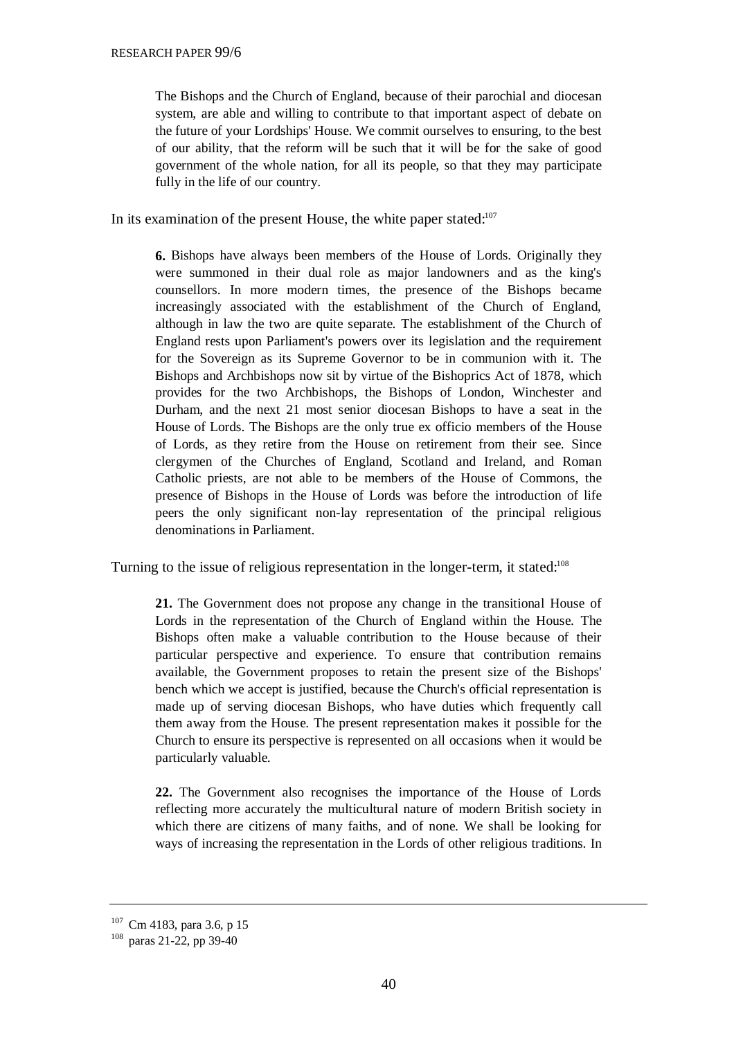The Bishops and the Church of England, because of their parochial and diocesan system, are able and willing to contribute to that important aspect of debate on the future of your Lordships' House. We commit ourselves to ensuring, to the best of our ability, that the reform will be such that it will be for the sake of good government of the whole nation, for all its people, so that they may participate fully in the life of our country.

In its examination of the present House, the white paper stated:<sup>107</sup>

**6.** Bishops have always been members of the House of Lords. Originally they were summoned in their dual role as major landowners and as the king's counsellors. In more modern times, the presence of the Bishops became increasingly associated with the establishment of the Church of England, although in law the two are quite separate. The establishment of the Church of England rests upon Parliament's powers over its legislation and the requirement for the Sovereign as its Supreme Governor to be in communion with it. The Bishops and Archbishops now sit by virtue of the Bishoprics Act of 1878, which provides for the two Archbishops, the Bishops of London, Winchester and Durham, and the next 21 most senior diocesan Bishops to have a seat in the House of Lords. The Bishops are the only true ex officio members of the House of Lords, as they retire from the House on retirement from their see. Since clergymen of the Churches of England, Scotland and Ireland, and Roman Catholic priests, are not able to be members of the House of Commons, the presence of Bishops in the House of Lords was before the introduction of life peers the only significant non-lay representation of the principal religious denominations in Parliament.

Turning to the issue of religious representation in the longer-term, it stated:<sup>108</sup>

**21.** The Government does not propose any change in the transitional House of Lords in the representation of the Church of England within the House. The Bishops often make a valuable contribution to the House because of their particular perspective and experience. To ensure that contribution remains available, the Government proposes to retain the present size of the Bishops' bench which we accept is justified, because the Church's official representation is made up of serving diocesan Bishops, who have duties which frequently call them away from the House. The present representation makes it possible for the Church to ensure its perspective is represented on all occasions when it would be particularly valuable.

**22.** The Government also recognises the importance of the House of Lords reflecting more accurately the multicultural nature of modern British society in which there are citizens of many faiths, and of none. We shall be looking for ways of increasing the representation in the Lords of other religious traditions. In

<sup>107</sup> Cm 4183, para 3.6, p 15

<sup>108</sup> paras 21-22, pp 39-40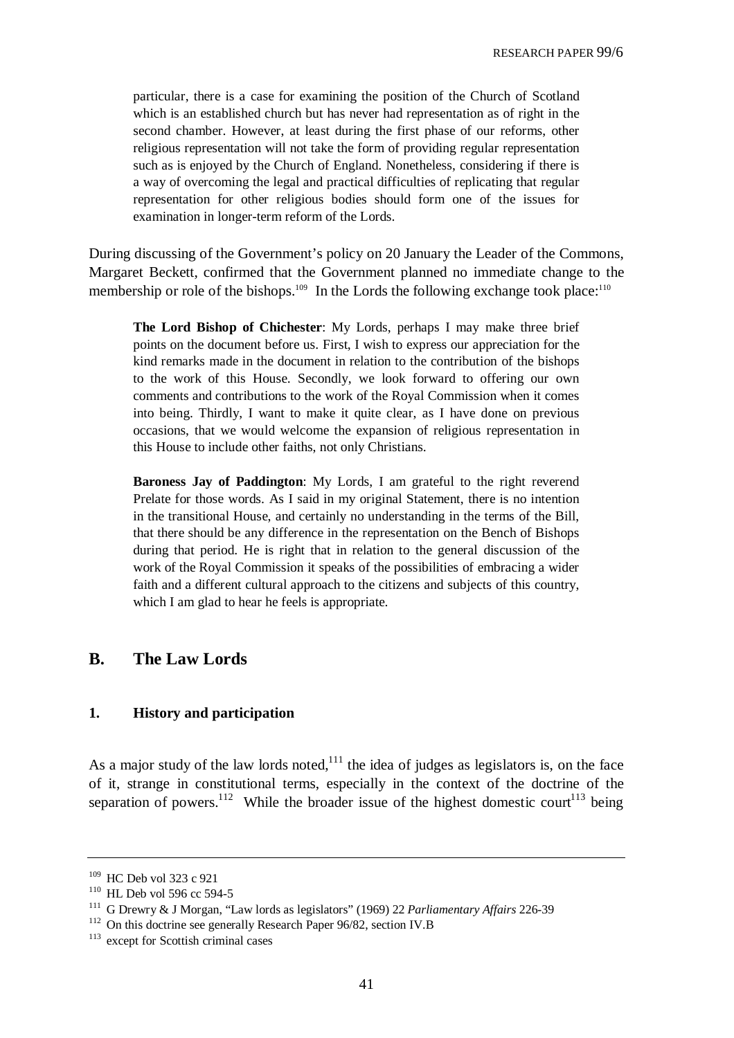particular, there is a case for examining the position of the Church of Scotland which is an established church but has never had representation as of right in the second chamber. However, at least during the first phase of our reforms, other religious representation will not take the form of providing regular representation such as is enjoyed by the Church of England. Nonetheless, considering if there is a way of overcoming the legal and practical difficulties of replicating that regular representation for other religious bodies should form one of the issues for examination in longer-term reform of the Lords.

During discussing of the Government's policy on 20 January the Leader of the Commons, Margaret Beckett, confirmed that the Government planned no immediate change to the membership or role of the bishops.<sup>109</sup> In the Lords the following exchange took place:<sup>110</sup>

**The Lord Bishop of Chichester**: My Lords, perhaps I may make three brief points on the document before us. First, I wish to express our appreciation for the kind remarks made in the document in relation to the contribution of the bishops to the work of this House. Secondly, we look forward to offering our own comments and contributions to the work of the Royal Commission when it comes into being. Thirdly, I want to make it quite clear, as I have done on previous occasions, that we would welcome the expansion of religious representation in this House to include other faiths, not only Christians.

**Baroness Jay of Paddington**: My Lords, I am grateful to the right reverend Prelate for those words. As I said in my original Statement, there is no intention in the transitional House, and certainly no understanding in the terms of the Bill, that there should be any difference in the representation on the Bench of Bishops during that period. He is right that in relation to the general discussion of the work of the Royal Commission it speaks of the possibilities of embracing a wider faith and a different cultural approach to the citizens and subjects of this country, which I am glad to hear he feels is appropriate.

### **B. The Law Lords**

#### **1. History and participation**

As a major study of the law lords noted,<sup>111</sup> the idea of judges as legislators is, on the face of it, strange in constitutional terms, especially in the context of the doctrine of the separation of powers.<sup>112</sup> While the broader issue of the highest domestic court<sup>113</sup> being

<sup>109</sup> HC Deb vol 323 c 921

<sup>110</sup> HL Deb vol 596 cc 594-5

<sup>111</sup> G Drewry & J Morgan, "Law lords as legislators" (1969) 22 *Parliamentary Affairs* 226-39

<sup>&</sup>lt;sup>112</sup> On this doctrine see generally Research Paper 96/82, section IV.B

<sup>&</sup>lt;sup>113</sup> except for Scottish criminal cases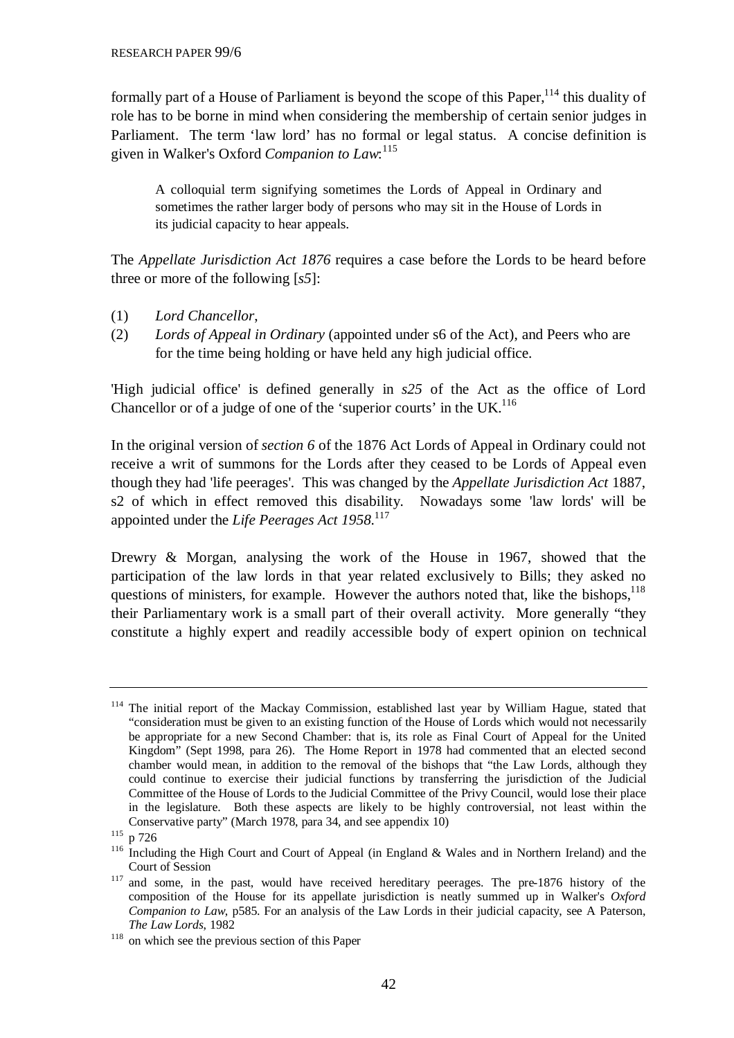formally part of a House of Parliament is beyond the scope of this Paper,  $114$  this duality of role has to be borne in mind when considering the membership of certain senior judges in Parliament. The term 'law lord' has no formal or legal status. A concise definition is given in Walker's Oxford *Companion to Law*: 115

A colloquial term signifying sometimes the Lords of Appeal in Ordinary and sometimes the rather larger body of persons who may sit in the House of Lords in its judicial capacity to hear appeals.

The *Appellate Jurisdiction Act 1876* requires a case before the Lords to be heard before three or more of the following [*s5*]:

- (1) *Lord Chancellor*,
- (2) *Lords of Appeal in Ordinary* (appointed under s6 of the Act), and Peers who are for the time being holding or have held any high judicial office.

'High judicial office' is defined generally in *s25* of the Act as the office of Lord Chancellor or of a judge of one of the 'superior courts' in the  $UK<sup>116</sup>$ .

In the original version of *section 6* of the 1876 Act Lords of Appeal in Ordinary could not receive a writ of summons for the Lords after they ceased to be Lords of Appeal even though they had 'life peerages'. This was changed by the *Appellate Jurisdiction Act* 1887, s2 of which in effect removed this disability. Nowadays some 'law lords' will be appointed under the *Life Peerages Act 1958*. 117

Drewry & Morgan, analysing the work of the House in 1967, showed that the participation of the law lords in that year related exclusively to Bills; they asked no questions of ministers, for example. However the authors noted that, like the bishops, $118$ their Parliamentary work is a small part of their overall activity. More generally "they constitute a highly expert and readily accessible body of expert opinion on technical

<sup>&</sup>lt;sup>114</sup> The initial report of the Mackay Commission, established last year by William Hague, stated that "consideration must be given to an existing function of the House of Lords which would not necessarily be appropriate for a new Second Chamber: that is, its role as Final Court of Appeal for the United Kingdom" (Sept 1998, para 26). The Home Report in 1978 had commented that an elected second chamber would mean, in addition to the removal of the bishops that "the Law Lords, although they could continue to exercise their judicial functions by transferring the jurisdiction of the Judicial Committee of the House of Lords to the Judicial Committee of the Privy Council, would lose their place in the legislature. Both these aspects are likely to be highly controversial, not least within the Conservative party" (March 1978, para 34, and see appendix 10)

 $115$  p 726

<sup>&</sup>lt;sup>116</sup> Including the High Court and Court of Appeal (in England & Wales and in Northern Ireland) and the Court of Session

<sup>&</sup>lt;sup>117</sup> and some, in the past, would have received hereditary peerages. The pre-1876 history of the composition of the House for its appellate jurisdiction is neatly summed up in Walker's *Oxford Companion to Law*, p585. For an analysis of the Law Lords in their judicial capacity, see A Paterson, *The Law Lords*, 1982

<sup>&</sup>lt;sup>118</sup> on which see the previous section of this Paper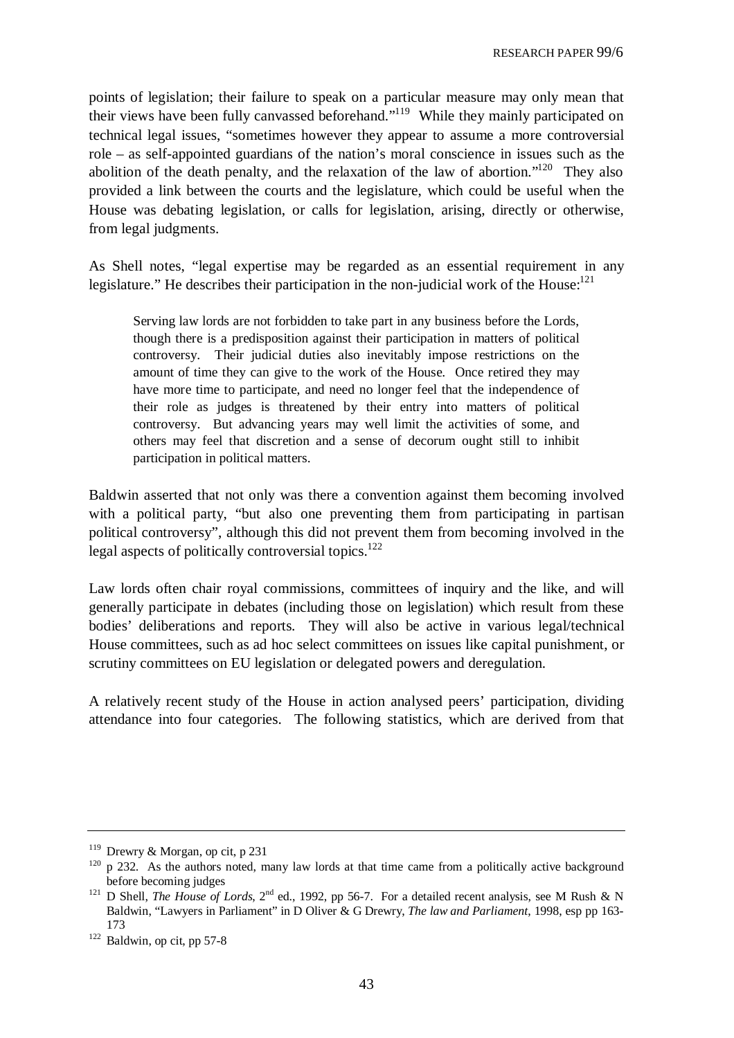points of legislation; their failure to speak on a particular measure may only mean that their views have been fully canvassed beforehand."<sup>119</sup> While they mainly participated on technical legal issues, "sometimes however they appear to assume a more controversial role – as self-appointed guardians of the nation's moral conscience in issues such as the abolition of the death penalty, and the relaxation of the law of abortion."<sup>120</sup> They also provided a link between the courts and the legislature, which could be useful when the House was debating legislation, or calls for legislation, arising, directly or otherwise, from legal judgments.

As Shell notes, "legal expertise may be regarded as an essential requirement in any legislature." He describes their participation in the non-judicial work of the House: $^{121}$ 

Serving law lords are not forbidden to take part in any business before the Lords, though there is a predisposition against their participation in matters of political controversy. Their judicial duties also inevitably impose restrictions on the amount of time they can give to the work of the House. Once retired they may have more time to participate, and need no longer feel that the independence of their role as judges is threatened by their entry into matters of political controversy. But advancing years may well limit the activities of some, and others may feel that discretion and a sense of decorum ought still to inhibit participation in political matters.

Baldwin asserted that not only was there a convention against them becoming involved with a political party, "but also one preventing them from participating in partisan political controversy", although this did not prevent them from becoming involved in the legal aspects of politically controversial topics.<sup>122</sup>

Law lords often chair royal commissions, committees of inquiry and the like, and will generally participate in debates (including those on legislation) which result from these bodies' deliberations and reports. They will also be active in various legal/technical House committees, such as ad hoc select committees on issues like capital punishment, or scrutiny committees on EU legislation or delegated powers and deregulation.

A relatively recent study of the House in action analysed peers' participation, dividing attendance into four categories. The following statistics, which are derived from that

<sup>119</sup> Drewry & Morgan, op cit, p 231

 $120$  p 232. As the authors noted, many law lords at that time came from a politically active background before becoming judges

<sup>&</sup>lt;sup>121</sup> D Shell, *The House of Lords*, 2<sup>nd</sup> ed., 1992, pp 56-7. For a detailed recent analysis, see M Rush & N Baldwin, "Lawyers in Parliament" in D Oliver & G Drewry, *The law and Parliament*, 1998, esp pp 163- 173

<sup>122</sup> Baldwin, op cit, pp 57-8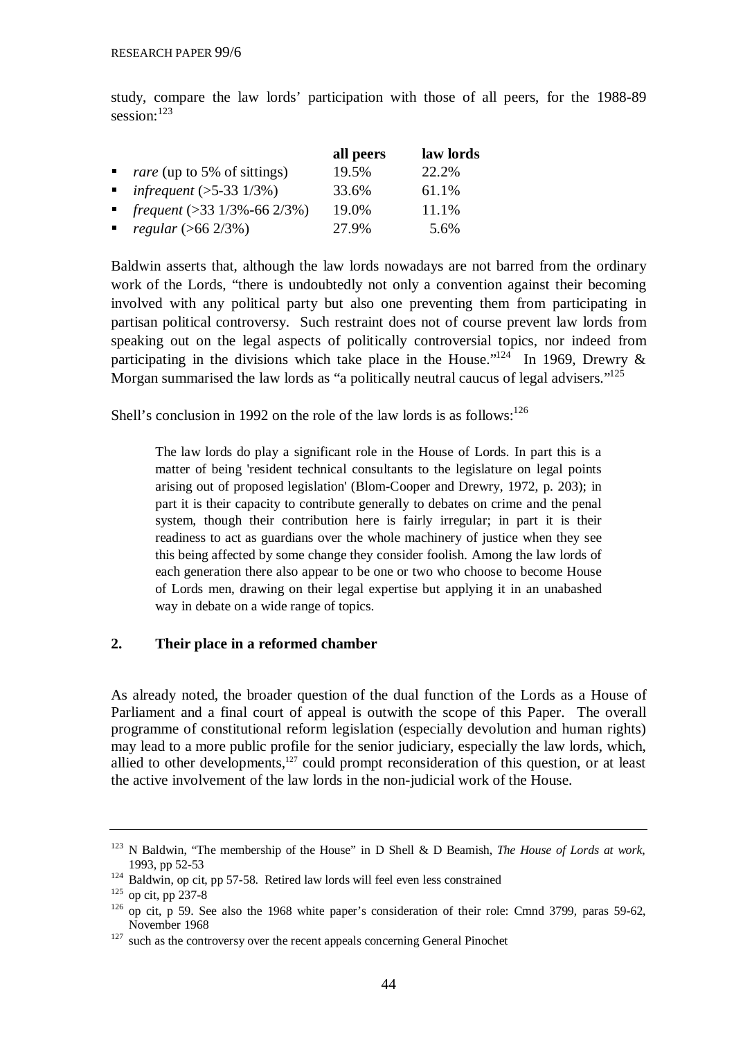study, compare the law lords' participation with those of all peers, for the 1988-89 session: $123$ 

|                |                                      | all peers | law lords |
|----------------|--------------------------------------|-----------|-----------|
|                | • <i>rare</i> (up to 5% of sittings) | 19.5%     | 22.2%     |
|                | <i>infrequent</i> ( $>5-33$ 1/3%)    | 33.6%     | 61.1%     |
|                | • frequent (>33 1/3%-66 2/3%)        | 19.0%     | 11.1%     |
| $\blacksquare$ | regular $($ >66 2/3%)                | 27.9%     | 5.6%      |

Baldwin asserts that, although the law lords nowadays are not barred from the ordinary work of the Lords, "there is undoubtedly not only a convention against their becoming involved with any political party but also one preventing them from participating in partisan political controversy. Such restraint does not of course prevent law lords from speaking out on the legal aspects of politically controversial topics, nor indeed from participating in the divisions which take place in the House."<sup>124</sup> In 1969. Drewry & Morgan summarised the law lords as "a politically neutral caucus of legal advisers."<sup>125</sup>

Shell's conclusion in 1992 on the role of the law lords is as follows:  $126$ 

The law lords do play a significant role in the House of Lords. In part this is a matter of being 'resident technical consultants to the legislature on legal points arising out of proposed legislation' (Blom-Cooper and Drewry, 1972, p. 203); in part it is their capacity to contribute generally to debates on crime and the penal system, though their contribution here is fairly irregular; in part it is their readiness to act as guardians over the whole machinery of justice when they see this being affected by some change they consider foolish. Among the law lords of each generation there also appear to be one or two who choose to become House of Lords men, drawing on their legal expertise but applying it in an unabashed way in debate on a wide range of topics.

#### **2. Their place in a reformed chamber**

As already noted, the broader question of the dual function of the Lords as a House of Parliament and a final court of appeal is outwith the scope of this Paper. The overall programme of constitutional reform legislation (especially devolution and human rights) may lead to a more public profile for the senior judiciary, especially the law lords, which, allied to other developments,<sup>127</sup> could prompt reconsideration of this question, or at least the active involvement of the law lords in the non-judicial work of the House.

<sup>123</sup> N Baldwin, "The membership of the House" in D Shell & D Beamish, *The House of Lords at work*, 1993, pp 52-53

<sup>&</sup>lt;sup>124</sup> Baldwin, op cit, pp 57-58. Retired law lords will feel even less constrained

 $125$  op cit, pp 237-8

<sup>&</sup>lt;sup>126</sup> op cit, p 59. See also the 1968 white paper's consideration of their role: Cmnd 3799, paras 59-62, November 1968

<sup>&</sup>lt;sup>127</sup> such as the controversy over the recent appeals concerning General Pinochet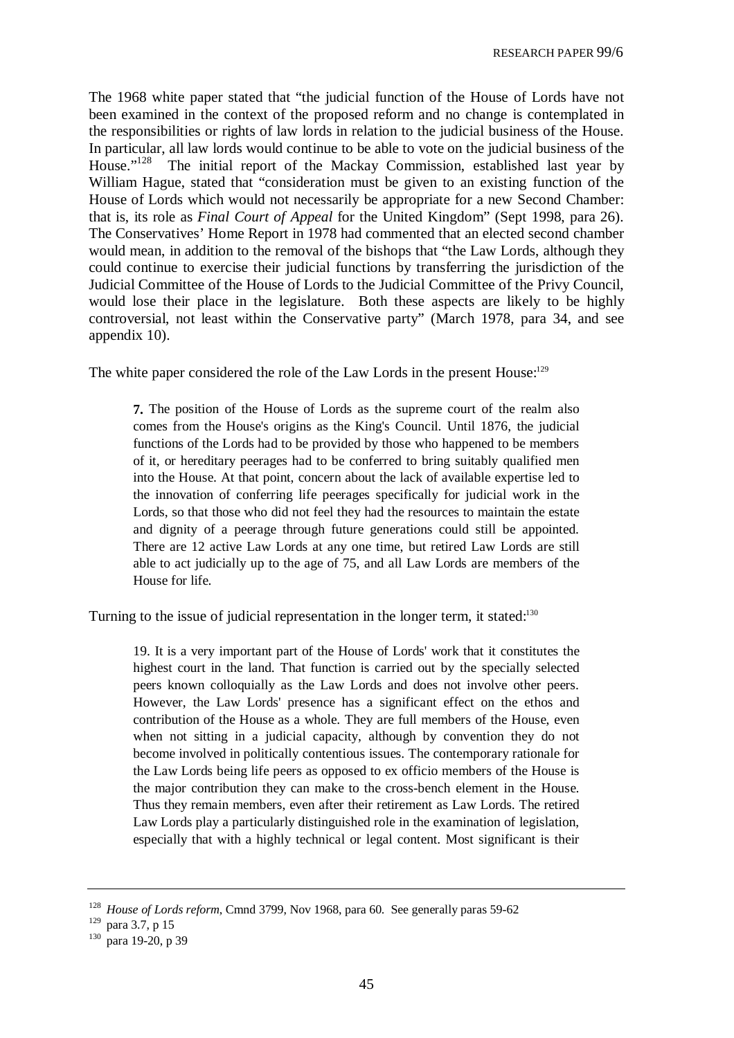The 1968 white paper stated that "the judicial function of the House of Lords have not been examined in the context of the proposed reform and no change is contemplated in the responsibilities or rights of law lords in relation to the judicial business of the House. In particular, all law lords would continue to be able to vote on the judicial business of the House."<sup>128</sup> The initial report of the Mackay Commission, established last year by William Hague, stated that "consideration must be given to an existing function of the House of Lords which would not necessarily be appropriate for a new Second Chamber: that is, its role as *Final Court of Appeal* for the United Kingdom" (Sept 1998, para 26). The Conservatives' Home Report in 1978 had commented that an elected second chamber would mean, in addition to the removal of the bishops that "the Law Lords, although they could continue to exercise their judicial functions by transferring the jurisdiction of the Judicial Committee of the House of Lords to the Judicial Committee of the Privy Council, would lose their place in the legislature. Both these aspects are likely to be highly controversial, not least within the Conservative party" (March 1978, para 34, and see appendix 10).

The white paper considered the role of the Law Lords in the present House: $129$ 

**7.** The position of the House of Lords as the supreme court of the realm also comes from the House's origins as the King's Council. Until 1876, the judicial functions of the Lords had to be provided by those who happened to be members of it, or hereditary peerages had to be conferred to bring suitably qualified men into the House. At that point, concern about the lack of available expertise led to the innovation of conferring life peerages specifically for judicial work in the Lords, so that those who did not feel they had the resources to maintain the estate and dignity of a peerage through future generations could still be appointed. There are 12 active Law Lords at any one time, but retired Law Lords are still able to act judicially up to the age of 75, and all Law Lords are members of the House for life.

Turning to the issue of judicial representation in the longer term, it stated:<sup>130</sup>

19. It is a very important part of the House of Lords' work that it constitutes the highest court in the land. That function is carried out by the specially selected peers known colloquially as the Law Lords and does not involve other peers. However, the Law Lords' presence has a significant effect on the ethos and contribution of the House as a whole. They are full members of the House, even when not sitting in a judicial capacity, although by convention they do not become involved in politically contentious issues. The contemporary rationale for the Law Lords being life peers as opposed to ex officio members of the House is the major contribution they can make to the cross-bench element in the House. Thus they remain members, even after their retirement as Law Lords. The retired Law Lords play a particularly distinguished role in the examination of legislation, especially that with a highly technical or legal content. Most significant is their

<sup>128</sup> *House of Lords reform*, Cmnd 3799, Nov 1968, para 60. See generally paras 59-62

<sup>129</sup> para 3.7, p 15

<sup>&</sup>lt;sup>130</sup> para 19-20, p 39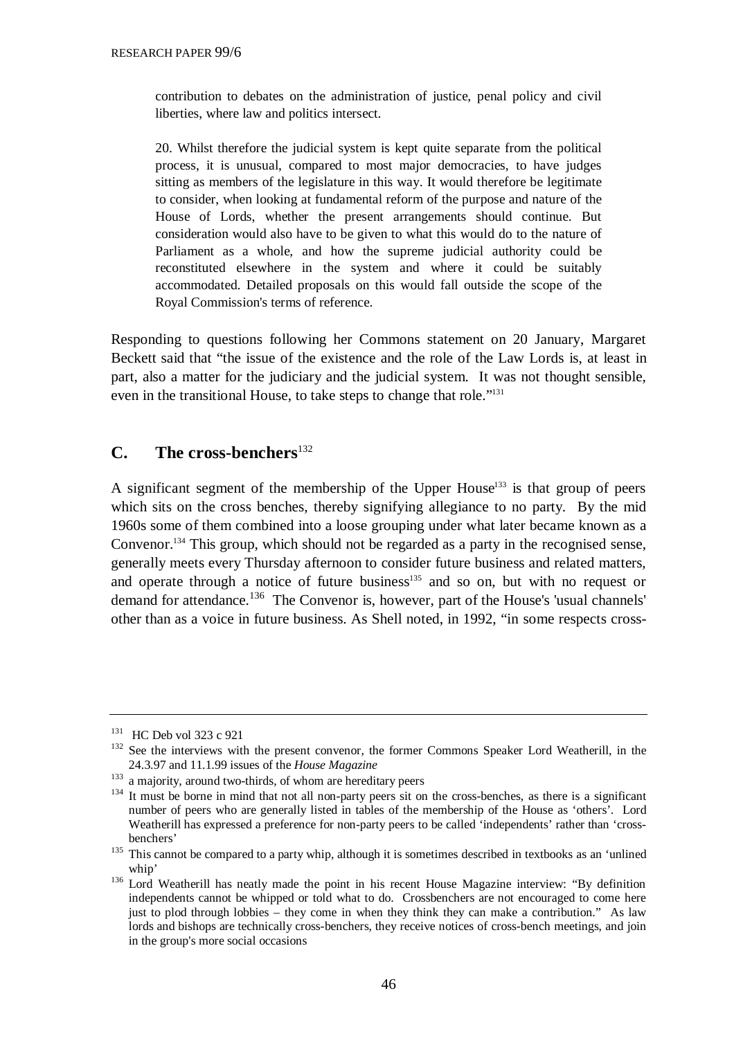contribution to debates on the administration of justice, penal policy and civil liberties, where law and politics intersect.

20. Whilst therefore the judicial system is kept quite separate from the political process, it is unusual, compared to most major democracies, to have judges sitting as members of the legislature in this way. It would therefore be legitimate to consider, when looking at fundamental reform of the purpose and nature of the House of Lords, whether the present arrangements should continue. But consideration would also have to be given to what this would do to the nature of Parliament as a whole, and how the supreme judicial authority could be reconstituted elsewhere in the system and where it could be suitably accommodated. Detailed proposals on this would fall outside the scope of the Royal Commission's terms of reference.

Responding to questions following her Commons statement on 20 January, Margaret Beckett said that "the issue of the existence and the role of the Law Lords is, at least in part, also a matter for the judiciary and the judicial system. It was not thought sensible, even in the transitional House, to take steps to change that role."131

### **C. The cross-benchers**<sup>132</sup>

A significant segment of the membership of the Upper House<sup>133</sup> is that group of peers which sits on the cross benches, thereby signifying allegiance to no party. By the mid 1960s some of them combined into a loose grouping under what later became known as a Convenor.134 This group, which should not be regarded as a party in the recognised sense, generally meets every Thursday afternoon to consider future business and related matters, and operate through a notice of future business<sup>135</sup> and so on, but with no request or demand for attendance.<sup>136</sup> The Convenor is, however, part of the House's 'usual channels' other than as a voice in future business. As Shell noted, in 1992, "in some respects cross-

<sup>131</sup> HC Deb vol 323 c 921

<sup>&</sup>lt;sup>132</sup> See the interviews with the present convenor, the former Commons Speaker Lord Weatherill, in the 24.3.97 and 11.1.99 issues of the *House Magazine*

<sup>&</sup>lt;sup>133</sup> a majority, around two-thirds, of whom are hereditary peers

<sup>&</sup>lt;sup>134</sup> It must be borne in mind that not all non-party peers sit on the cross-benches, as there is a significant number of peers who are generally listed in tables of the membership of the House as 'others'. Lord Weatherill has expressed a preference for non-party peers to be called 'independents' rather than 'crossbenchers'

<sup>&</sup>lt;sup>135</sup> This cannot be compared to a party whip, although it is sometimes described in textbooks as an 'unlined whip'

<sup>&</sup>lt;sup>136</sup> Lord Weatherill has neatly made the point in his recent House Magazine interview: "By definition independents cannot be whipped or told what to do. Crossbenchers are not encouraged to come here just to plod through lobbies – they come in when they think they can make a contribution." As law lords and bishops are technically cross-benchers, they receive notices of cross-bench meetings, and join in the group's more social occasions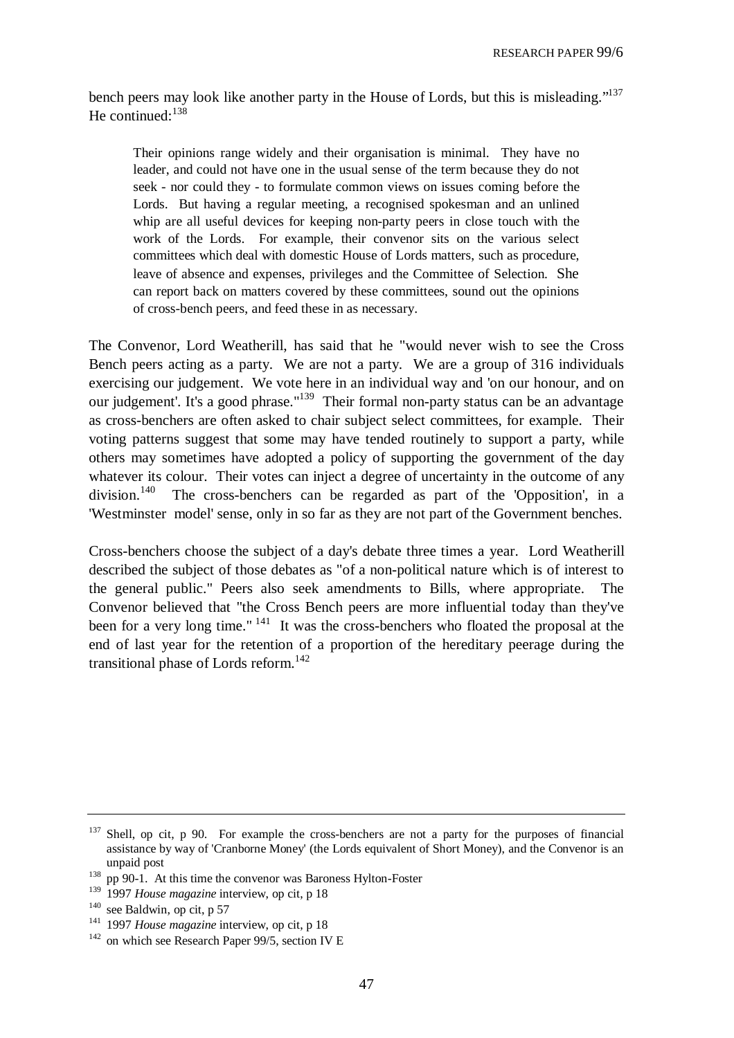bench peers may look like another party in the House of Lords, but this is misleading."137 He continued: $138$ 

Their opinions range widely and their organisation is minimal. They have no leader, and could not have one in the usual sense of the term because they do not seek - nor could they - to formulate common views on issues coming before the Lords. But having a regular meeting, a recognised spokesman and an unlined whip are all useful devices for keeping non-party peers in close touch with the work of the Lords. For example, their convenor sits on the various select committees which deal with domestic House of Lords matters, such as procedure, leave of absence and expenses, privileges and the Committee of Selection. She can report back on matters covered by these committees, sound out the opinions of cross-bench peers, and feed these in as necessary.

The Convenor, Lord Weatherill, has said that he "would never wish to see the Cross Bench peers acting as a party. We are not a party. We are a group of 316 individuals exercising our judgement. We vote here in an individual way and 'on our honour, and on our judgement'. It's a good phrase."139 Their formal non-party status can be an advantage as cross-benchers are often asked to chair subject select committees, for example. Their voting patterns suggest that some may have tended routinely to support a party, while others may sometimes have adopted a policy of supporting the government of the day whatever its colour. Their votes can inject a degree of uncertainty in the outcome of any division.<sup>140</sup> The cross-benchers can be regarded as part of the 'Opposition', in a 'Westminster model' sense, only in so far as they are not part of the Government benches.

Cross-benchers choose the subject of a day's debate three times a year. Lord Weatherill described the subject of those debates as "of a non-political nature which is of interest to the general public." Peers also seek amendments to Bills, where appropriate. The Convenor believed that "the Cross Bench peers are more influential today than they've been for a very long time."  $141$  It was the cross-benchers who floated the proposal at the end of last year for the retention of a proportion of the hereditary peerage during the transitional phase of Lords reform.<sup>142</sup>

<sup>&</sup>lt;sup>137</sup> Shell, op cit, p 90. For example the cross-benchers are not a party for the purposes of financial assistance by way of 'Cranborne Money' (the Lords equivalent of Short Money), and the Convenor is an unpaid post

<sup>&</sup>lt;sup>138</sup> pp 90-1. At this time the convenor was Baroness Hylton-Foster

<sup>139</sup> 1997 *House magazine* interview, op cit, p 18

 $140$  see Baldwin, op cit, p 57

<sup>141</sup> 1997 *House magazine* interview, op cit, p 18

 $142$  on which see Research Paper 99/5, section IV E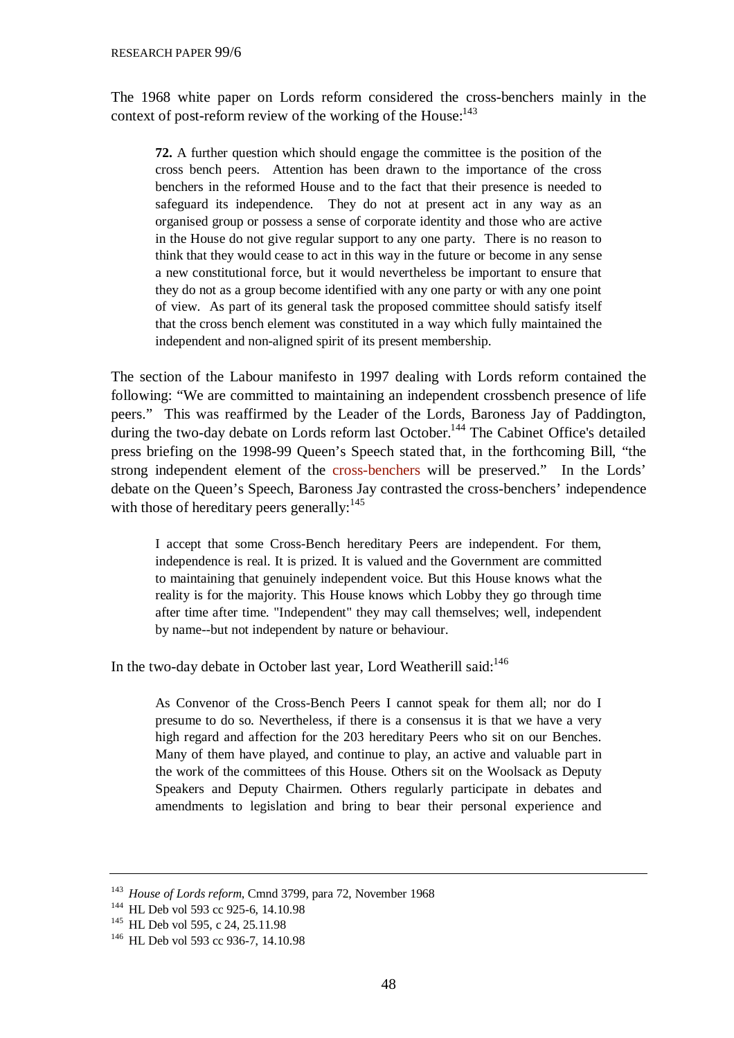The 1968 white paper on Lords reform considered the cross-benchers mainly in the context of post-reform review of the working of the House: $143$ 

**72.** A further question which should engage the committee is the position of the cross bench peers. Attention has been drawn to the importance of the cross benchers in the reformed House and to the fact that their presence is needed to safeguard its independence. They do not at present act in any way as an organised group or possess a sense of corporate identity and those who are active in the House do not give regular support to any one party. There is no reason to think that they would cease to act in this way in the future or become in any sense a new constitutional force, but it would nevertheless be important to ensure that they do not as a group become identified with any one party or with any one point of view. As part of its general task the proposed committee should satisfy itself that the cross bench element was constituted in a way which fully maintained the independent and non-aligned spirit of its present membership.

The section of the Labour manifesto in 1997 dealing with Lords reform contained the following: "We are committed to maintaining an independent crossbench presence of life peers." This was reaffirmed by the Leader of the Lords, Baroness Jay of Paddington, during the two-day debate on Lords reform last October.<sup>144</sup> The Cabinet Office's detailed press briefing on the 1998-99 Queen's Speech stated that, in the forthcoming Bill, "the strong independent element of the cross-benchers will be preserved." In the Lords' debate on the Queen's Speech, Baroness Jay contrasted the cross-benchers' independence with those of hereditary peers generally:  $145$ 

I accept that some Cross-Bench hereditary Peers are independent. For them, independence is real. It is prized. It is valued and the Government are committed to maintaining that genuinely independent voice. But this House knows what the reality is for the majority. This House knows which Lobby they go through time after time after time. "Independent" they may call themselves; well, independent by name--but not independent by nature or behaviour.

In the two-day debate in October last year, Lord Weatherill said:<sup>146</sup>

As Convenor of the Cross-Bench Peers I cannot speak for them all; nor do I presume to do so. Nevertheless, if there is a consensus it is that we have a very high regard and affection for the 203 hereditary Peers who sit on our Benches. Many of them have played, and continue to play, an active and valuable part in the work of the committees of this House. Others sit on the Woolsack as Deputy Speakers and Deputy Chairmen. Others regularly participate in debates and amendments to legislation and bring to bear their personal experience and

<sup>143</sup> *House of Lords reform*, Cmnd 3799, para 72, November 1968

<sup>&</sup>lt;sup>144</sup> HL Deb vol 593 cc 925-6, 14.10.98

<sup>&</sup>lt;sup>145</sup> HL Deb vol 595, c 24, 25.11.98

<sup>&</sup>lt;sup>146</sup> HL Deb vol 593 cc 936-7, 14.10.98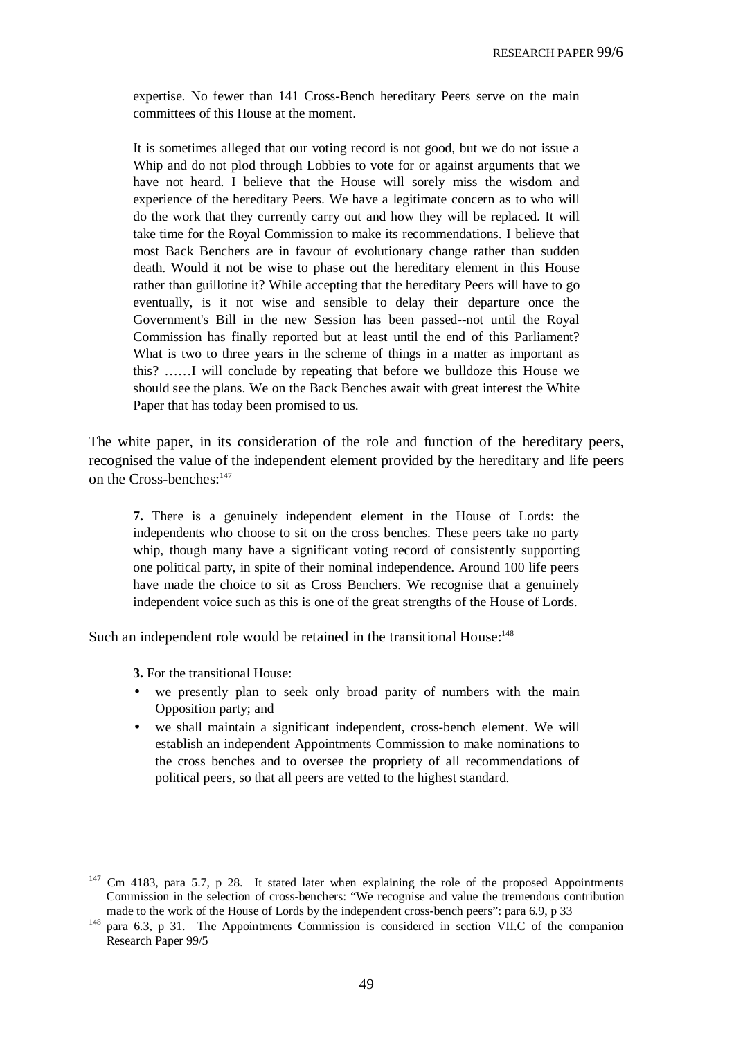expertise. No fewer than 141 Cross-Bench hereditary Peers serve on the main committees of this House at the moment.

It is sometimes alleged that our voting record is not good, but we do not issue a Whip and do not plod through Lobbies to vote for or against arguments that we have not heard. I believe that the House will sorely miss the wisdom and experience of the hereditary Peers. We have a legitimate concern as to who will do the work that they currently carry out and how they will be replaced. It will take time for the Royal Commission to make its recommendations. I believe that most Back Benchers are in favour of evolutionary change rather than sudden death. Would it not be wise to phase out the hereditary element in this House rather than guillotine it? While accepting that the hereditary Peers will have to go eventually, is it not wise and sensible to delay their departure once the Government's Bill in the new Session has been passed--not until the Royal Commission has finally reported but at least until the end of this Parliament? What is two to three years in the scheme of things in a matter as important as this? ……I will conclude by repeating that before we bulldoze this House we should see the plans. We on the Back Benches await with great interest the White Paper that has today been promised to us.

The white paper, in its consideration of the role and function of the hereditary peers, recognised the value of the independent element provided by the hereditary and life peers on the Cross-benches:<sup>147</sup>

**7.** There is a genuinely independent element in the House of Lords: the independents who choose to sit on the cross benches. These peers take no party whip, though many have a significant voting record of consistently supporting one political party, in spite of their nominal independence. Around 100 life peers have made the choice to sit as Cross Benchers. We recognise that a genuinely independent voice such as this is one of the great strengths of the House of Lords.

Such an independent role would be retained in the transitional House:<sup>148</sup>

**3.** For the transitional House:

- we presently plan to seek only broad parity of numbers with the main Opposition party; and
- we shall maintain a significant independent, cross-bench element. We will establish an independent Appointments Commission to make nominations to the cross benches and to oversee the propriety of all recommendations of political peers, so that all peers are vetted to the highest standard.

 $147$  Cm 4183, para 5.7, p 28. It stated later when explaining the role of the proposed Appointments Commission in the selection of cross-benchers: "We recognise and value the tremendous contribution made to the work of the House of Lords by the independent cross-bench peers": para 6.9, p 33

<sup>&</sup>lt;sup>148</sup> para 6.3, p 31. The Appointments Commission is considered in section VII.C of the companion Research Paper 99/5